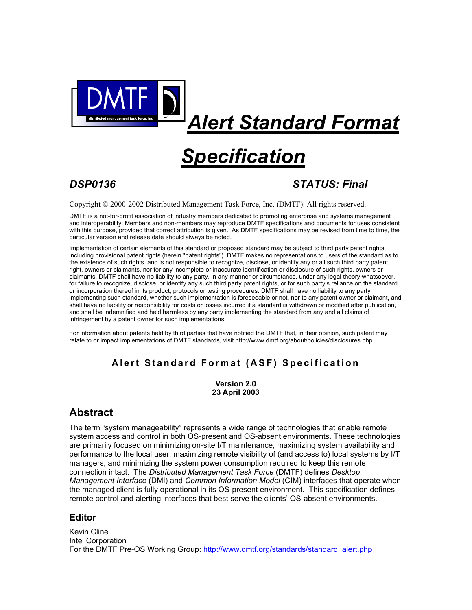

# *Alert Standard Format*

# *Specification*

### *DSP0136 STATUS: Final*

Copyright © 2000-2002 Distributed Management Task Force, Inc. (DMTF). All rights reserved.

DMTF is a not-for-profit association of industry members dedicated to promoting enterprise and systems management and interoperability. Members and non-members may reproduce DMTF specifications and documents for uses consistent with this purpose, provided that correct attribution is given. As DMTF specifications may be revised from time to time, the particular version and release date should always be noted.

Implementation of certain elements of this standard or proposed standard may be subject to third party patent rights, including provisional patent rights (herein "patent rights"). DMTF makes no representations to users of the standard as to the existence of such rights, and is not responsible to recognize, disclose, or identify any or all such third party patent right, owners or claimants, nor for any incomplete or inaccurate identification or disclosure of such rights, owners or claimants. DMTF shall have no liability to any party, in any manner or circumstance, under any legal theory whatsoever, for failure to recognize, disclose, or identify any such third party patent rights, or for such party's reliance on the standard or incorporation thereof in its product, protocols or testing procedures. DMTF shall have no liability to any party implementing such standard, whether such implementation is foreseeable or not, nor to any patent owner or claimant, and shall have no liability or responsibility for costs or losses incurred if a standard is withdrawn or modified after publication, and shall be indemnified and held harmless by any party implementing the standard from any and all claims of infringement by a patent owner for such implementations.

For information about patents held by third parties that have notified the DMTF that, in their opinion, such patent may relate to or impact implementations of DMTF standards, visit http://www.dmtf.org/about/policies/disclosures.php.

#### **Alert Standard Format (ASF) Specification**

#### **Version 2.0 23 April 2003**

### **Abstract**

The term "system manageability" represents a wide range of technologies that enable remote system access and control in both OS-present and OS-absent environments. These technologies are primarily focused on minimizing on-site I/T maintenance, maximizing system availability and performance to the local user, maximizing remote visibility of (and access to) local systems by I/T managers, and minimizing the system power consumption required to keep this remote connection intact. The *Distributed Management Task Force* (DMTF) defines *Desktop Management Interface* (DMI) and *Common Information Model* (CIM) interfaces that operate when the managed client is fully operational in its OS-present environment. This specification defines remote control and alerting interfaces that best serve the clients' OS-absent environments.

#### **Editor**

Kevin Cline Intel Corporation For the DMTF Pre-OS Working Group: http://www.dmtf.org/standards/standard\_alert.php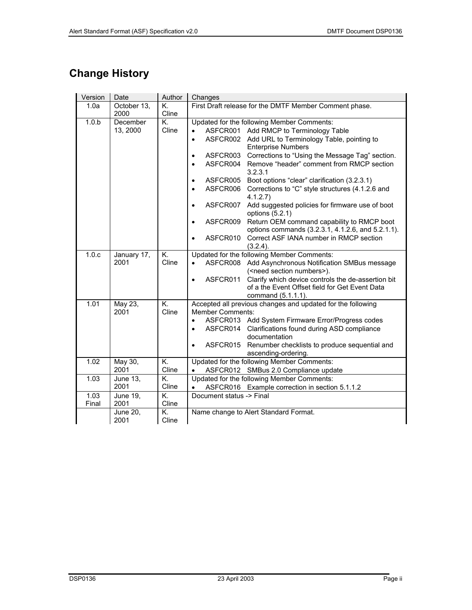### **Change History**

| Version | Date                    | Author      | Changes                                                                                       |  |  |  |  |
|---------|-------------------------|-------------|-----------------------------------------------------------------------------------------------|--|--|--|--|
| 1.0a    | October 13,<br>2000     | K.<br>Cline | First Draft release for the DMTF Member Comment phase.                                        |  |  |  |  |
| 1.0.b   | December                | Κ.          | Updated for the following Member Comments:                                                    |  |  |  |  |
|         | 13, 2000                | Cline       | Add RMCP to Terminology Table<br>ASFCR001<br>$\bullet$                                        |  |  |  |  |
|         |                         |             | Add URL to Terminology Table, pointing to<br>ASFCR002                                         |  |  |  |  |
|         |                         |             | <b>Enterprise Numbers</b>                                                                     |  |  |  |  |
|         |                         |             | ASFCR003<br>Corrections to "Using the Message Tag" section.<br>$\bullet$                      |  |  |  |  |
|         |                         |             | Remove "header" comment from RMCP section<br>ASFCR004<br>$\bullet$                            |  |  |  |  |
|         |                         |             | 3.2.3.1                                                                                       |  |  |  |  |
|         |                         |             | ASFCR005<br>Boot options "clear" clarification (3.2.3.1)<br>$\bullet$                         |  |  |  |  |
|         |                         |             | Corrections to "C" style structures (4.1.2.6 and<br>ASFCR006<br>$\bullet$<br>4.1.2.7          |  |  |  |  |
|         |                         |             | ASFCR007<br>Add suggested policies for firmware use of boot<br>$\bullet$<br>options $(5.2.1)$ |  |  |  |  |
|         |                         |             | ASFCR009<br>Return OEM command capability to RMCP boot<br>$\bullet$                           |  |  |  |  |
|         |                         |             | options commands (3.2.3.1, 4.1.2.6, and 5.2.1.1).                                             |  |  |  |  |
|         |                         |             | ASFCR010<br>Correct ASF IANA number in RMCP section                                           |  |  |  |  |
|         |                         |             | (3.2.4).                                                                                      |  |  |  |  |
| 1.0.c   | January 17,             | Κ.          | Updated for the following Member Comments:                                                    |  |  |  |  |
|         | 2001                    | Cline       | ASFCR008 Add Asynchronous Notification SMBus message                                          |  |  |  |  |
|         |                         |             | ( <need numbers="" section="">).</need>                                                       |  |  |  |  |
|         |                         |             | Clarify which device controls the de-assertion bit<br>ASFCR011<br>$\bullet$                   |  |  |  |  |
|         |                         |             | of a the Event Offset field for Get Event Data                                                |  |  |  |  |
| 1.01    | May 23,                 | K.          | command (5.1.1.1).<br>Accepted all previous changes and updated for the following             |  |  |  |  |
|         | 2001                    | Cline       | <b>Member Comments:</b>                                                                       |  |  |  |  |
|         |                         |             | ASFCR013 Add System Firmware Error/Progress codes<br>$\bullet$                                |  |  |  |  |
|         |                         |             | ASFCR014 Clarifications found during ASD compliance<br>$\bullet$                              |  |  |  |  |
|         |                         |             | documentation                                                                                 |  |  |  |  |
|         |                         |             | ASFCR015<br>Renumber checklists to produce sequential and                                     |  |  |  |  |
|         |                         |             | ascending-ordering.                                                                           |  |  |  |  |
| 1.02    | May 30,                 | Κ.          | Updated for the following Member Comments:                                                    |  |  |  |  |
|         | 2001                    | Cline       | ASFCR012 SMBus 2.0 Compliance update<br>$\bullet$                                             |  |  |  |  |
| 1.03    | <b>June 13,</b>         | K.          | Updated for the following Member Comments:                                                    |  |  |  |  |
|         | 2001                    | Cline       | ASFCR016 Example correction in section 5.1.1.2                                                |  |  |  |  |
| 1.03    | <b>June 19,</b>         | K.          | Document status -> Final                                                                      |  |  |  |  |
| Final   | 2001                    | Cline       |                                                                                               |  |  |  |  |
|         | <b>June 20,</b><br>2001 | K.<br>Cline | Name change to Alert Standard Format.                                                         |  |  |  |  |
|         |                         |             |                                                                                               |  |  |  |  |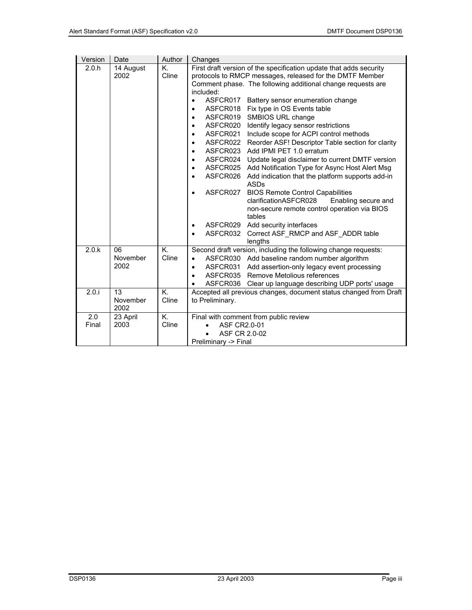| Version          | Date                   | Author      | Changes                                                                                                                                                                                                                                                                                                                                                                                                                                                                                                                                                                                                                                                                                                                                                                                                                                                                                                                                                                                                                                                                                                                                                    |  |  |  |  |
|------------------|------------------------|-------------|------------------------------------------------------------------------------------------------------------------------------------------------------------------------------------------------------------------------------------------------------------------------------------------------------------------------------------------------------------------------------------------------------------------------------------------------------------------------------------------------------------------------------------------------------------------------------------------------------------------------------------------------------------------------------------------------------------------------------------------------------------------------------------------------------------------------------------------------------------------------------------------------------------------------------------------------------------------------------------------------------------------------------------------------------------------------------------------------------------------------------------------------------------|--|--|--|--|
| 2.0 <sub>h</sub> | 14 August<br>2002      | Κ.<br>Cline | First draft version of the specification update that adds security<br>protocols to RMCP messages, released for the DMTF Member<br>Comment phase. The following additional change requests are<br>included:<br>ASFCR017<br>Battery sensor enumeration change<br>$\bullet$<br>ASFCR018 Fix type in OS Events table<br>$\bullet$<br>ASFCR019<br>SMBIOS URL change<br>٠<br>ASFCR020<br>Identify legacy sensor restrictions<br>٠<br>ASFCR021<br>Include scope for ACPI control methods<br>$\bullet$<br>ASFCR022<br>Reorder ASF! Descriptor Table section for clarity<br>$\bullet$<br>Add IPMI PET 1.0 erratum<br>ASFCR023<br>$\bullet$<br>ASFCR024<br>Update legal disclaimer to current DMTF version<br>$\bullet$<br>Add Notification Type for Async Host Alert Msg<br>ASFCR025<br>$\bullet$<br>ASFCR026<br>Add indication that the platform supports add-in<br><b>ASDs</b><br>ASFCR027<br><b>BIOS Remote Control Capabilities</b><br>clarificationASFCR028<br>Enabling secure and<br>non-secure remote control operation via BIOS<br>tables<br>ASFCR029<br>Add security interfaces<br>$\bullet$<br>ASFCR032<br>Correct ASF RMCP and ASF ADDR table<br>lengths |  |  |  |  |
| 2.0.k            | 06<br>November<br>2002 | Κ.<br>Cline | Second draft version, including the following change requests:<br>ASFCR030 Add baseline random number algorithm<br>$\bullet$<br>ASFCR031 Add assertion-only legacy event processing<br>$\bullet$<br>ASFCR035 Remove Metolious references<br>ASFCR036 Clear up language describing UDP ports' usage                                                                                                                                                                                                                                                                                                                                                                                                                                                                                                                                                                                                                                                                                                                                                                                                                                                         |  |  |  |  |
| $2.0$ .i         | 13<br>November<br>2002 | K.<br>Cline | Accepted all previous changes, document status changed from Draft<br>to Preliminary.                                                                                                                                                                                                                                                                                                                                                                                                                                                                                                                                                                                                                                                                                                                                                                                                                                                                                                                                                                                                                                                                       |  |  |  |  |
| 2.0<br>Final     | 23 April<br>2003       | Κ.<br>Cline | Final with comment from public review<br>ASF CR2.0-01<br>ASF CR 2.0-02<br>Preliminary -> Final                                                                                                                                                                                                                                                                                                                                                                                                                                                                                                                                                                                                                                                                                                                                                                                                                                                                                                                                                                                                                                                             |  |  |  |  |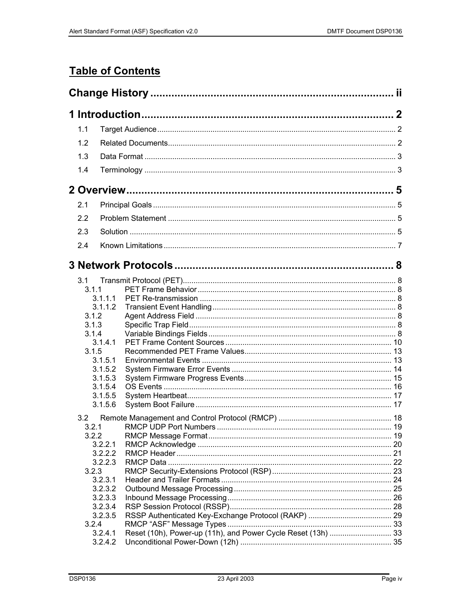### **Table of Contents**

| 1.1 |                    |                                                              |  |
|-----|--------------------|--------------------------------------------------------------|--|
|     |                    |                                                              |  |
| 1.2 |                    |                                                              |  |
| 1.3 |                    |                                                              |  |
| 1.4 |                    |                                                              |  |
|     |                    |                                                              |  |
| 2.1 |                    |                                                              |  |
| 2.2 |                    |                                                              |  |
| 2.3 |                    |                                                              |  |
| 2.4 |                    |                                                              |  |
|     |                    |                                                              |  |
|     |                    |                                                              |  |
| 3.1 |                    |                                                              |  |
|     | 3.1.1              |                                                              |  |
|     | 3.1.1.1            |                                                              |  |
|     | 3.1.1.2            |                                                              |  |
|     | 3.1.2              |                                                              |  |
|     | 3.1.3              |                                                              |  |
|     | 3.1.4              |                                                              |  |
|     | 3.1.4.1            |                                                              |  |
|     | 3.1.5<br>3.1.5.1   |                                                              |  |
|     | 3.1.5.2            |                                                              |  |
|     |                    |                                                              |  |
|     | 3.1.5.3<br>3.1.5.4 |                                                              |  |
|     | 3.1.5.5            |                                                              |  |
|     | 3.1.5.6            |                                                              |  |
| 3.2 |                    |                                                              |  |
|     | 3.2.1              |                                                              |  |
|     | 3.2.2              |                                                              |  |
|     | 3.2.2.1            |                                                              |  |
|     | 3.2.2.2            |                                                              |  |
|     | 3.2.2.3            |                                                              |  |
|     | 3.2.3              |                                                              |  |
|     | 3.2.3.1            |                                                              |  |
|     | 3.2.3.2            |                                                              |  |
|     | 3.2.3.3            |                                                              |  |
|     | 3.2.3.4            |                                                              |  |
|     | 3.2.3.5            |                                                              |  |
|     | 3.2.4              |                                                              |  |
|     | 3.2.4.1            | Reset (10h), Power-up (11h), and Power Cycle Reset (13h)  33 |  |
|     | 3.2.4.2            |                                                              |  |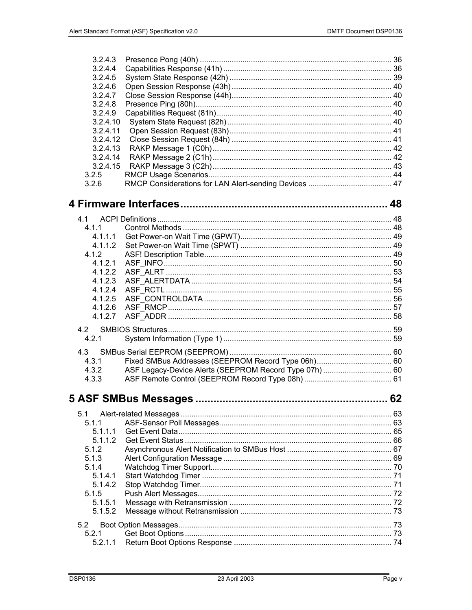| 3.2.4.3            |    |
|--------------------|----|
| 3.2.4.4<br>3.2.4.5 |    |
| 3.2.4.6            |    |
| 3.2.4.7            |    |
| 3.2.4.8            |    |
| 3.2.4.9            |    |
| 3.2.4.10           |    |
| 3.2.4.11           |    |
| 3.2.4.12           |    |
| 3.2.4.13           |    |
| 3.2.4.14           |    |
| 3.2.4.15           |    |
| 3.2.5              |    |
| 3.2.6              |    |
|                    |    |
| 4.1                |    |
| 4.1.1              |    |
| 4.1.1.1            |    |
| 4.1.1.2            |    |
| 4.1.2              |    |
| 4.1.2.1            |    |
| 4.1.2.2            |    |
| 4.1.2.3            |    |
| 4.1.2.4<br>4.1.2.5 |    |
| 4.1.2.6            |    |
| 4.1.2.7            |    |
|                    |    |
| 4.2<br>4.2.1       |    |
|                    |    |
| 4.3                |    |
| 4.3.1              |    |
| 4.3.2              |    |
| 4.3.3              |    |
|                    | 62 |
| 5.1                |    |
| 5.1.1              |    |
| 5.1.1.1            |    |
| 5.1.1.2            |    |
| 5.1.2              |    |
| 5.1.3              |    |
| 5.1.4              |    |
| 5.1.4.1            |    |
| 5.1.4.2            |    |
| 5.1.5              |    |
| 5.1.5.1            |    |
| 5.1.5.2            |    |
| 5.2                |    |
| 5.2.1              |    |
| 5.2.1.1            |    |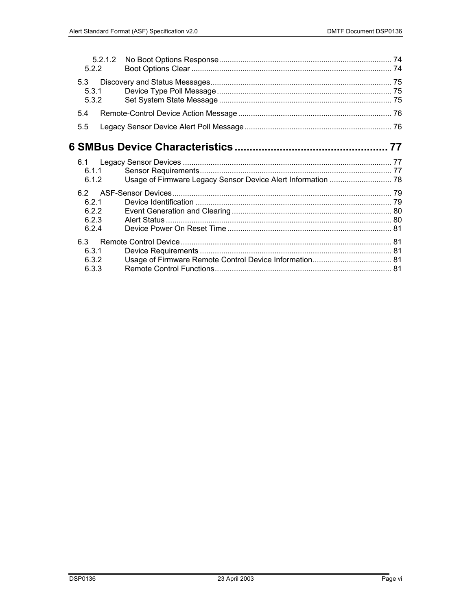| 5.2.1.2<br>5.2.2                     |  |
|--------------------------------------|--|
| 5.3<br>5.3.1<br>5.3.2                |  |
| 5.4                                  |  |
| 5.5                                  |  |
|                                      |  |
| 6.1<br>6.1.1<br>6.1.2                |  |
| 62<br>621<br>6.2.2<br>6.2.3<br>6.2.4 |  |
| 6.3<br>6.3.1<br>6.3.2<br>6.3.3       |  |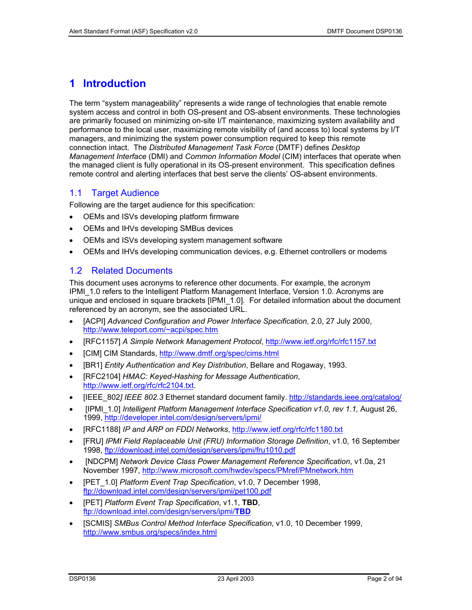### **1 Introduction**

The term "system manageability" represents a wide range of technologies that enable remote system access and control in both OS-present and OS-absent environments. These technologies are primarily focused on minimizing on-site I/T maintenance, maximizing system availability and performance to the local user, maximizing remote visibility of (and access to) local systems by I/T managers, and minimizing the system power consumption required to keep this remote connection intact. The *Distributed Management Task Force* (DMTF) defines *Desktop Management Interface* (DMI) and *Common Information Model* (CIM) interfaces that operate when the managed client is fully operational in its OS-present environment. This specification defines remote control and alerting interfaces that best serve the clients' OS-absent environments.

#### 1.1 Target Audience

Following are the target audience for this specification:

- OEMs and ISVs developing platform firmware
- OEMs and IHVs developing SMBus devices
- OEMs and ISVs developing system management software
- OEMs and IHVs developing communication devices, e.g. Ethernet controllers or modems

#### 1.2 Related Documents

This document uses acronyms to reference other documents. For example, the acronym IPMI\_1.0 refers to the Intelligent Platform Management Interface, Version 1.0. Acronyms are unique and enclosed in square brackets [IPMI\_1.0]. For detailed information about the document referenced by an acronym, see the associated URL.

- [ACPI] *Advanced Configuration and Power Interface Specification*, 2.0, 27 July 2000, http://www.teleport.com/~acpi/spec.htm
- [RFC1157] *A Simple Network Management Protocol*, http://www.ietf.org/rfc/rfc1157.txt
- [CIM] CIM Standards, http://www.dmtf.org/spec/cims.html
- [BR1] *Entity Authentication and Key Distribution*, Bellare and Rogaway, 1993.
- [RFC2104] *HMAC: Keyed-Hashing for Message Authentication*, http://www.ietf.org/rfc/rfc2104.txt.
- **IEEE 8021 IEEE 802.3 Ethernet standard document family. http://standards.ieee.org/catalog/**
- [IPMI\_1.0] *Intelligent Platform Management Interface Specification v1.0, rev 1.1,* August 26, 1999, http://developer.intel.com/design/servers/ipmi/
- [RFC1188] *IP and ARP on FDDI Networks*, http://www.ietf.org/rfc/rfc1180.txt
- [FRU] *IPMI Field Replaceable Unit (FRU) Information Storage Definition*, v1.0, 16 September 1998, ftp://download.intel.com/design/servers/ipmi/fru1010.pdf
- [NDCPM] *Network Device Class Power Management Reference Specification*, v1.0a, 21 November 1997, http://www.microsoft.com/hwdev/specs/PMref/PMnetwork.htm
- [PET\_1.0] *Platform Event Trap Specification*, v1.0, 7 December 1998, ftp://download.intel.com/design/servers/ipmi/pet100.pdf
- [PET] *Platform Event Trap Specification*, v1.1, **TBD**, ftp://download.intel.com/design/servers/ipmi/**TBD**
- [SCMIS] *SMBus Control Method Interface Specification*, v1.0, 10 December 1999, http://www.smbus.org/specs/index.html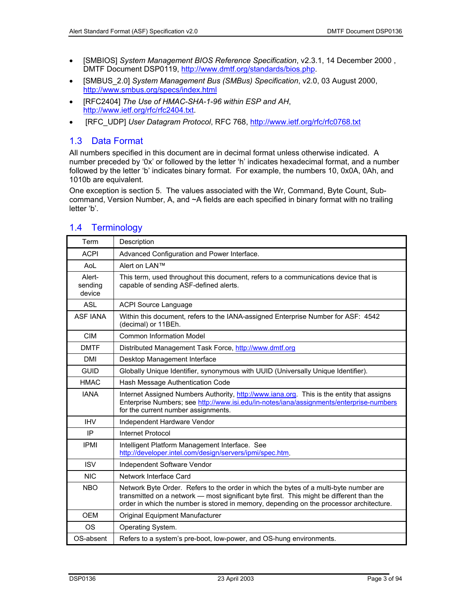- [SMBIOS] *System Management BIOS Reference Specification*, v2.3.1, 14 December 2000 , DMTF Document DSP0119, http://www.dmtf.org/standards/bios.php.
- [SMBUS\_2.0] *System Management Bus (SMBus) Specification*, v2.0, 03 August 2000, http://www.smbus.org/specs/index.html
- [RFC2404] *The Use of HMAC-SHA-1-96 within ESP and AH*, http://www.ietf.org/rfc/rfc2404.txt.
- [RFC\_UDP] *User Datagram Protocol*, RFC 768, http://www.ietf.org/rfc/rfc0768.txt

#### 1.3 Data Format

All numbers specified in this document are in decimal format unless otherwise indicated. A number preceded by '0x' or followed by the letter 'h' indicates hexadecimal format, and a number followed by the letter 'b' indicates binary format. For example, the numbers 10, 0x0A, 0Ah, and 1010b are equivalent.

One exception is section 5. The values associated with the Wr, Command, Byte Count, Subcommand, Version Number, A, and ~A fields are each specified in binary format with no trailing letter 'b'.

| Term                        | Description                                                                                                                                                                                                                                                                  |
|-----------------------------|------------------------------------------------------------------------------------------------------------------------------------------------------------------------------------------------------------------------------------------------------------------------------|
| <b>ACPI</b>                 | Advanced Configuration and Power Interface.                                                                                                                                                                                                                                  |
| AoL                         | Alert on LAN™                                                                                                                                                                                                                                                                |
| Alert-<br>sending<br>device | This term, used throughout this document, refers to a communications device that is<br>capable of sending ASF-defined alerts.                                                                                                                                                |
| <b>ASL</b>                  | <b>ACPI Source Language</b>                                                                                                                                                                                                                                                  |
| <b>ASF IANA</b>             | Within this document, refers to the IANA-assigned Enterprise Number for ASF: 4542<br>(decimal) or 11BEh.                                                                                                                                                                     |
| <b>CIM</b>                  | <b>Common Information Model</b>                                                                                                                                                                                                                                              |
| <b>DMTF</b>                 | Distributed Management Task Force, http://www.dmtf.org                                                                                                                                                                                                                       |
| <b>DMI</b>                  | Desktop Management Interface                                                                                                                                                                                                                                                 |
| <b>GUID</b>                 | Globally Unique Identifier, synonymous with UUID (Universally Unique Identifier).                                                                                                                                                                                            |
| <b>HMAC</b>                 | Hash Message Authentication Code                                                                                                                                                                                                                                             |
| <b>IANA</b>                 | Internet Assigned Numbers Authority, http://www.iana.org. This is the entity that assigns<br>Enterprise Numbers; see http://www.isi.edu/in-notes/iana/assignments/enterprise-numbers<br>for the current number assignments.                                                  |
| <b>IHV</b>                  | Independent Hardware Vendor                                                                                                                                                                                                                                                  |
| IP                          | <b>Internet Protocol</b>                                                                                                                                                                                                                                                     |
| <b>IPMI</b>                 | Intelligent Platform Management Interface. See<br>http://developer.intel.com/design/servers/ipmi/spec.htm.                                                                                                                                                                   |
| <b>ISV</b>                  | Independent Software Vendor                                                                                                                                                                                                                                                  |
| <b>NIC</b>                  | Network Interface Card                                                                                                                                                                                                                                                       |
| <b>NBO</b>                  | Network Byte Order. Refers to the order in which the bytes of a multi-byte number are<br>transmitted on a network - most significant byte first. This might be different than the<br>order in which the number is stored in memory, depending on the processor architecture. |
| <b>OEM</b>                  | Original Equipment Manufacturer                                                                                                                                                                                                                                              |
| <b>OS</b>                   | Operating System.                                                                                                                                                                                                                                                            |
| OS-absent                   | Refers to a system's pre-boot, low-power, and OS-hung environments.                                                                                                                                                                                                          |

#### 1.4 Terminology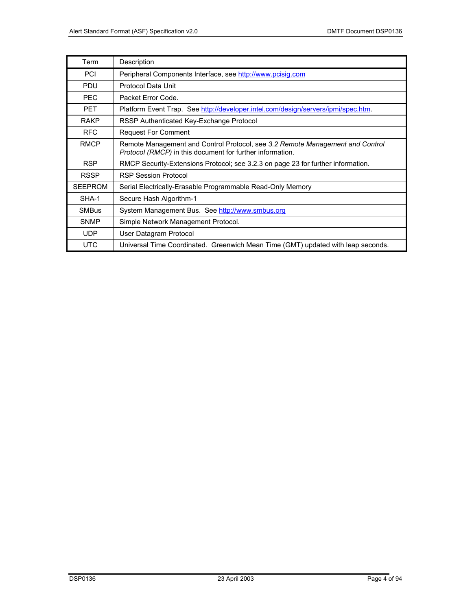| Term           | Description                                                                                                                                |
|----------------|--------------------------------------------------------------------------------------------------------------------------------------------|
| <b>PCI</b>     | Peripheral Components Interface, see http://www.pcisig.com                                                                                 |
| <b>PDU</b>     | Protocol Data Unit                                                                                                                         |
| <b>PEC</b>     | Packet Error Code.                                                                                                                         |
| <b>PET</b>     | Platform Event Trap. See http://developer.intel.com/design/servers/ipmi/spec.htm.                                                          |
| <b>RAKP</b>    | RSSP Authenticated Key-Exchange Protocol                                                                                                   |
| <b>RFC</b>     | <b>Request For Comment</b>                                                                                                                 |
| <b>RMCP</b>    | Remote Management and Control Protocol, see 3.2 Remote Management and Control<br>Protocol (RMCP) in this document for further information. |
| <b>RSP</b>     | RMCP Security-Extensions Protocol; see 3.2.3 on page 23 for further information.                                                           |
| <b>RSSP</b>    | <b>RSP Session Protocol</b>                                                                                                                |
| <b>SEEPROM</b> | Serial Electrically-Erasable Programmable Read-Only Memory                                                                                 |
| SHA-1          | Secure Hash Algorithm-1                                                                                                                    |
| <b>SMBus</b>   | System Management Bus. See http://www.smbus.org                                                                                            |
| <b>SNMP</b>    | Simple Network Management Protocol.                                                                                                        |
| <b>UDP</b>     | User Datagram Protocol                                                                                                                     |
| <b>UTC</b>     | Universal Time Coordinated. Greenwich Mean Time (GMT) updated with leap seconds.                                                           |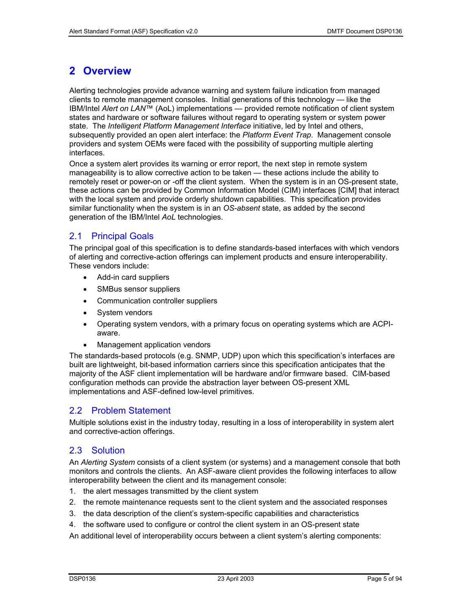### **2 Overview**

Alerting technologies provide advance warning and system failure indication from managed clients to remote management consoles. Initial generations of this technology — like the IBM/Intel *Alert on LAN*™ (AoL) implementations — provided remote notification of client system states and hardware or software failures without regard to operating system or system power state. The *Intelligent Platform Management Interface* initiative, led by Intel and others, subsequently provided an open alert interface: the *Platform Event Trap*. Management console providers and system OEMs were faced with the possibility of supporting multiple alerting interfaces.

Once a system alert provides its warning or error report, the next step in remote system manageability is to allow corrective action to be taken — these actions include the ability to remotely reset or power-on or -off the client system. When the system is in an OS-present state, these actions can be provided by Common Information Model (CIM) interfaces [CIM] that interact with the local system and provide orderly shutdown capabilities. This specification provides similar functionality when the system is in an *OS-absent* state, as added by the second generation of the IBM/Intel *AoL* technologies.

#### 2.1 Principal Goals

The principal goal of this specification is to define standards-based interfaces with which vendors of alerting and corrective-action offerings can implement products and ensure interoperability. These vendors include:

- Add-in card suppliers
- SMBus sensor suppliers
- Communication controller suppliers
- System vendors
- Operating system vendors, with a primary focus on operating systems which are ACPIaware.
- Management application vendors

The standards-based protocols (e.g. SNMP, UDP) upon which this specification's interfaces are built are lightweight, bit-based information carriers since this specification anticipates that the majority of the ASF client implementation will be hardware and/or firmware based. CIM-based configuration methods can provide the abstraction layer between OS-present XML implementations and ASF-defined low-level primitives.

#### 2.2 Problem Statement

Multiple solutions exist in the industry today, resulting in a loss of interoperability in system alert and corrective-action offerings.

#### 2.3 Solution

An *Alerting System* consists of a client system (or systems) and a management console that both monitors and controls the clients. An ASF-aware client provides the following interfaces to allow interoperability between the client and its management console:

- 1. the alert messages transmitted by the client system
- 2. the remote maintenance requests sent to the client system and the associated responses
- 3. the data description of the client's system-specific capabilities and characteristics
- 4. the software used to configure or control the client system in an OS-present state

An additional level of interoperability occurs between a client system's alerting components: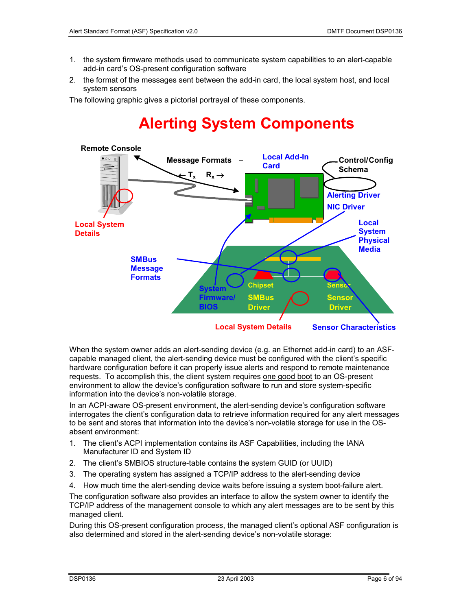- 1. the system firmware methods used to communicate system capabilities to an alert-capable add-in card's OS-present configuration software
- 2. the format of the messages sent between the add-in card, the local system host, and local system sensors

The following graphic gives a pictorial portrayal of these components.

## **Alerting System Components**



When the system owner adds an alert-sending device (e.g. an Ethernet add-in card) to an ASFcapable managed client, the alert-sending device must be configured with the client's specific hardware configuration before it can properly issue alerts and respond to remote maintenance requests. To accomplish this, the client system requires one good boot to an OS-present environment to allow the device's configuration software to run and store system-specific information into the device's non-volatile storage.

In an ACPI-aware OS-present environment, the alert-sending device's configuration software interrogates the client's configuration data to retrieve information required for any alert messages to be sent and stores that information into the device's non-volatile storage for use in the OSabsent environment:

- 1. The client's ACPI implementation contains its ASF Capabilities, including the IANA Manufacturer ID and System ID
- 2. The client's SMBIOS structure-table contains the system GUID (or UUID)
- 3. The operating system has assigned a TCP/IP address to the alert-sending device
- 4. How much time the alert-sending device waits before issuing a system boot-failure alert.

The configuration software also provides an interface to allow the system owner to identify the TCP/IP address of the management console to which any alert messages are to be sent by this managed client.

During this OS-present configuration process, the managed client's optional ASF configuration is also determined and stored in the alert-sending device's non-volatile storage: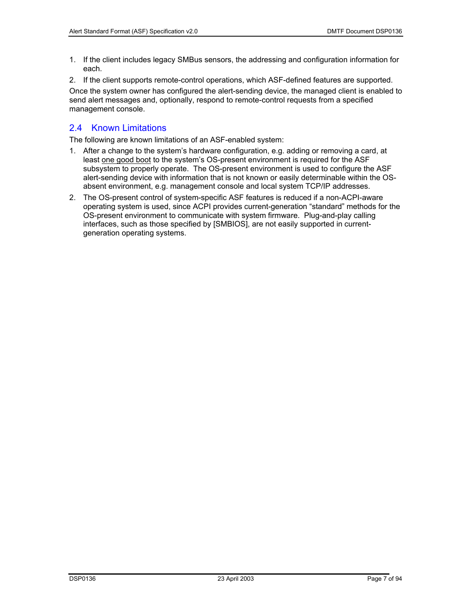- 1. If the client includes legacy SMBus sensors, the addressing and configuration information for each.
- 2. If the client supports remote-control operations, which ASF-defined features are supported.

Once the system owner has configured the alert-sending device, the managed client is enabled to send alert messages and, optionally, respond to remote-control requests from a specified management console.

#### 2.4 Known Limitations

The following are known limitations of an ASF-enabled system:

- 1. After a change to the system's hardware configuration, e.g. adding or removing a card, at least one good boot to the system's OS-present environment is required for the ASF subsystem to properly operate. The OS-present environment is used to configure the ASF alert-sending device with information that is not known or easily determinable within the OSabsent environment, e.g. management console and local system TCP/IP addresses.
- 2. The OS-present control of system-specific ASF features is reduced if a non-ACPI-aware operating system is used, since ACPI provides current-generation "standard" methods for the OS-present environment to communicate with system firmware. Plug-and-play calling interfaces, such as those specified by [SMBIOS], are not easily supported in currentgeneration operating systems.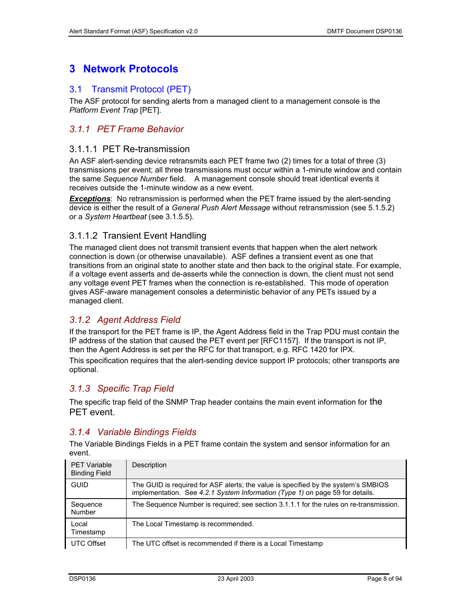#### **3 Network Protocols**

#### 3.1 Transmit Protocol (PET)

The ASF protocol for sending alerts from a managed client to a management console is the *Platform Event Trap* [PET].

#### *3.1.1 PET Frame Behavior*

#### 3.1.1.1 PET Re-transmission

An ASF alert-sending device retransmits each PET frame two (2) times for a total of three (3) transmissions per event; all three transmissions must occur within a 1-minute window and contain the same *Sequence Number* field. A management console should treat identical events it receives outside the 1-minute window as a new event.

*Exceptions*: No retransmission is performed when the PET frame issued by the alert-sending device is either the result of a *General Push Alert Message* without retransmission (see 5.1.5.2) or a *System Heartbeat* (see 3.1.5.5).

#### 3.1.1.2 Transient Event Handling

The managed client does not transmit transient events that happen when the alert network connection is down (or otherwise unavailable). ASF defines a transient event as one that transitions from an original state to another state and then back to the original state. For example, if a voltage event asserts and de-asserts while the connection is down, the client must not send any voltage event PET frames when the connection is re-established. This mode of operation gives ASF-aware management consoles a deterministic behavior of any PETs issued by a managed client.

#### *3.1.2 Agent Address Field*

If the transport for the PET frame is IP, the Agent Address field in the Trap PDU must contain the IP address of the station that caused the PET event per [RFC1157]. If the transport is not IP, then the Agent Address is set per the RFC for that transport, e.g. RFC 1420 for IPX.

This specification requires that the alert-sending device support IP protocols; other transports are optional.

#### *3.1.3 Specific Trap Field*

The specific trap field of the SNMP Trap header contains the main event information for the PET event.

#### *3.1.4 Variable Bindings Fields*

The Variable Bindings Fields in a PET frame contain the system and sensor information for an event.

| <b>PET Variable</b><br><b>Binding Field</b> | Description                                                                                                                                                         |
|---------------------------------------------|---------------------------------------------------------------------------------------------------------------------------------------------------------------------|
| <b>GUID</b>                                 | The GUID is required for ASF alerts; the value is specified by the system's SMBIOS<br>implementation. See 4.2.1 System Information (Type 1) on page 59 for details. |
| Sequence<br><b>Number</b>                   | The Sequence Number is required; see section 3.1.1.1 for the rules on re-transmission.                                                                              |
| Local<br>Timestamp                          | The Local Timestamp is recommended.                                                                                                                                 |
| <b>UTC Offset</b>                           | The UTC offset is recommended if there is a Local Timestamp                                                                                                         |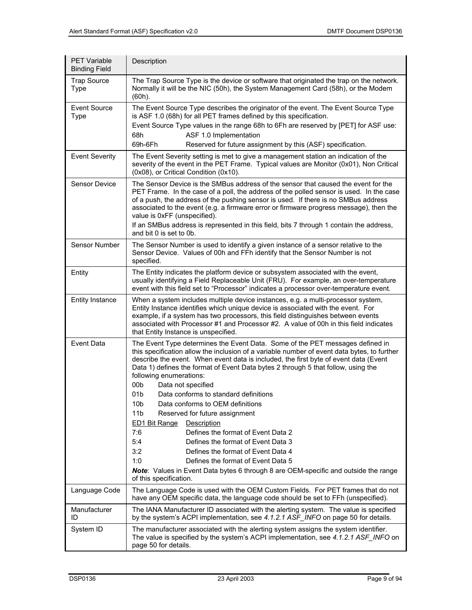| <b>PET Variable</b><br><b>Binding Field</b> | Description                                                                                                                                                                                                                                                                                                                                                                                                                                                                                                                                                                                                                                                                                                                                                                                                                                                                                                                                       |  |  |  |  |
|---------------------------------------------|---------------------------------------------------------------------------------------------------------------------------------------------------------------------------------------------------------------------------------------------------------------------------------------------------------------------------------------------------------------------------------------------------------------------------------------------------------------------------------------------------------------------------------------------------------------------------------------------------------------------------------------------------------------------------------------------------------------------------------------------------------------------------------------------------------------------------------------------------------------------------------------------------------------------------------------------------|--|--|--|--|
| <b>Trap Source</b><br>Type                  | The Trap Source Type is the device or software that originated the trap on the network.<br>Normally it will be the NIC (50h), the System Management Card (58h), or the Modem<br>(60h).                                                                                                                                                                                                                                                                                                                                                                                                                                                                                                                                                                                                                                                                                                                                                            |  |  |  |  |
| <b>Event Source</b><br><b>Type</b>          | The Event Source Type describes the originator of the event. The Event Source Type<br>is ASF 1.0 (68h) for all PET frames defined by this specification.<br>Event Source Type values in the range 68h to 6Fh are reserved by [PET] for ASF use:<br>68h<br>ASF 1.0 Implementation<br>69h-6Fh<br>Reserved for future assignment by this (ASF) specification.                                                                                                                                                                                                                                                                                                                                                                                                                                                                                                                                                                                        |  |  |  |  |
| <b>Event Severity</b>                       | The Event Severity setting is met to give a management station an indication of the<br>severity of the event in the PET Frame. Typical values are Monitor (0x01), Non Critical<br>(0x08), or Critical Condition (0x10).                                                                                                                                                                                                                                                                                                                                                                                                                                                                                                                                                                                                                                                                                                                           |  |  |  |  |
| <b>Sensor Device</b>                        | The Sensor Device is the SMBus address of the sensor that caused the event for the<br>PET Frame. In the case of a poll, the address of the polled sensor is used. In the case<br>of a push, the address of the pushing sensor is used. If there is no SMBus address<br>associated to the event (e.g. a firmware error or firmware progress message), then the<br>value is 0xFF (unspecified).<br>If an SMBus address is represented in this field, bits 7 through 1 contain the address,<br>and bit 0 is set to 0b.                                                                                                                                                                                                                                                                                                                                                                                                                               |  |  |  |  |
| Sensor Number                               | The Sensor Number is used to identify a given instance of a sensor relative to the<br>Sensor Device. Values of 00h and FFh identify that the Sensor Number is not<br>specified.                                                                                                                                                                                                                                                                                                                                                                                                                                                                                                                                                                                                                                                                                                                                                                   |  |  |  |  |
| Entity                                      | The Entity indicates the platform device or subsystem associated with the event,<br>usually identifying a Field Replaceable Unit (FRU). For example, an over-temperature<br>event with this field set to "Processor" indicates a processor over-temperature event.                                                                                                                                                                                                                                                                                                                                                                                                                                                                                                                                                                                                                                                                                |  |  |  |  |
| <b>Entity Instance</b>                      | When a system includes multiple device instances, e.g. a multi-processor system,<br>Entity Instance identifies which unique device is associated with the event. For<br>example, if a system has two processors, this field distinguishes between events<br>associated with Processor #1 and Processor #2. A value of 00h in this field indicates<br>that Entity Instance is unspecified.                                                                                                                                                                                                                                                                                                                                                                                                                                                                                                                                                         |  |  |  |  |
| Event Data                                  | The Event Type determines the Event Data. Some of the PET messages defined in<br>this specification allow the inclusion of a variable number of event data bytes, to further<br>describe the event. When event data is included, the first byte of event data (Event<br>Data 1) defines the format of Event Data bytes 2 through 5 that follow, using the<br>following enumerations:<br>00 <sub>b</sub><br>Data not specified<br>01 <sub>b</sub><br>Data conforms to standard definitions<br>Data conforms to OEM definitions<br>10 <sub>b</sub><br>11 <sub>b</sub><br>Reserved for future assignment<br>ED1 Bit Range<br>Description<br>Defines the format of Event Data 2<br>7:6<br>Defines the format of Event Data 3<br>5:4<br>3:2<br>Defines the format of Event Data 4<br>1:0<br>Defines the format of Event Data 5<br><b>Note:</b> Values in Event Data bytes 6 through 8 are OEM-specific and outside the range<br>of this specification. |  |  |  |  |
| Language Code                               | The Language Code is used with the OEM Custom Fields. For PET frames that do not<br>have any OEM specific data, the language code should be set to FFh (unspecified).                                                                                                                                                                                                                                                                                                                                                                                                                                                                                                                                                                                                                                                                                                                                                                             |  |  |  |  |
| Manufacturer<br>ID                          | The IANA Manufacturer ID associated with the alerting system. The value is specified<br>by the system's ACPI implementation, see 4.1.2.1 ASF_INFO on page 50 for details.                                                                                                                                                                                                                                                                                                                                                                                                                                                                                                                                                                                                                                                                                                                                                                         |  |  |  |  |
| System ID                                   | The manufacturer associated with the alerting system assigns the system identifier.<br>The value is specified by the system's ACPI implementation, see 4.1.2.1 ASF_INFO on<br>page 50 for details.                                                                                                                                                                                                                                                                                                                                                                                                                                                                                                                                                                                                                                                                                                                                                |  |  |  |  |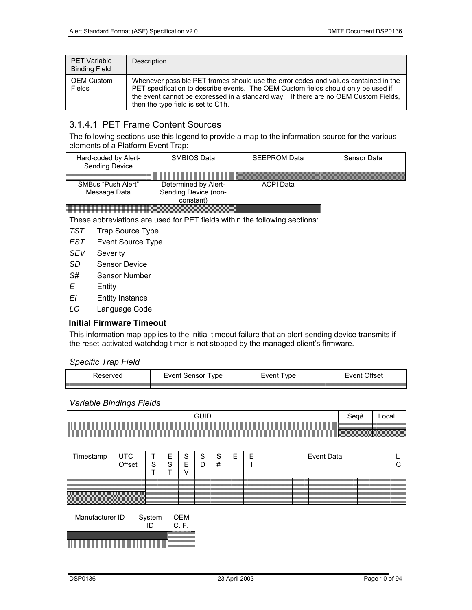| <b>PET Variable</b><br><b>Binding Field</b> | Description                                                                                                                                                                                                                                                                                            |
|---------------------------------------------|--------------------------------------------------------------------------------------------------------------------------------------------------------------------------------------------------------------------------------------------------------------------------------------------------------|
| <b>OEM Custom</b><br>Fields                 | Whenever possible PET frames should use the error codes and values contained in the<br>PET specification to describe events. The OEM Custom fields should only be used if<br>the event cannot be expressed in a standard way. If there are no OEM Custom Fields,<br>then the type field is set to C1h. |

#### 3.1.4.1 PET Frame Content Sources

The following sections use this legend to provide a map to the information source for the various elements of a Platform Event Trap:

| Hard-coded by Alert-<br><b>Sending Device</b> | <b>SMBIOS Data</b>                                        | <b>SEEPROM Data</b> | Sensor Data |  |
|-----------------------------------------------|-----------------------------------------------------------|---------------------|-------------|--|
| SMBus "Push Alert"<br>Message Data            | Determined by Alert-<br>Sending Device (non-<br>constant) | <b>ACPI Data</b>    |             |  |
|                                               |                                                           |                     |             |  |

These abbreviations are used for PET fields within the following sections:

- *TST* Trap Source Type
- *EST* Event Source Type
- *SEV* Severity
- *SD* Sensor Device
- *S#* Sensor Number
- *E* Entity
- *EI* Entity Instance
- *LC* Language Code

#### **Initial Firmware Timeout**

This information map applies to the initial timeout failure that an alert-sending device transmits if the reset-activated watchdog timer is not stopped by the managed client's firmware.

|  |  |  | <b>Specific Trap Field</b> |  |
|--|--|--|----------------------------|--|
|  |  |  |                            |  |

| Reserved | Event Sensor Type | vpe<br>E∨ent | Event Offset |
|----------|-------------------|--------------|--------------|
|          |                   |              |              |

#### *Variable Bindings Fields*

| <u> Inggris de la propinsion de la propinsion de la propinsion de la propinsion de la propinsion de la propinsion de la propinsion de la propinsion de la propinsion de la propinsion de la propinsion de la propinsion de la pr</u> |  |
|--------------------------------------------------------------------------------------------------------------------------------------------------------------------------------------------------------------------------------------|--|

| Timestamp              | UTC<br>Offset | S | -<br>⊢<br>S | S<br>- | ⌒ | ິ | -<br>ᄂ | Event Data |  |  |  |  |  |  |  |
|------------------------|---------------|---|-------------|--------|---|---|--------|------------|--|--|--|--|--|--|--|
| <u> a strong parti</u> |               |   |             |        |   |   |        |            |  |  |  |  |  |  |  |

| Manufacturer ID | System | OFM<br>C. |
|-----------------|--------|-----------|
|                 |        |           |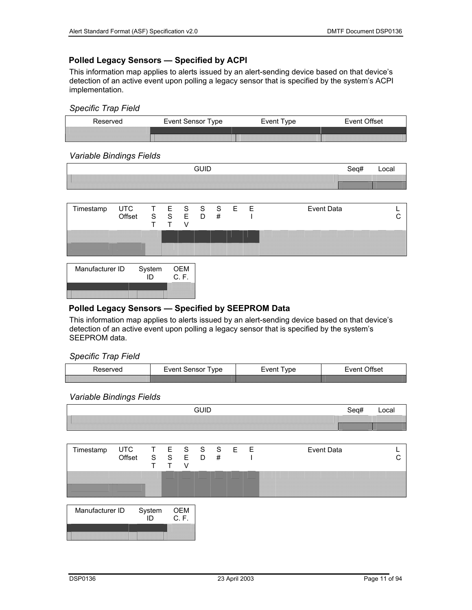#### **Polled Legacy Sensors — Specified by ACPI**

This information map applies to alerts issued by an alert-sending device based on that device's detection of an active event upon polling a legacy sensor that is specified by the system's ACPI implementation.

#### *Specific Trap Field*



#### *Variable Bindings Fields*



#### **Polled Legacy Sensors — Specified by SEEPROM Data**

This information map applies to alerts issued by an alert-sending device based on that device's detection of an active event upon polling a legacy sensor that is specified by the system's SEEPROM data.

#### *Specific Trap Field*

| e de la propie de la propie de la propie de la propie de la propie de la propie de la propie de la propie de l |  |
|----------------------------------------------------------------------------------------------------------------|--|

*Variable Bindings Fields* 

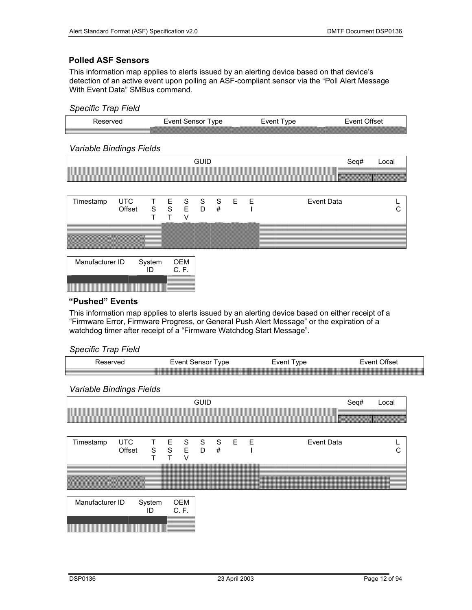#### **Polled ASF Sensors**

This information map applies to alerts issued by an alerting device based on that device's detection of an active event upon polling an ASF-compliant sensor via the "Poll Alert Message With Event Data" SMBus command.

#### *Specific Trap Field*

|  | Taman kalendar dan kalendar dan menjadi kalendar pada hasil dan menjadi kalendar dan menjadi kalendar menjadi k |  |
|--|-----------------------------------------------------------------------------------------------------------------|--|

#### *Variable Bindings Fields*





| Manufacturer ID | System | OFM<br>C. F. |
|-----------------|--------|--------------|
|                 |        |              |

#### **"Pushed" Events**

This information map applies to alerts issued by an alerting device based on either receipt of a "Firmware Error, Firmware Progress, or General Push Alert Message" or the expiration of a watchdog timer after receipt of a "Firmware Watchdog Start Message".

#### *Specific Trap Field*

| WILL. |  |
|-------|--|

*Variable Bindings Fields* 

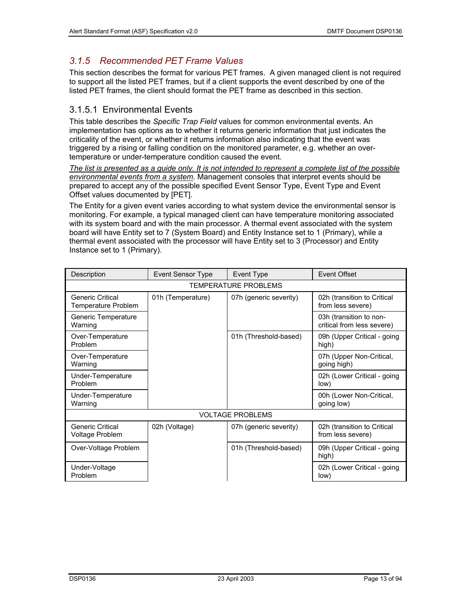#### *3.1.5 Recommended PET Frame Values*

This section describes the format for various PET frames. A given managed client is not required to support all the listed PET frames, but if a client supports the event described by one of the listed PET frames, the client should format the PET frame as described in this section.

#### 3.1.5.1 Environmental Events

This table describes the *Specific Trap Field* values for common environmental events. An implementation has options as to whether it returns generic information that just indicates the criticality of the event, or whether it returns information also indicating that the event was triggered by a rising or falling condition on the monitored parameter, e.g. whether an overtemperature or under-temperature condition caused the event.

*The list is presented as a guide only. It is not intended to represent a complete list of the possible environmental events from a system*. Management consoles that interpret events should be prepared to accept any of the possible specified Event Sensor Type, Event Type and Event Offset values documented by [PET].

The Entity for a given event varies according to what system device the environmental sensor is monitoring. For example, a typical managed client can have temperature monitoring associated with its system board and with the main processor. A thermal event associated with the system board will have Entity set to 7 (System Board) and Entity Instance set to 1 (Primary), while a thermal event associated with the processor will have Entity set to 3 (Processor) and Entity Instance set to 1 (Primary).

| Description                                                         | <b>Event Sensor Type</b> | Event Type                  | Event Offset                                          |
|---------------------------------------------------------------------|--------------------------|-----------------------------|-------------------------------------------------------|
|                                                                     |                          | <b>TEMPERATURE PROBLEMS</b> |                                                       |
| <b>Generic Critical</b><br>01h (Temperature)<br>Temperature Problem |                          | 07h (generic severity)      | 02h (transition to Critical<br>from less severe)      |
| Generic Temperature<br>Warning                                      |                          |                             | 03h (transition to non-<br>critical from less severe) |
| Over-Temperature<br>Problem                                         |                          | 01h (Threshold-based)       | 09h (Upper Critical - going<br>high)                  |
| Over-Temperature<br>Warning                                         |                          |                             | 07h (Upper Non-Critical,<br>going high)               |
| Under-Temperature<br>Problem                                        |                          |                             | 02h (Lower Critical - going<br>low)                   |
| Under-Temperature<br>Warning                                        |                          |                             | 00h (Lower Non-Critical,<br>going low)                |
|                                                                     |                          | <b>VOLTAGE PROBLEMS</b>     |                                                       |
| <b>Generic Critical</b><br>Voltage Problem                          | 02h (Voltage)            | 07h (generic severity)      | 02h (transition to Critical<br>from less severe)      |
| Over-Voltage Problem                                                |                          | 01h (Threshold-based)       | 09h (Upper Critical - going<br>high)                  |
| Under-Voltage<br>Problem                                            |                          |                             | 02h (Lower Critical - going<br>low)                   |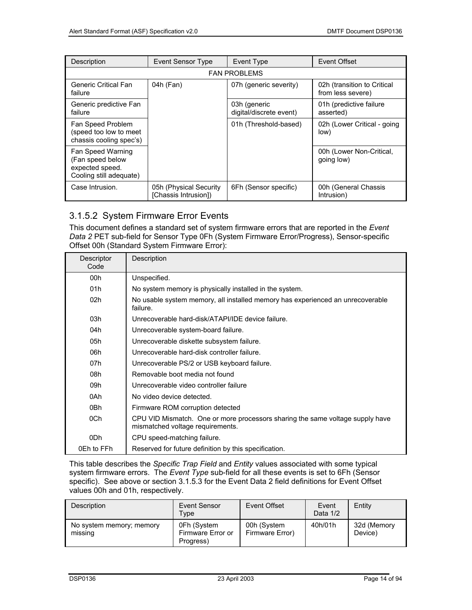| Description                                                                         | Event Sensor Type                              | Event Type                              | Event Offset                                     |  |  |  |
|-------------------------------------------------------------------------------------|------------------------------------------------|-----------------------------------------|--------------------------------------------------|--|--|--|
| <b>FAN PROBLEMS</b>                                                                 |                                                |                                         |                                                  |  |  |  |
| Generic Critical Fan<br>failure                                                     | 04h (Fan)                                      | 07h (generic severity)                  | 02h (transition to Critical<br>from less severe) |  |  |  |
| Generic predictive Fan<br>failure                                                   |                                                | 03h (generic<br>digital/discrete event) | 01h (predictive failure<br>asserted)             |  |  |  |
| Fan Speed Problem<br>(speed too low to meet<br>chassis cooling spec's)              |                                                | 01h (Threshold-based)                   | 02h (Lower Critical - going<br>low)              |  |  |  |
| Fan Speed Warning<br>(Fan speed below<br>expected speed.<br>Cooling still adequate) |                                                |                                         | 00h (Lower Non-Critical,<br>going low)           |  |  |  |
| Case Intrusion.                                                                     | 05h (Physical Security<br>[Chassis Intrusion]) | 6Fh (Sensor specific)                   | 00h (General Chassis<br>Intrusion)               |  |  |  |

#### 3.1.5.2 System Firmware Error Events

This document defines a standard set of system firmware errors that are reported in the *Event Data 2* PET sub-field for Sensor Type 0Fh (System Firmware Error/Progress), Sensor-specific Offset 00h (Standard System Firmware Error):

| Descriptor<br>Code | Description                                                                                                       |
|--------------------|-------------------------------------------------------------------------------------------------------------------|
| 00 <sub>h</sub>    | Unspecified.                                                                                                      |
| 01h                | No system memory is physically installed in the system.                                                           |
| 02h                | No usable system memory, all installed memory has experienced an unrecoverable<br>failure.                        |
| 03h                | Unrecoverable hard-disk/ATAPI/IDE device failure.                                                                 |
| 04h                | Unrecoverable system-board failure.                                                                               |
| 05h                | Unrecoverable diskette subsystem failure.                                                                         |
| 06h                | Unrecoverable hard-disk controller failure.                                                                       |
| 07h                | Unrecoverable PS/2 or USB keyboard failure.                                                                       |
| 08h                | Removable boot media not found                                                                                    |
| 09h                | Unrecoverable video controller failure                                                                            |
| 0Ah                | No video device detected.                                                                                         |
| 0Bh                | Firmware ROM corruption detected                                                                                  |
| 0Ch                | CPU VID Mismatch. One or more processors sharing the same voltage supply have<br>mismatched voltage requirements. |
| 0Dh                | CPU speed-matching failure.                                                                                       |
| 0Eh to FFh         | Reserved for future definition by this specification.                                                             |

This table describes the *Specific Trap Field* and *Entity* values associated with some typical system firmware errors. The *Event Type* sub-field for all these events is set to 6Fh (Sensor specific). See above or section 3.1.5.3 for the Event Data 2 field definitions for Event Offset values 00h and 01h, respectively.

| Description                         | Event Sensor<br>Type                          | Event Offset                   | Event<br>Data $1/2$ | Entity                 |
|-------------------------------------|-----------------------------------------------|--------------------------------|---------------------|------------------------|
| No system memory; memory<br>missing | 0Fh (System<br>Firmware Error or<br>Progress) | 00h (System<br>Firmware Error) | 40h/01h             | 32d (Memory<br>Device) |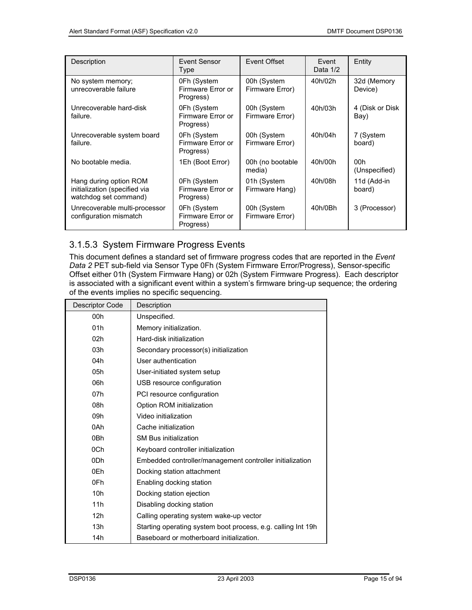| Description                                                                      | Event Sensor<br>Type                          | Event Offset                   | Event<br>Data 1/2 | Entity                  |
|----------------------------------------------------------------------------------|-----------------------------------------------|--------------------------------|-------------------|-------------------------|
| No system memory;<br>unrecoverable failure                                       | 0Fh (System<br>Firmware Error or<br>Progress) | 00h (System<br>Firmware Error) | 40h/02h           | 32d (Memory<br>Device)  |
| Unrecoverable hard-disk<br>failure.                                              | 0Fh (System<br>Firmware Error or<br>Progress) | 00h (System<br>Firmware Error) | 40h/03h           | 4 (Disk or Disk<br>Bay) |
| Unrecoverable system board<br>failure.                                           | 0Fh (System<br>Firmware Error or<br>Progress) | 00h (System<br>Firmware Error) | 40h/04h           | 7 (System<br>board)     |
| No bootable media.                                                               | 1Eh (Boot Error)                              | 00h (no bootable<br>media)     | 40h/00h           | 00h<br>(Unspecified)    |
| Hang during option ROM<br>initialization (specified via<br>watchdog set command) | 0Fh (System<br>Firmware Error or<br>Progress) | 01h (System<br>Firmware Hang)  | 40h/08h           | 11d (Add-in<br>board)   |
| Unrecoverable multi-processor<br>configuration mismatch                          | 0Fh (System<br>Firmware Error or<br>Progress) | 00h (System<br>Firmware Error) | 40h/0Bh           | 3 (Processor)           |

#### 3.1.5.3 System Firmware Progress Events

This document defines a standard set of firmware progress codes that are reported in the *Event Data 2* PET sub-field via Sensor Type 0Fh (System Firmware Error/Progress), Sensor-specific Offset either 01h (System Firmware Hang) or 02h (System Firmware Progress). Each descriptor is associated with a significant event within a system's firmware bring-up sequence; the ordering of the events implies no specific sequencing.

| <b>Descriptor Code</b> | Description                                                  |
|------------------------|--------------------------------------------------------------|
| 00h                    | Unspecified.                                                 |
| 01h                    | Memory initialization.                                       |
| 02h                    | Hard-disk initialization                                     |
| 03h                    | Secondary processor(s) initialization                        |
| 04h                    | User authentication                                          |
| 05h                    | User-initiated system setup                                  |
| 06h                    | USB resource configuration                                   |
| 07h                    | PCI resource configuration                                   |
| 08h                    | Option ROM initialization                                    |
| 09h                    | Video initialization                                         |
| 0Ah                    | Cache initialization                                         |
| 0 <sub>Bh</sub>        | <b>SM Bus initialization</b>                                 |
| 0Ch                    | Keyboard controller initialization                           |
| 0 <sub>Dh</sub>        | Embedded controller/management controller initialization     |
| 0Eh                    | Docking station attachment                                   |
| 0Fh                    | Enabling docking station                                     |
| 10 <sub>h</sub>        | Docking station ejection                                     |
| 11h                    | Disabling docking station                                    |
| 12 <sub>h</sub>        | Calling operating system wake-up vector                      |
| 13h                    | Starting operating system boot process, e.g. calling Int 19h |
| 14h                    | Baseboard or motherboard initialization.                     |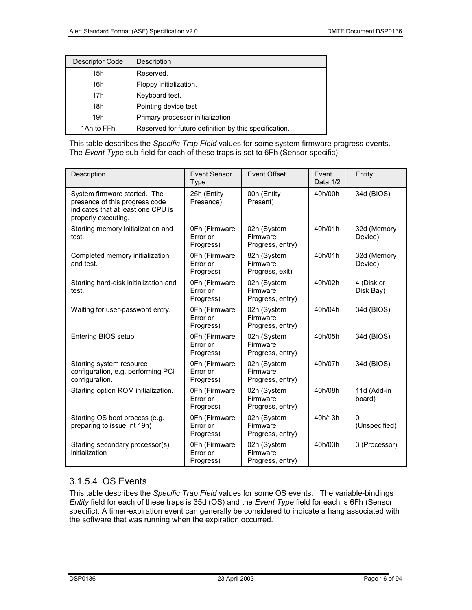| <b>Descriptor Code</b> | Description                                           |
|------------------------|-------------------------------------------------------|
| 15h                    | Reserved.                                             |
| 16h                    | Floppy initialization.                                |
| 17 <sub>h</sub>        | Keyboard test.                                        |
| 18h                    | Pointing device test                                  |
| 19 <sub>h</sub>        | Primary processor initialization                      |
| 1Ah to FFh             | Reserved for future definition by this specification. |

This table describes the *Specific Trap Field* values for some system firmware progress events. The *Event Type* sub-field for each of these traps is set to 6Fh (Sensor-specific).

| Description                                                                                                                 | Event Sensor<br><b>Type</b>            | <b>Event Offset</b>                         | Event<br>Data 1/2 | Entity                    |
|-----------------------------------------------------------------------------------------------------------------------------|----------------------------------------|---------------------------------------------|-------------------|---------------------------|
| System firmware started. The<br>presence of this progress code<br>indicates that at least one CPU is<br>properly executing. | 25h (Entity<br>Presence)               | 00h (Entity<br>Present)                     | 40h/00h           | 34d (BIOS)                |
| Starting memory initialization and<br>test.                                                                                 | 0Fh (Firmware<br>Error or<br>Progress) | 02h (System<br>Firmware<br>Progress, entry) | 40h/01h           | 32d (Memory<br>Device)    |
| Completed memory initialization<br>and test.                                                                                | 0Fh (Firmware<br>Error or<br>Progress) | 82h (System<br>Firmware<br>Progress, exit)  | 40h/01h           | 32d (Memory<br>Device)    |
| Starting hard-disk initialization and<br>test.                                                                              | 0Fh (Firmware<br>Error or<br>Progress) | 02h (System<br>Firmware<br>Progress, entry) | 40h/02h           | 4 (Disk or<br>Disk Bay)   |
| Waiting for user-password entry.                                                                                            | 0Fh (Firmware<br>Error or<br>Progress) | 02h (System<br>Firmware<br>Progress, entry) | 40h/04h           | 34d (BIOS)                |
| Entering BIOS setup.                                                                                                        | 0Fh (Firmware<br>Error or<br>Progress) | 02h (System<br>Firmware<br>Progress, entry) | 40h/05h           | 34d (BIOS)                |
| Starting system resource<br>configuration, e.g. performing PCI<br>configuration.                                            | 0Fh (Firmware<br>Error or<br>Progress) | 02h (System<br>Firmware<br>Progress, entry) | 40h/07h           | 34d (BIOS)                |
| Starting option ROM initialization.                                                                                         | 0Fh (Firmware<br>Error or<br>Progress) | 02h (System<br>Firmware<br>Progress, entry) | 40h/08h           | 11d (Add-in<br>board)     |
| Starting OS boot process (e.g.<br>preparing to issue Int 19h)                                                               | 0Fh (Firmware<br>Error or<br>Progress) | 02h (System<br>Firmware<br>Progress, entry) | 40h/13h           | $\Omega$<br>(Unspecified) |
| Starting secondary processor(s)'<br>initialization                                                                          | 0Fh (Firmware<br>Error or<br>Progress) | 02h (System<br>Firmware<br>Progress, entry) | 40h/03h           | 3 (Processor)             |

#### 3.1.5.4 OS Events

This table describes the *Specific Trap Field* values for some OS events. The variable-bindings *Entity* field for each of these traps is 35d (OS) and the *Event Type* field for each is 6Fh (Sensor specific). A timer-expiration event can generally be considered to indicate a hang associated with the software that was running when the expiration occurred.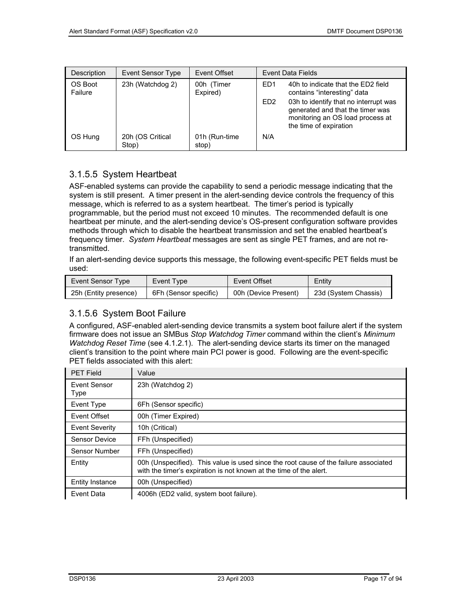| Description        | Event Sensor Type         | Event Offset            |                 | Event Data Fields                                                                                                                       |
|--------------------|---------------------------|-------------------------|-----------------|-----------------------------------------------------------------------------------------------------------------------------------------|
| OS Boot<br>Failure | 23h (Watchdog 2)          | 00h (Timer<br>Expired)  | ED <sub>1</sub> | 40h to indicate that the ED2 field<br>contains "interesting" data                                                                       |
|                    |                           |                         | ED <sub>2</sub> | 03h to identify that no interrupt was<br>generated and that the timer was<br>monitoring an OS load process at<br>the time of expiration |
| OS Hung            | 20h (OS Critical<br>Stop) | 01h (Run-time)<br>stop) | N/A             |                                                                                                                                         |

#### 3.1.5.5 System Heartbeat

ASF-enabled systems can provide the capability to send a periodic message indicating that the system is still present. A timer present in the alert-sending device controls the frequency of this message, which is referred to as a system heartbeat. The timer's period is typically programmable, but the period must not exceed 10 minutes. The recommended default is one heartbeat per minute, and the alert-sending device's OS-present configuration software provides methods through which to disable the heartbeat transmission and set the enabled heartbeat's frequency timer. *System Heartbeat* messages are sent as single PET frames, and are not retransmitted.

If an alert-sending device supports this message, the following event-specific PET fields must be used:

| Event Sensor Type     | Event Type            | Event Offset         | Entity               |
|-----------------------|-----------------------|----------------------|----------------------|
| 25h (Entity presence) | 6Fh (Sensor specific) | 00h (Device Present) | 23d (System Chassis) |

#### 3.1.5.6 System Boot Failure

A configured, ASF-enabled alert-sending device transmits a system boot failure alert if the system firmware does not issue an SMBus *Stop Watchdog Timer* command within the client's *Minimum Watchdog Reset Time* (see 4.1.2.1). The alert-sending device starts its timer on the managed client's transition to the point where main PCI power is good. Following are the event-specific PET fields associated with this alert:

| <b>PET Field</b>      | Value                                                                                                                                                      |
|-----------------------|------------------------------------------------------------------------------------------------------------------------------------------------------------|
| Event Sensor<br>Type  | 23h (Watchdog 2)                                                                                                                                           |
| Event Type            | 6Fh (Sensor specific)                                                                                                                                      |
| Event Offset          | 00h (Timer Expired)                                                                                                                                        |
| <b>Event Severity</b> | 10h (Critical)                                                                                                                                             |
| Sensor Device         | FFh (Unspecified)                                                                                                                                          |
| Sensor Number         | FFh (Unspecified)                                                                                                                                          |
| Entity                | 00h (Unspecified). This value is used since the root cause of the failure associated<br>with the timer's expiration is not known at the time of the alert. |
| Entity Instance       | 00h (Unspecified)                                                                                                                                          |
| Event Data            | 4006h (ED2 valid, system boot failure).                                                                                                                    |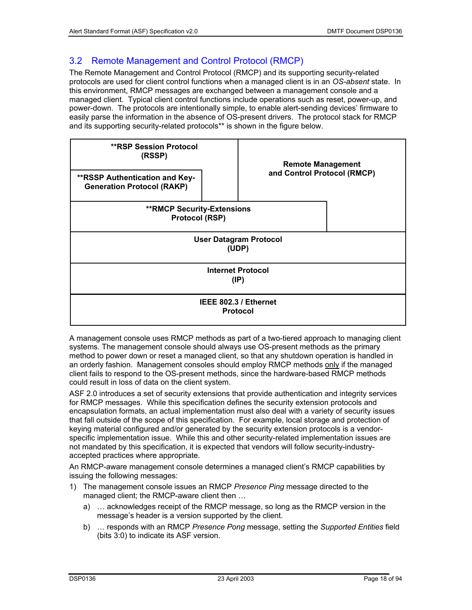#### 3.2 Remote Management and Control Protocol (RMCP)

The Remote Management and Control Protocol (RMCP) and its supporting security-related protocols are used for client control functions when a managed client is in an *OS-absent* state. In this environment, RMCP messages are exchanged between a management console and a managed client. Typical client control functions include operations such as reset, power-up, and power-down. The protocols are intentionally simple, to enable alert-sending devices' firmware to easily parse the information in the absence of OS-present drivers. The protocol stack for RMCP and its supporting security-related protocols\*\* is shown in the figure below.

| <b>**RSP Session Protocol</b><br>(RSSP)<br>**RSSP Authentication and Key-<br><b>Generation Protocol (RAKP)</b> | <b>Remote Management</b><br>and Control Protocol (RMCP) |  |  |  |
|----------------------------------------------------------------------------------------------------------------|---------------------------------------------------------|--|--|--|
| <b>**RMCP Security-Extensions</b><br><b>Protocol (RSP)</b>                                                     |                                                         |  |  |  |
| <b>User Datagram Protocol</b><br>(UDP)                                                                         |                                                         |  |  |  |
| <b>Internet Protocol</b><br>(IP)                                                                               |                                                         |  |  |  |
| IEEE 802.3 / Ethernet<br><b>Protocol</b>                                                                       |                                                         |  |  |  |

A management console uses RMCP methods as part of a two-tiered approach to managing client systems. The management console should always use OS-present methods as the primary method to power down or reset a managed client, so that any shutdown operation is handled in an orderly fashion. Management consoles should employ RMCP methods only if the managed client fails to respond to the OS-present methods, since the hardware-based RMCP methods could result in loss of data on the client system.

ASF 2.0 introduces a set of security extensions that provide authentication and integrity services for RMCP messages. While this specification defines the security extension protocols and encapsulation formats, an actual implementation must also deal with a variety of security issues that fall outside of the scope of this specification. For example, local storage and protection of keying material configured and/or generated by the security extension protocols is a vendorspecific implementation issue. While this and other security-related implementation issues are not mandated by this specification, it is expected that vendors will follow security-industryaccepted practices where appropriate.

An RMCP-aware management console determines a managed client's RMCP capabilities by issuing the following messages:

- 1) The management console issues an RMCP *Presence Ping* message directed to the managed client; the RMCP-aware client then …
	- a) … acknowledges receipt of the RMCP message, so long as the RMCP version in the message's header is a version supported by the client.
	- b) … responds with an RMCP *Presence Pong* message, setting the *Supported Entities* field (bits 3:0) to indicate its ASF version.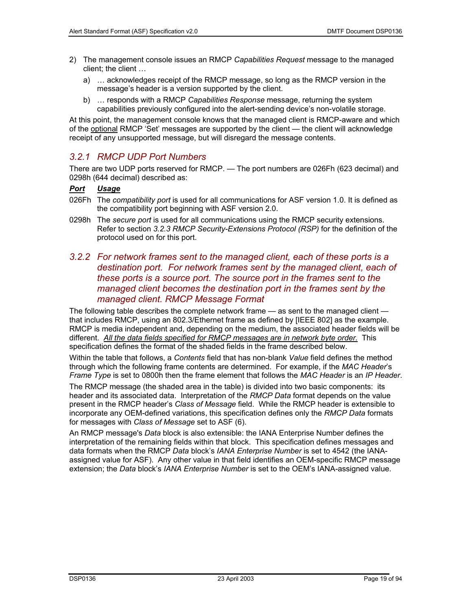- 2) The management console issues an RMCP *Capabilities Request* message to the managed client; the client …
	- a) … acknowledges receipt of the RMCP message, so long as the RMCP version in the message's header is a version supported by the client.
	- b) … responds with a RMCP *Capabilities Response* message, returning the system capabilities previously configured into the alert-sending device's non-volatile storage.

At this point, the management console knows that the managed client is RMCP-aware and which of the optional RMCP 'Set' messages are supported by the client — the client will acknowledge receipt of any unsupported message, but will disregard the message contents.

#### *3.2.1 RMCP UDP Port Numbers*

There are two UDP ports reserved for RMCP. — The port numbers are 026Fh (623 decimal) and 0298h (644 decimal) described as:

#### *Port Usage*

- 026Fh The *compatibility port* is used for all communications for ASF version 1.0. It is defined as the compatibility port beginning with ASF version 2.0.
- 0298h The *secure port* is used for all communications using the RMCP security extensions. Refer to section *3.2.3 RMCP Security-Extensions Protocol (RSP)* for the definition of the protocol used on for this port.
- *3.2.2 For network frames sent to the managed client, each of these ports is a destination port. For network frames sent by the managed client, each of these ports is a source port. The source port in the frames sent to the managed client becomes the destination port in the frames sent by the managed client. RMCP Message Format*

The following table describes the complete network frame — as sent to the managed client that includes RMCP, using an 802.3/Ethernet frame as defined by [IEEE 802] as the example. RMCP is media independent and, depending on the medium, the associated header fields will be different. *All the data fields specified for RMCP messages are in network byte order.* This specification defines the format of the shaded fields in the frame described below.

Within the table that follows, a *Contents* field that has non-blank *Value* field defines the method through which the following frame contents are determined. For example, if the *MAC Header*'s *Frame Type* is set to 0800h then the frame element that follows the *MAC Header* is an *IP Header*.

The RMCP message (the shaded area in the table) is divided into two basic components: its header and its associated data. Interpretation of the *RMCP Data* format depends on the value present in the RMCP header's *Class of Message* field. While the RMCP header is extensible to incorporate any OEM-defined variations, this specification defines only the *RMCP Data* formats for messages with *Class of Message* set to ASF (6).

An RMCP message's *Data* block is also extensible: the IANA Enterprise Number defines the interpretation of the remaining fields within that block. This specification defines messages and data formats when the RMCP *Data* block's *IANA Enterprise Number* is set to 4542 (the IANAassigned value for ASF). Any other value in that field identifies an OEM-specific RMCP message extension; the *Data* block's *IANA Enterprise Number* is set to the OEM's IANA-assigned value.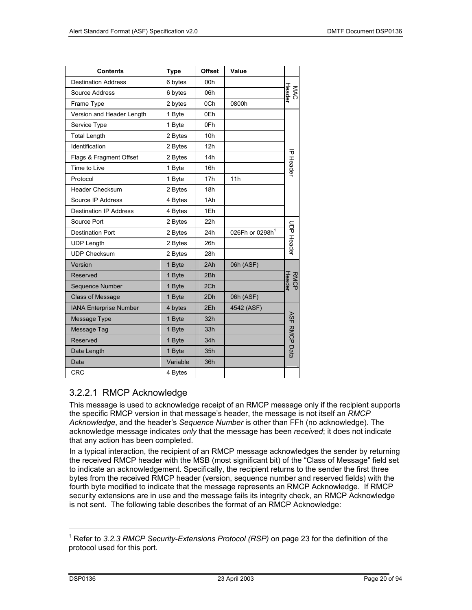| <b>Contents</b>               | <b>Type</b> | <b>Offset</b>   | Value                       |                   |
|-------------------------------|-------------|-----------------|-----------------------------|-------------------|
| <b>Destination Address</b>    | 6 bytes     | 00h             |                             |                   |
| Source Address                | 6 bytes     | 06h             |                             | Header<br>MAC     |
| Frame Type                    | 2 bytes     | 0Ch             | 0800h                       |                   |
| Version and Header Length     | 1 Byte      | 0Eh             |                             |                   |
| Service Type                  | 1 Byte      | 0Fh             |                             |                   |
| <b>Total Length</b>           | 2 Bytes     | 10 <sub>h</sub> |                             |                   |
| Identification                | 2 Bytes     | 12h             |                             |                   |
| Flags & Fragment Offset       | 2 Bytes     | 14h             |                             | <b>P Header</b>   |
| Time to Live                  | 1 Byte      | 16h             |                             |                   |
| Protocol                      | 1 Byte      | 17h             | 11h                         |                   |
| Header Checksum               | 2 Bytes     | 18h             |                             |                   |
| Source IP Address             | 4 Bytes     | 1Ah             |                             |                   |
| <b>Destination IP Address</b> | 4 Bytes     | 1Eh             |                             |                   |
| Source Port                   | 2 Bytes     | 22h             |                             |                   |
| <b>Destination Port</b>       | 2 Bytes     | 24h             | 026Fh or 0298h <sup>1</sup> | <b>UDP Header</b> |
| <b>UDP Length</b>             | 2 Bytes     | 26h             |                             |                   |
| <b>UDP Checksum</b>           | 2 Bytes     | 28h             |                             |                   |
| Version                       | 1 Byte      | 2Ah             | 06h (ASF)                   |                   |
| Reserved                      | 1 Byte      | 2Bh             |                             | <b>Header</b>     |
| Sequence Number               | 1 Byte      | 2Ch             |                             | <b>RMCP</b>       |
| <b>Class of Message</b>       | 1 Byte      | 2Dh             | 06h (ASF)                   |                   |
| <b>IANA Enterprise Number</b> | 4 bytes     | 2Eh             | 4542 (ASF)                  |                   |
| Message Type                  | 1 Byte      | 32h             |                             |                   |
| Message Tag                   | 1 Byte      | 33h             |                             |                   |
| Reserved                      | 1 Byte      | 34h             |                             |                   |
| Data Length                   | 1 Byte      | 35h             |                             | ASF RMCP Data     |
| Data                          | Variable    | 36h             |                             |                   |
| <b>CRC</b>                    | 4 Bytes     |                 |                             |                   |

#### 3.2.2.1 RMCP Acknowledge

This message is used to acknowledge receipt of an RMCP message only if the recipient supports the specific RMCP version in that message's header, the message is not itself an *RMCP Acknowledge*, and the header's *Sequence Number* is other than FFh (no acknowledge). The acknowledge message indicates *only* that the message has been *received*; it does not indicate that any action has been completed.

In a typical interaction, the recipient of an RMCP message acknowledges the sender by returning the received RMCP header with the MSB (most significant bit) of the "Class of Message" field set to indicate an acknowledgement. Specifically, the recipient returns to the sender the first three bytes from the received RMCP header (version, sequence number and reserved fields) with the fourth byte modified to indicate that the message represents an RMCP Acknowledge. If RMCP security extensions are in use and the message fails its integrity check, an RMCP Acknowledge is not sent. The following table describes the format of an RMCP Acknowledge:

l

<sup>&</sup>lt;sup>1</sup> Refer to 3.2.3 RMCP Security-Extensions Protocol (RSP) on page 23 for the definition of the protocol used for this port.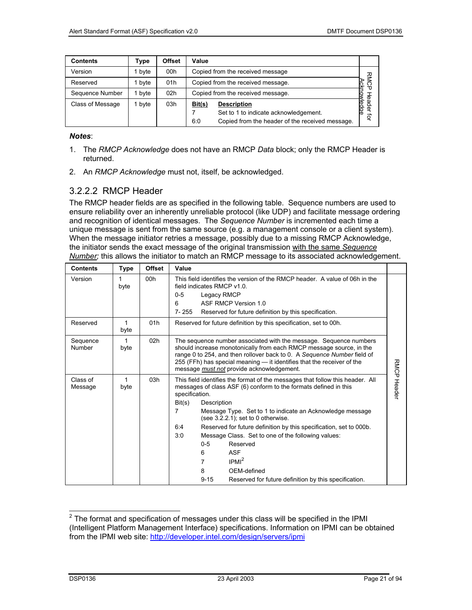| <b>Contents</b>         | Type   | <b>Offset</b>   | Value                                                                 |                                       |
|-------------------------|--------|-----------------|-----------------------------------------------------------------------|---------------------------------------|
| Version                 | 1 byte | 00h             | Copied from the received message                                      |                                       |
| Reserved                | 1 byte | 01h             | Copied from the received message.                                     | RMCI<br>Ack                           |
| Sequence Number         | 1 byte | 02 <sub>h</sub> | Copied from the received message.                                     | ē                                     |
| <b>Class of Message</b> | 1 byte | 03h             | Bit(s)<br><b>Description</b><br>Set to 1 to indicate acknowledgement. | 8<br><i>ledge</i><br>āer<br>$\vec{c}$ |
|                         |        |                 | Copied from the header of the received message.<br>6:0                |                                       |

#### *Notes*:

- 1. The *RMCP Acknowledge* does not have an RMCP *Data* block; only the RMCP Header is returned.
- 2. An *RMCP Acknowledge* must not, itself, be acknowledged.

#### 3.2.2.2 RMCP Header

The RMCP header fields are as specified in the following table. Sequence numbers are used to ensure reliability over an inherently unreliable protocol (like UDP) and facilitate message ordering and recognition of identical messages. The *Sequence Number* is incremented each time a unique message is sent from the same source (e.g. a management console or a client system). When the message initiator retries a message, possibly due to a missing RMCP Acknowledge, the initiator sends the exact message of the original transmission with the same *Sequence Number;* this allows the initiator to match an RMCP message to its associated acknowledgement.

| <b>Contents</b>     | <b>Type</b> | <b>Offset</b> | Value                                                                                                                                                                                                                                                                                                                                                                                                                                                                                                                                                                                                                     |                    |
|---------------------|-------------|---------------|---------------------------------------------------------------------------------------------------------------------------------------------------------------------------------------------------------------------------------------------------------------------------------------------------------------------------------------------------------------------------------------------------------------------------------------------------------------------------------------------------------------------------------------------------------------------------------------------------------------------------|--------------------|
| Version             | 1<br>byte   | 00h           | This field identifies the version of the RMCP header. A value of 06h in the<br>field indicates RMCP v1.0.<br>$0-5$<br>Legacy RMCP<br>ASF RMCP Version 1.0<br>6<br>$7 - 255$<br>Reserved for future definition by this specification.                                                                                                                                                                                                                                                                                                                                                                                      |                    |
| Reserved            | 1<br>byte   | 01h           | Reserved for future definition by this specification, set to 00h.                                                                                                                                                                                                                                                                                                                                                                                                                                                                                                                                                         |                    |
| Sequence<br>Number  | 1<br>byte   | 02h           | The sequence number associated with the message. Sequence numbers<br>should increase monotonically from each RMCP message source, in the<br>range 0 to 254, and then rollover back to 0. A Sequence Number field of<br>255 (FFh) has special meaning - it identifies that the receiver of the<br>message <i>must not</i> provide acknowledgement.                                                                                                                                                                                                                                                                         |                    |
| Class of<br>Message | 1<br>byte   | 03h           | This field identifies the format of the messages that follow this header. All<br>messages of class ASF (6) conform to the formats defined in this<br>specification.<br>Bit(s)<br>Description<br>Message Type. Set to 1 to indicate an Acknowledge message<br>7<br>(see $3.2.2.1$ ); set to 0 otherwise.<br>Reserved for future definition by this specification, set to 000b.<br>6:4<br>3:0<br>Message Class. Set to one of the following values:<br>$0-5$<br>Reserved<br><b>ASF</b><br>6<br>IPMI <sup>2</sup><br>$\overline{7}$<br>8<br>OEM-defined<br>$9 - 15$<br>Reserved for future definition by this specification. | <b>RNCP Header</b> |

The format and specification of messages under this class will be specified in the IPMI (Intelligent Platform Management Interface) specifications. Information on IPMI can be obtained from the IPMI web site: http://developer.intel.com/design/servers/ipmi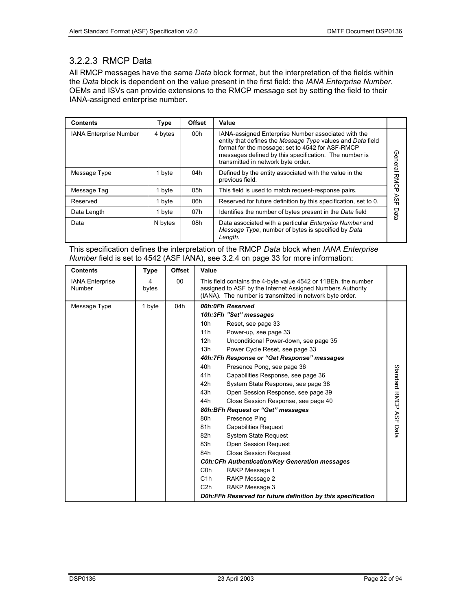#### 3.2.2.3 RMCP Data

All RMCP messages have the same *Data* block format, but the interpretation of the fields within the *Data* block is dependent on the value present in the first field: the *IANA Enterprise Number*. OEMs and ISVs can provide extensions to the RMCP message set by setting the field to their IANA-assigned enterprise number.

| <b>Contents</b>               | Type    | <b>Offset</b> | Value                                                                                                                                                                                                                                                                |              |
|-------------------------------|---------|---------------|----------------------------------------------------------------------------------------------------------------------------------------------------------------------------------------------------------------------------------------------------------------------|--------------|
| <b>IANA Enterprise Number</b> | 4 bytes | 00h           | IANA-assigned Enterprise Number associated with the<br>entity that defines the Message Type values and Data field<br>format for the message; set to 4542 for ASF-RMCP<br>messages defined by this specification. The number is<br>transmitted in network byte order. |              |
| Message Type                  | 1 byte  | 04h           | Defined by the entity associated with the value in the<br>previous field.                                                                                                                                                                                            | General RMCP |
| Message Tag                   | 1 byte  | 05h           | This field is used to match request-response pairs.                                                                                                                                                                                                                  |              |
| Reserved                      | 1 byte  | 06h           | Reserved for future definition by this specification, set to 0.                                                                                                                                                                                                      | ASF          |
| Data Length                   | 1 byte  | 07h           | Identifies the number of bytes present in the Data field                                                                                                                                                                                                             | Data         |
| Data                          | N bytes | 08h           | Data associated with a particular <i>Enterprise Number</i> and<br>Message Type, number of bytes is specified by Data<br>Length.                                                                                                                                      |              |

This specification defines the interpretation of the RMCP *Data* block when *IANA Enterprise Number* field is set to 4542 (ASF IANA), see 3.2.4 on page 33 for more information:

| <b>Contents</b>                  | <b>Type</b> | <b>Offset</b> | Value                                                                                                                                                                                    |                        |
|----------------------------------|-------------|---------------|------------------------------------------------------------------------------------------------------------------------------------------------------------------------------------------|------------------------|
| <b>IANA Enterprise</b><br>Number | 4<br>bytes  | $00\,$        | This field contains the 4-byte value 4542 or 11BEh, the number<br>assigned to ASF by the Internet Assigned Numbers Authority<br>(IANA). The number is transmitted in network byte order. |                        |
| Message Type                     | 1 byte      | 04h           | 00h:0Fh Reserved                                                                                                                                                                         |                        |
|                                  |             |               | 10h:3Fh "Set" messages                                                                                                                                                                   |                        |
|                                  |             |               | 10h<br>Reset, see page 33                                                                                                                                                                |                        |
|                                  |             |               | 11h<br>Power-up, see page 33                                                                                                                                                             |                        |
|                                  |             |               | 12h<br>Unconditional Power-down, see page 35                                                                                                                                             |                        |
|                                  |             |               | 13h<br>Power Cycle Reset, see page 33                                                                                                                                                    |                        |
|                                  |             |               | 40h:7Fh Response or "Get Response" messages                                                                                                                                              |                        |
|                                  |             |               | 40h<br>Presence Pong, see page 36                                                                                                                                                        |                        |
|                                  |             |               | 41h<br>Capabilities Response, see page 36                                                                                                                                                |                        |
|                                  |             |               | 42h<br>System State Response, see page 38                                                                                                                                                |                        |
|                                  |             |               | 43h<br>Open Session Response, see page 39                                                                                                                                                | Standard RMCP ASF Data |
|                                  |             |               | Close Session Response, see page 40<br>44h                                                                                                                                               |                        |
|                                  |             |               | 80h:BFh Request or "Get" messages                                                                                                                                                        |                        |
|                                  |             |               | 80h<br>Presence Ping                                                                                                                                                                     |                        |
|                                  |             |               | <b>Capabilities Request</b><br>81h                                                                                                                                                       |                        |
|                                  |             |               | 82h<br><b>System State Request</b>                                                                                                                                                       |                        |
|                                  |             |               | 83h<br><b>Open Session Request</b>                                                                                                                                                       |                        |
|                                  |             |               | <b>Close Session Request</b><br>84h                                                                                                                                                      |                        |
|                                  |             |               | <b>C0h:CFh Authentication/Key Generation messages</b>                                                                                                                                    |                        |
|                                  |             |               | C <sub>0</sub> h<br>RAKP Message 1                                                                                                                                                       |                        |
|                                  |             |               | C1h<br>RAKP Message 2                                                                                                                                                                    |                        |
|                                  |             |               | C <sub>2</sub> h<br>RAKP Message 3                                                                                                                                                       |                        |
|                                  |             |               | D0h:FFh Reserved for future definition by this specification                                                                                                                             |                        |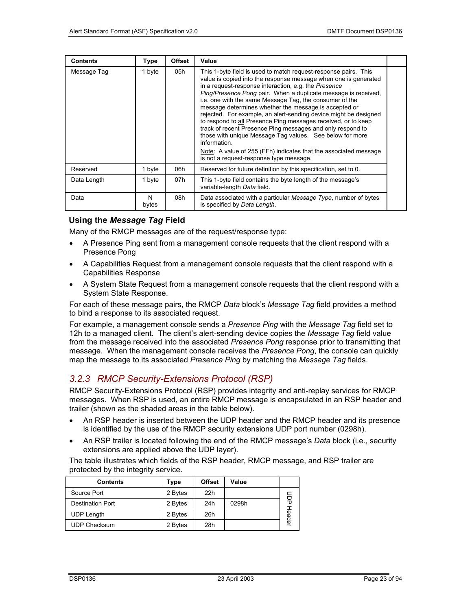| <b>Contents</b> | Type       | <b>Offset</b> | Value                                                                                                                                                                                                                                                                                                                                                                                                                                                                                                                                                                                                                                                                                                                                                                          |  |
|-----------------|------------|---------------|--------------------------------------------------------------------------------------------------------------------------------------------------------------------------------------------------------------------------------------------------------------------------------------------------------------------------------------------------------------------------------------------------------------------------------------------------------------------------------------------------------------------------------------------------------------------------------------------------------------------------------------------------------------------------------------------------------------------------------------------------------------------------------|--|
| Message Tag     | 1 byte     | 05h           | This 1-byte field is used to match request-response pairs. This<br>value is copied into the response message when one is generated<br>in a request-response interaction, e.g. the Presence<br>Ping/Presence Pong pair. When a duplicate message is received,<br>i.e. one with the same Message Tag, the consumer of the<br>message determines whether the message is accepted or<br>rejected. For example, an alert-sending device might be designed<br>to respond to all Presence Ping messages received, or to keep<br>track of recent Presence Ping messages and only respond to<br>those with unique Message Tag values. See below for more<br>information.<br>Note: A value of 255 (FFh) indicates that the associated message<br>is not a request-response type message. |  |
| Reserved        | 1 byte     | 06h           | Reserved for future definition by this specification, set to 0.                                                                                                                                                                                                                                                                                                                                                                                                                                                                                                                                                                                                                                                                                                                |  |
| Data Length     | 1 byte     | 07h           | This 1-byte field contains the byte length of the message's<br>variable-length Data field.                                                                                                                                                                                                                                                                                                                                                                                                                                                                                                                                                                                                                                                                                     |  |
| Data            | N<br>bytes | 08h           | Data associated with a particular Message Type, number of bytes<br>is specified by Data Length.                                                                                                                                                                                                                                                                                                                                                                                                                                                                                                                                                                                                                                                                                |  |

#### **Using the** *Message Tag* **Field**

Many of the RMCP messages are of the request/response type:

- A Presence Ping sent from a management console requests that the client respond with a Presence Pong
- A Capabilities Request from a management console requests that the client respond with a Capabilities Response
- A System State Request from a management console requests that the client respond with a System State Response.

For each of these message pairs, the RMCP *Data* block's *Message Tag* field provides a method to bind a response to its associated request.

For example, a management console sends a *Presence Ping* with the *Message Tag* field set to 12h to a managed client. The client's alert-sending device copies the *Message Tag* field value from the message received into the associated *Presence Pong* response prior to transmitting that message. When the management console receives the *Presence Pong*, the console can quickly map the message to its associated *Presence Ping* by matching the *Message Tag* fields.

#### *3.2.3 RMCP Security-Extensions Protocol (RSP)*

RMCP Security-Extensions Protocol (RSP) provides integrity and anti-replay services for RMCP messages. When RSP is used, an entire RMCP message is encapsulated in an RSP header and trailer (shown as the shaded areas in the table below).

- An RSP header is inserted between the UDP header and the RMCP header and its presence is identified by the use of the RMCP security extensions UDP port number (0298h).
- An RSP trailer is located following the end of the RMCP message's *Data* block (i.e., security extensions are applied above the UDP layer).

The table illustrates which fields of the RSP header, RMCP message, and RSP trailer are protected by the integrity service.

| <b>Contents</b>         | Type    | <b>Offset</b> | Value |      |
|-------------------------|---------|---------------|-------|------|
| Source Port             | 2 Bytes | 22h           |       |      |
| <b>Destination Port</b> | 2 Bytes | 24h           | 0298h | 믕    |
| <b>UDP Length</b>       | 2 Bytes | 26h           |       | eade |
| <b>UDP Checksum</b>     | 2 Bytes | 28h           |       |      |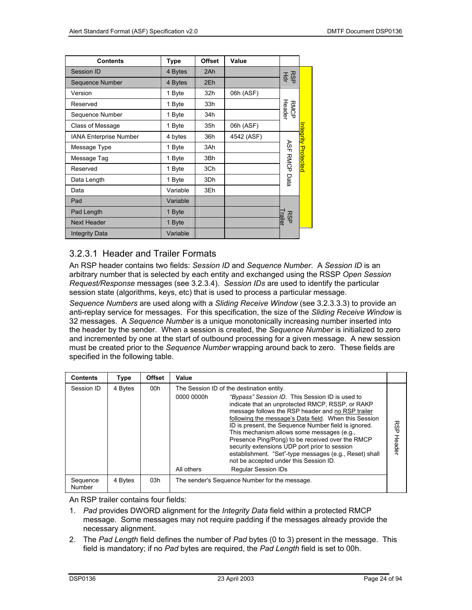| <b>Contents</b>               | <b>Type</b>                | <b>Offset</b> | Value      |                      |                           |
|-------------------------------|----------------------------|---------------|------------|----------------------|---------------------------|
| Session ID                    | 4 Bytes                    | 2Ah           |            | 품 높                  |                           |
| Sequence Number               | 4 Bytes                    | 2Eh           |            |                      |                           |
| Version                       | 1 Byte                     | 32h           | 06h (ASF)  |                      |                           |
| Reserved                      | 1 Byte                     | 33h           |            | <b>RMCP</b>          |                           |
| Sequence Number               | 1 Byte                     | 34h           |            | Header               |                           |
| Class of Message              | 1 Byte<br>35h<br>06h (ASF) |               |            |                      |                           |
| <b>IANA Enterprise Number</b> | 4 bytes                    | 36h           | 4542 (ASF) |                      |                           |
| Message Type                  | 1 Byte                     | 3Ah           |            | <b>ASF RMCP Data</b> |                           |
| Message Tag                   | 1 Byte                     | 3Bh           |            |                      | <u>ntegrity Protected</u> |
| Reserved                      | 1 Byte                     | 3Ch           |            |                      |                           |
| Data Length                   | 1 Byte                     | 3Dh           |            |                      |                           |
| Data                          | Variable                   | 3Eh           |            |                      |                           |
| Pad                           | Variable                   |               |            |                      |                           |
| Pad Length                    | 1 Byte                     |               |            | <b>RSP</b>           |                           |
| <b>Next Header</b>            | 1 Byte                     |               |            | <u> Trailer</u>      |                           |
| <b>Integrity Data</b>         | Variable                   |               |            |                      |                           |

#### 3.2.3.1 Header and Trailer Formats

An RSP header contains two fields: *Session ID* and *Sequence Number*. A *Session ID* is an arbitrary number that is selected by each entity and exchanged using the RSSP *Open Session Request/Response* messages (see 3.2.3.4). *Session IDs* are used to identify the particular session state (algorithms, keys, etc) that is used to process a particular message.

*Sequence Numbers* are used along with a *Sliding Receive Window* (see 3.2.3.3.3) to provide an anti-replay service for messages. For this specification, the size of the *Sliding Receive Window* is 32 messages. A *Sequence Number* is a unique monotonically increasing number inserted into the header by the sender. When a session is created, the *Sequence Number* is initialized to zero and incremented by one at the start of outbound processing for a given message. A new session must be created prior to the *Sequence Number* wrapping around back to zero. These fields are specified in the following table.

| <b>Contents</b>    | Type    | <b>Offset</b> | Value                                                                                                                                                                                                                                                                                                                                                                                                                                                                                                                                                                                                                                   |               |
|--------------------|---------|---------------|-----------------------------------------------------------------------------------------------------------------------------------------------------------------------------------------------------------------------------------------------------------------------------------------------------------------------------------------------------------------------------------------------------------------------------------------------------------------------------------------------------------------------------------------------------------------------------------------------------------------------------------------|---------------|
| Session ID         | 4 Bytes | 00h           | The Session ID of the destination entity.<br>"Bypass" Session ID. This Session ID is used to<br>0000 0000h<br>indicate that an unprotected RMCP, RSSP, or RAKP<br>message follows the RSP header and no RSP trailer<br>following the message's Data field. When this Session<br>ID is present, the Sequence Number field is ignored.<br>This mechanism allows some messages (e.g.,<br>Presence Ping/Pong) to be received over the RMCP<br>security extensions UDP port prior to session<br>establishment. "Set"-type messages (e.g., Reset) shall<br>not be accepted under this Session ID.<br>All others<br><b>Regular Session IDs</b> | RSP<br>Header |
| Sequence<br>Number | 4 Bytes | 03h           | The sender's Sequence Number for the message.                                                                                                                                                                                                                                                                                                                                                                                                                                                                                                                                                                                           |               |

An RSP trailer contains four fields:

- 1. *Pad* provides DWORD alignment for the *Integrity Data* field within a protected RMCP message. Some messages may not require padding if the messages already provide the necessary alignment.
- 2. The *Pad Length* field defines the number of *Pad* bytes (0 to 3) present in the message. This field is mandatory; if no *Pad* bytes are required, the *Pad Length* field is set to 00h.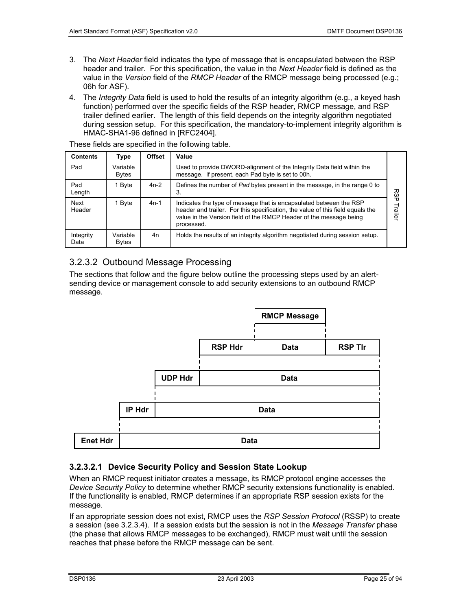- 3. The *Next Header* field indicates the type of message that is encapsulated between the RSP header and trailer. For this specification, the value in the *Next Header* field is defined as the value in the *Version* field of the *RMCP Header* of the RMCP message being processed (e.g.; 06h for ASF).
- 4. The *Integrity Data* field is used to hold the results of an integrity algorithm (e.g., a keyed hash function) performed over the specific fields of the RSP header, RMCP message, and RSP trailer defined earlier. The length of this field depends on the integrity algorithm negotiated during session setup. For this specification, the mandatory-to-implement integrity algorithm is HMAC-SHA1-96 defined in [RFC2404].

| <b>Contents</b>   | Type                     | <b>Offset</b> | Value                                                                                                                                                                                                                                    |         |
|-------------------|--------------------------|---------------|------------------------------------------------------------------------------------------------------------------------------------------------------------------------------------------------------------------------------------------|---------|
| Pad               | Variable<br><b>Bytes</b> |               | Used to provide DWORD-alignment of the Integrity Data field within the<br>message. If present, each Pad byte is set to 00h.                                                                                                              |         |
| Pad<br>Length     | 1 Byte                   | $4n-2$        | Defines the number of Pad bytes present in the message, in the range 0 to<br>3.                                                                                                                                                          | RSP     |
| Next<br>Header    | 1 Byte                   | $4n-1$        | Indicates the type of message that is encapsulated between the RSP<br>header and trailer. For this specification, the value of this field equals the<br>value in the Version field of the RMCP Header of the message being<br>processed. | Trailer |
| Integrity<br>Data | Variable<br><b>Bytes</b> | 4n            | Holds the results of an integrity algorithm negotiated during session setup.                                                                                                                                                             |         |

These fields are specified in the following table.

#### 3.2.3.2 Outbound Message Processing

The sections that follow and the figure below outline the processing steps used by an alertsending device or management console to add security extensions to an outbound RMCP message.



#### **3.2.3.2.1 Device Security Policy and Session State Lookup**

When an RMCP request initiator creates a message, its RMCP protocol engine accesses the *Device Security Policy* to determine whether RMCP security extensions functionality is enabled. If the functionality is enabled, RMCP determines if an appropriate RSP session exists for the message.

If an appropriate session does not exist, RMCP uses the *RSP Session Protocol* (RSSP) to create a session (see 3.2.3.4). If a session exists but the session is not in the *Message Transfer* phase (the phase that allows RMCP messages to be exchanged), RMCP must wait until the session reaches that phase before the RMCP message can be sent.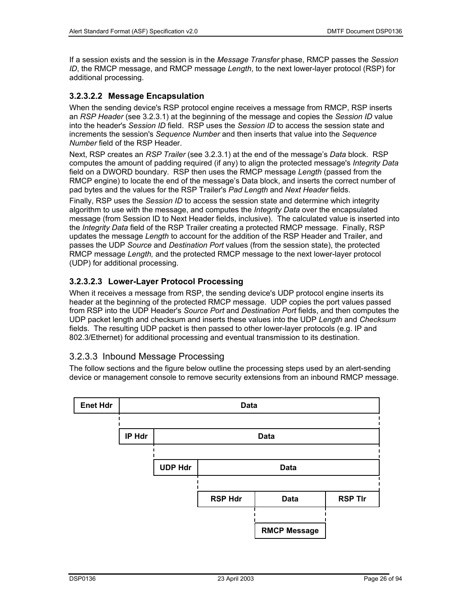If a session exists and the session is in the *Message Transfer* phase, RMCP passes the *Session ID*, the RMCP message, and RMCP message *Length*, to the next lower-layer protocol (RSP) for additional processing.

#### **3.2.3.2.2 Message Encapsulation**

When the sending device's RSP protocol engine receives a message from RMCP, RSP inserts an *RSP Header* (see 3.2.3.1) at the beginning of the message and copies the *Session ID* value into the header's *Session ID* field. RSP uses the *Session ID* to access the session state and increments the session's *Sequence Number* and then inserts that value into the *Sequence Number* field of the RSP Header.

Next, RSP creates an *RSP Trailer* (see 3.2.3.1) at the end of the message's *Data* block. RSP computes the amount of padding required (if any) to align the protected message's *Integrity Data* field on a DWORD boundary. RSP then uses the RMCP message *Length* (passed from the RMCP engine) to locate the end of the message's Data block, and inserts the correct number of pad bytes and the values for the RSP Trailer's *Pad Length* and *Next Header* fields.

Finally, RSP uses the *Session ID* to access the session state and determine which integrity algorithm to use with the message, and computes the *Integrity Data* over the encapsulated message (from Session ID to Next Header fields, inclusive). The calculated value is inserted into the *Integrity Data* field of the RSP Trailer creating a protected RMCP message. Finally, RSP updates the message *Length* to account for the addition of the RSP Header and Trailer, and passes the UDP *Source* and *Destination Port* values (from the session state), the protected RMCP message *Length,* and the protected RMCP message to the next lower-layer protocol (UDP) for additional processing.

#### **3.2.3.2.3 Lower-Layer Protocol Processing**

When it receives a message from RSP, the sending device's UDP protocol engine inserts its header at the beginning of the protected RMCP message. UDP copies the port values passed from RSP into the UDP Header's *Source Port* and *Destination Port* fields, and then computes the UDP packet length and checksum and inserts these values into the UDP *Length* and *Checksum* fields. The resulting UDP packet is then passed to other lower-layer protocols (e.g. IP and 802.3/Ethernet) for additional processing and eventual transmission to its destination.

#### 3.2.3.3 Inbound Message Processing

The follow sections and the figure below outline the processing steps used by an alert-sending device or management console to remove security extensions from an inbound RMCP message.

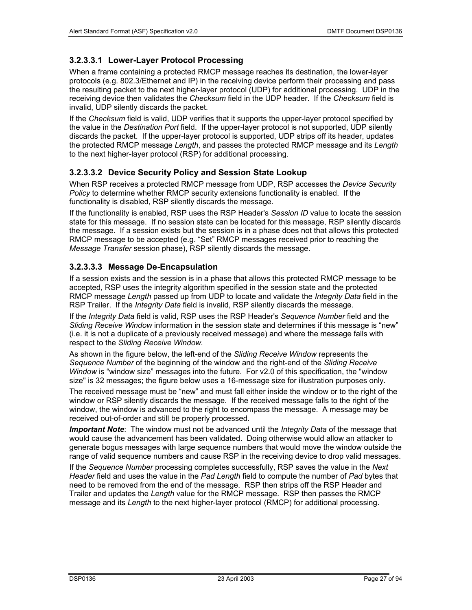#### **3.2.3.3.1 Lower-Layer Protocol Processing**

When a frame containing a protected RMCP message reaches its destination, the lower-layer protocols (e.g. 802.3/Ethernet and IP) in the receiving device perform their processing and pass the resulting packet to the next higher-layer protocol (UDP) for additional processing. UDP in the receiving device then validates the *Checksum* field in the UDP header. If the *Checksum* field is invalid, UDP silently discards the packet.

If the *Checksum* field is valid, UDP verifies that it supports the upper-layer protocol specified by the value in the *Destination Port* field. If the upper-layer protocol is not supported, UDP silently discards the packet. If the upper-layer protocol is supported, UDP strips off its header, updates the protected RMCP message *Length*, and passes the protected RMCP message and its *Length* to the next higher-layer protocol (RSP) for additional processing.

#### **3.2.3.3.2 Device Security Policy and Session State Lookup**

When RSP receives a protected RMCP message from UDP, RSP accesses the *Device Security Policy* to determine whether RMCP security extensions functionality is enabled. If the functionality is disabled, RSP silently discards the message.

If the functionality is enabled, RSP uses the RSP Header's *Session ID* value to locate the session state for this message. If no session state can be located for this message, RSP silently discards the message. If a session exists but the session is in a phase does not that allows this protected RMCP message to be accepted (e.g. "Set" RMCP messages received prior to reaching the *Message Transfer* session phase), RSP silently discards the message.

#### **3.2.3.3.3 Message De-Encapsulation**

If a session exists and the session is in a phase that allows this protected RMCP message to be accepted, RSP uses the integrity algorithm specified in the session state and the protected RMCP message *Length* passed up from UDP to locate and validate the *Integrity Data* field in the RSP Trailer. If the *Integrity Data* field is invalid, RSP silently discards the message.

If the *Integrity Data* field is valid, RSP uses the RSP Header's *Sequence Number* field and the *Sliding Receive Window* information in the session state and determines if this message is "new" (i.e. it is not a duplicate of a previously received message) and where the message falls with respect to the *Sliding Receive Window.*

As shown in the figure below, the left-end of the *Sliding Receive Window* represents the *Sequence Number* of the beginning of the window and the right-end of the *Sliding Receive Window* is "window size" messages into the future. For v2.0 of this specification, the "window size" is 32 messages; the figure below uses a 16-message size for illustration purposes only.

The received message must be "new" and must fall either inside the window or to the right of the window or RSP silently discards the message. If the received message falls to the right of the window, the window is advanced to the right to encompass the message. A message may be received out-of-order and still be properly processed.

*Important Note*: The window must not be advanced until the *Integrity Data* of the message that would cause the advancement has been validated. Doing otherwise would allow an attacker to generate bogus messages with large sequence numbers that would move the window outside the range of valid sequence numbers and cause RSP in the receiving device to drop valid messages.

If the *Sequence Number* processing completes successfully, RSP saves the value in the *Next Header* field and uses the value in the *Pad Length* field to compute the number of *Pad* bytes that need to be removed from the end of the message. RSP then strips off the RSP Header and Trailer and updates the *Length* value for the RMCP message. RSP then passes the RMCP message and its *Length* to the next higher-layer protocol (RMCP) for additional processing.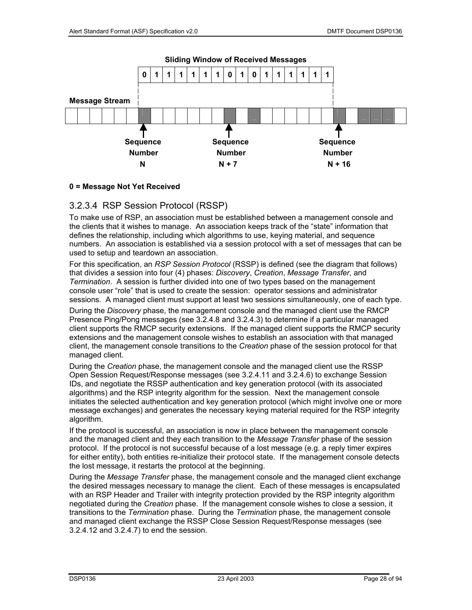

#### **0 = Message Not Yet Received**

#### 3.2.3.4 RSP Session Protocol (RSSP)

To make use of RSP, an association must be established between a management console and the clients that it wishes to manage. An association keeps track of the "state" information that defines the relationship, including which algorithms to use, keying material, and sequence numbers. An association is established via a session protocol with a set of messages that can be used to setup and teardown an association.

For this specification, an *RSP Session Protocol* (RSSP) is defined (see the diagram that follows) that divides a session into four (4) phases: *Discovery*, *Creation*, *Message Transfer*, and *Termination*. A session is further divided into one of two types based on the management console user "role" that is used to create the session: operator sessions and administrator sessions. A managed client must support at least two sessions simultaneously, one of each type.

During the *Discovery* phase, the management console and the managed client use the RMCP Presence Ping/Pong messages (see 3.2.4.8 and 3.2.4.3) to determine if a particular managed client supports the RMCP security extensions. If the managed client supports the RMCP security extensions and the management console wishes to establish an association with that managed client, the management console transitions to the *Creation* phase of the session protocol for that managed client.

During the *Creation* phase, the management console and the managed client use the RSSP Open Session Request/Response messages (see 3.2.4.11 and 3.2.4.6) to exchange Session IDs, and negotiate the RSSP authentication and key generation protocol (with its associated algorithms) and the RSP integrity algorithm for the session. Next the management console initiates the selected authentication and key generation protocol (which might involve one or more message exchanges) and generates the necessary keying material required for the RSP integrity algorithm.

If the protocol is successful, an association is now in place between the management console and the managed client and they each transition to the *Message Transfer* phase of the session protocol. If the protocol is not successful because of a lost message (e.g. a reply timer expires for either entity), both entities re-initialize their protocol state. If the management console detects the lost message, it restarts the protocol at the beginning.

During the *Message Transfer* phase, the management console and the managed client exchange the desired messages necessary to manage the client. Each of these messages is encapsulated with an RSP Header and Trailer with integrity protection provided by the RSP integrity algorithm negotiated during the *Creation* phase. If the management console wishes to close a session, it transitions to the *Termination* phase. During the *Termination* phase, the management console and managed client exchange the RSSP Close Session Request/Response messages (see 3.2.4.12 and 3.2.4.7) to end the session.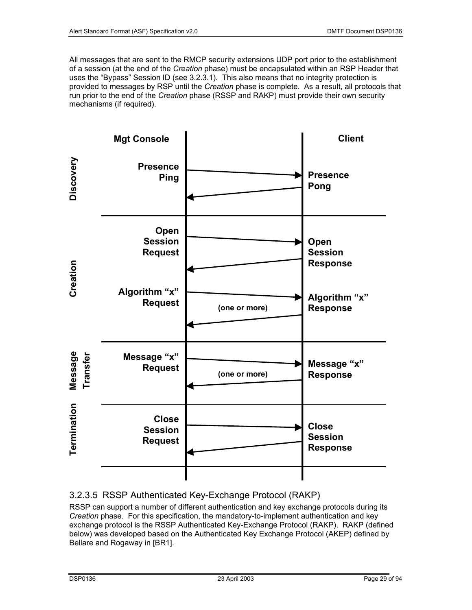All messages that are sent to the RMCP security extensions UDP port prior to the establishment of a session (at the end of the *Creation* phase) must be encapsulated within an RSP Header that uses the "Bypass" Session ID (see 3.2.3.1). This also means that no integrity protection is provided to messages by RSP until the *Creation* phase is complete. As a result, all protocols that run prior to the end of the *Creation* phase (RSSP and RAKP) must provide their own security mechanisms (if required).



#### 3.2.3.5 RSSP Authenticated Key-Exchange Protocol (RAKP)

RSSP can support a number of different authentication and key exchange protocols during its *Creation* phase. For this specification, the mandatory-to-implement authentication and key exchange protocol is the RSSP Authenticated Key-Exchange Protocol (RAKP). RAKP (defined below) was developed based on the Authenticated Key Exchange Protocol (AKEP) defined by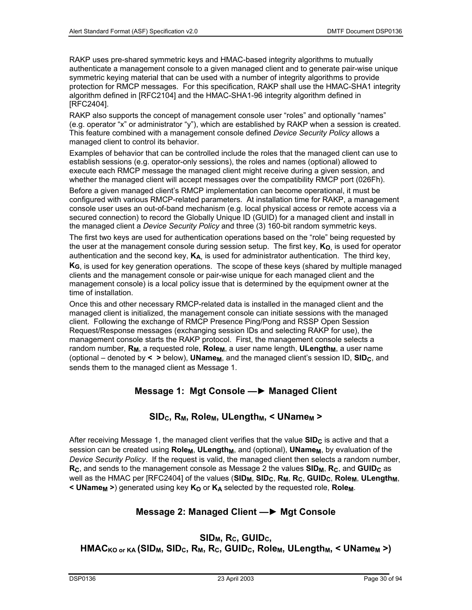RAKP uses pre-shared symmetric keys and HMAC-based integrity algorithms to mutually authenticate a management console to a given managed client and to generate pair-wise unique symmetric keying material that can be used with a number of integrity algorithms to provide protection for RMCP messages. For this specification, RAKP shall use the HMAC-SHA1 integrity algorithm defined in [RFC2104] and the HMAC-SHA1-96 integrity algorithm defined in [RFC2404].

RAKP also supports the concept of management console user "roles" and optionally "names" (e.g. operator "x" or administrator "y"), which are established by RAKP when a session is created. This feature combined with a management console defined *Device Security Policy* allows a managed client to control its behavior.

Examples of behavior that can be controlled include the roles that the managed client can use to establish sessions (e.g. operator-only sessions), the roles and names (optional) allowed to execute each RMCP message the managed client might receive during a given session, and whether the managed client will accept messages over the compatibility RMCP port (026Fh).

Before a given managed client's RMCP implementation can become operational, it must be configured with various RMCP-related parameters. At installation time for RAKP, a management console user uses an out-of-band mechanism (e.g. local physical access or remote access via a secured connection) to record the Globally Unique ID (GUID) for a managed client and install in the managed client a *Device Security Policy* and three (3) 160-bit random symmetric keys.

The first two keys are used for authentication operations based on the "role" being requested by the user at the management console during session setup. The first key, **K<sub>O</sub>**, is used for operator authentication and the second key, **KA**, is used for administrator authentication. The third key,

**KG**, is used for key generation operations. The scope of these keys (shared by multiple managed clients and the management console or pair-wise unique for each managed client and the management console) is a local policy issue that is determined by the equipment owner at the time of installation.

Once this and other necessary RMCP-related data is installed in the managed client and the managed client is initialized, the management console can initiate sessions with the managed client. Following the exchange of RMCP Presence Ping/Pong and RSSP Open Session Request/Response messages (exchanging session IDs and selecting RAKP for use), the management console starts the RAKP protocol. First, the management console selects a random number, **R<sub>M</sub>**, a requested role, **Role<sub>M</sub>**, a user name length, ULength<sub>M</sub>, a user name (optional – denoted by  $\leq$  > below), **UName**<sub>M</sub>, and the managed client's session ID, **SID**<sub>C</sub>, and sends them to the managed client as Message 1.

#### **Message 1: Mgt Console —► Managed Client**

#### SID<sub>C</sub>, R<sub>M</sub>, Role<sub>M</sub>, ULength<sub>M</sub>, < UName<sub>M</sub> >

After receiving Message 1, the managed client verifies that the value **SID<sub>C</sub>** is active and that a session can be created using **Role<sub>M</sub>, ULength<sub>M</sub>**, and (optional), **UName<sub>M</sub>**, by evaluation of the *Device Security Policy*. If the request is valid, the managed client then selects a random number, **R<sub>C</sub>**, and sends to the management console as Message 2 the values SID<sub>M</sub>, R<sub>C</sub>, and GUID<sub>C</sub> as well as the HMAC per [RFC2404] of the values (**SIDM**, **SIDC**, **RM**, **RC**, **GUIDC**, **RoleM**, **ULengthM**,  $\leq$  **UName<sub>M</sub>** $\geq$ ) generated using key  $K_{\Omega}$  or  $K_{\Lambda}$  selected by the requested role, **Role**<sub>M</sub>.

#### **Message 2: Managed Client —► Mgt Console**

**SIDM, RC, GUIDC,**  HMAC<sub>KO or KA</sub> (SID<sub>M</sub>, SID<sub>C</sub>, R<sub>M</sub>, R<sub>C</sub>, GUID<sub>C</sub>, Rolem, ULengthm, < UNamem >)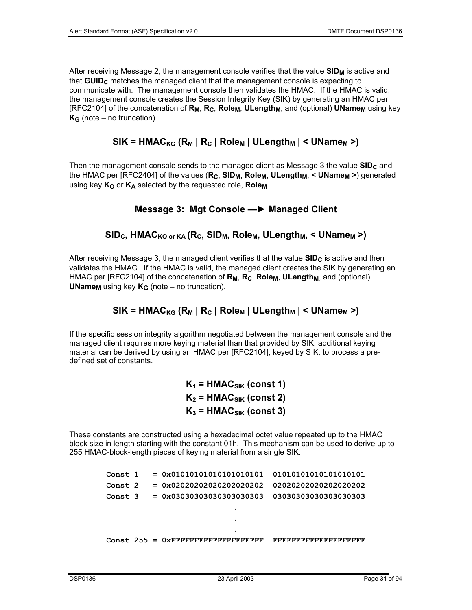After receiving Message 2, the management console verifies that the value SID<sub>M</sub> is active and that **GUID<sub>C</sub>** matches the managed client that the management console is expecting to communicate with. The management console then validates the HMAC. If the HMAC is valid, the management console creates the Session Integrity Key (SIK) by generating an HMAC per [RFC2104] of the concatenation of R<sub>M</sub>, R<sub>C</sub>, Role<sub>M</sub>, ULength<sub>M</sub>, and (optional) UName<sub>M</sub> using key  $K_G$  (note – no truncation).

#### $SIK = HMAC_{KG}$  ( $R_M | R_C | Role_M | ULength_M | < UName_M$ )

Then the management console sends to the managed client as Message 3 the value SID<sub>C</sub> and the HMAC per [RFC2404] of the values (R<sub>C</sub>, SID<sub>M</sub>, Rolem, ULength<sub>M</sub>, < UName<sub>M</sub> >) generated using key  $K_0$  or  $K_A$  selected by the requested role, **Role**<sub>M</sub>.

#### **Message 3: Mgt Console —► Managed Client**

#### SID<sub>C</sub>, HMAC<sub>KO or KA</sub> (R<sub>C</sub>, SID<sub>M</sub>, Role<sub>M</sub>, ULength<sub>M</sub>, < UName<sub>M</sub> >)

After receiving Message 3, the managed client verifies that the value SID<sub>C</sub> is active and then validates the HMAC. If the HMAC is valid, the managed client creates the SIK by generating an HMAC per [RFC2104] of the concatenation of **R<sub>M</sub>**, **R<sub>C</sub>**, **Role<sub>M</sub>**, **ULength<sub>M</sub>**, and (optional) **UName<sub>M</sub>** using key  $K_G$  (note – no truncation).

#### $SIK = HMAC_{KG}$  ( $R_M | R_C | Role_M | ULength_M | < UName_M$ )

If the specific session integrity algorithm negotiated between the management console and the managed client requires more keying material than that provided by SIK, additional keying material can be derived by using an HMAC per [RFC2104], keyed by SIK, to process a predefined set of constants.

> $K_1$  = HMAC<sub>SIK</sub> (const 1)  $K_2$  = HMAC<sub>SIK</sub> (const 2)  $K_3$  = HMAC<sub>SIK</sub> (const 3)

These constants are constructed using a hexadecimal octet value repeated up to the HMAC block size in length starting with the constant 01h. This mechanism can be used to derive up to 255 HMAC-block-length pieces of keying material from a single SIK.

```
Const 1 = 0x01010101010101010101 01010101010101010101 
Const 2 = 0x02020202020202020202 02020202020202020202 
Const 3 = 0x03030303030303030303 03030303030303030303 
                           . 
                           . 
                           . 
Const 255 = 0xFFFFFFFFFFFFFFFFFFFF FFFFFFFFFFFFFFFFFFFF
```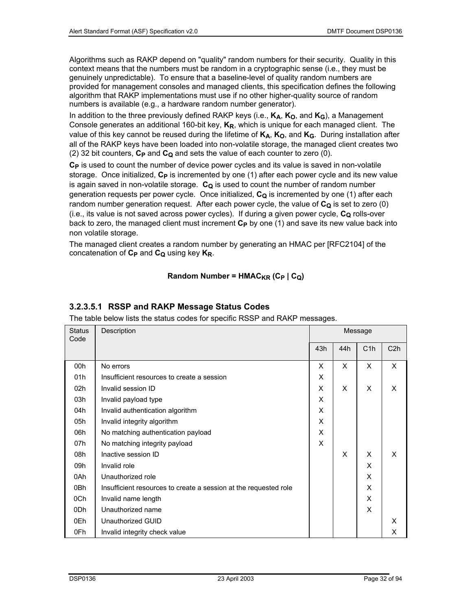Algorithms such as RAKP depend on "quality" random numbers for their security. Quality in this context means that the numbers must be random in a cryptographic sense (i.e., they must be genuinely unpredictable). To ensure that a baseline-level of quality random numbers are provided for management consoles and managed clients, this specification defines the following algorithm that RAKP implementations must use if no other higher-quality source of random numbers is available (e.g., a hardware random number generator).

In addition to the three previously defined RAKP keys (i.e., **K<sub>A</sub>, K<sub>O</sub>, and K<sub>G</sub>)**, a Management Console generates an additional 160-bit key,  $K_R$ , which is unique for each managed client. The value of this key cannot be reused during the lifetime of **KA**, **KO**, and **KG**. During installation after all of the RAKP keys have been loaded into non-volatile storage, the managed client creates two (2) 32 bit counters,  $C_P$  and  $C_Q$  and sets the value of each counter to zero (0).

**CP** is used to count the number of device power cycles and its value is saved in non-volatile storage. Once initialized,  $C_P$  is incremented by one (1) after each power cycle and its new value is again saved in non-volatile storage.  $C_{\Omega}$  is used to count the number of random number generation requests per power cycle. Once initialized, **C<sub>Q</sub>** is incremented by one (1) after each random number generation request. After each power cycle, the value of  $C_{\Omega}$  is set to zero (0) (i.e., its value is not saved across power cycles). If during a given power cycle, **CQ** rolls-over back to zero, the managed client must increment C<sub>P</sub> by one (1) and save its new value back into non volatile storage.

The managed client creates a random number by generating an HMAC per [RFC2104] of the concatenation of **CP** and **CQ** using key **KR**.

#### Random Number = HMAC<sub>KR</sub> (C<sub>P</sub> | C<sub>O</sub>)

#### **3.2.3.5.1 RSSP and RAKP Message Status Codes**

The table below lists the status codes for specific RSSP and RAKP messages.

| <b>Status</b><br>Code | Description                                                      | Message |     |          |                           |
|-----------------------|------------------------------------------------------------------|---------|-----|----------|---------------------------|
|                       |                                                                  | 43h     | 44h | C1h      | C <sub>2h</sub>           |
| 00h                   | No errors                                                        | X       | x   | X        | X                         |
| 01h                   | Insufficient resources to create a session                       | X       |     |          |                           |
| 02 <sub>h</sub>       | Invalid session ID                                               | X       | X   | X        | $\boldsymbol{\mathsf{x}}$ |
| 03h                   | Invalid payload type                                             | X       |     |          |                           |
| 04h                   | Invalid authentication algorithm                                 | X       |     |          |                           |
| 05h                   | Invalid integrity algorithm                                      | X       |     |          |                           |
| 06h                   | No matching authentication payload                               | X       |     |          |                           |
| 07h                   | No matching integrity payload                                    | X       |     |          |                           |
| 08h                   | Inactive session ID                                              |         | X   | X        | X                         |
| 09h                   | Invalid role                                                     |         |     | X        |                           |
| 0Ah                   | Unauthorized role                                                |         |     | X        |                           |
| 0Bh                   | Insufficient resources to create a session at the requested role |         |     | X        |                           |
| 0Ch                   | Invalid name length                                              |         |     | $\times$ |                           |
| 0Dh                   | Unauthorized name                                                |         |     | X        |                           |
| 0Eh                   | Unauthorized GUID                                                |         |     |          | X                         |
| 0Fh                   | Invalid integrity check value                                    |         |     |          | X                         |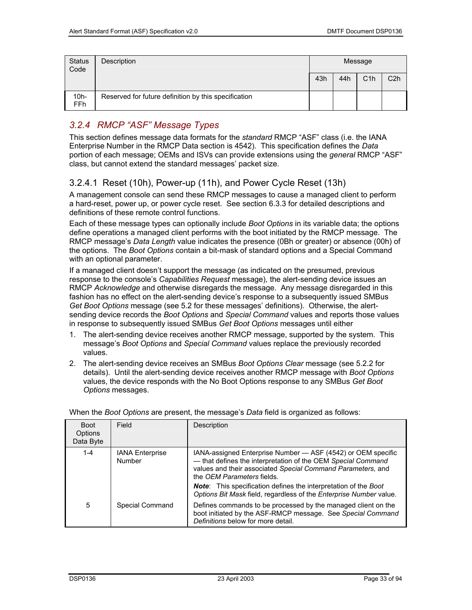| <b>Status</b><br>Code | Description                                          | Message |     |     |                 |
|-----------------------|------------------------------------------------------|---------|-----|-----|-----------------|
|                       |                                                      | 43h     | 44h | C1h | C <sub>2h</sub> |
| $10h -$<br><b>FFh</b> | Reserved for future definition by this specification |         |     |     |                 |

## *3.2.4 RMCP "ASF" Message Types*

This section defines message data formats for the *standard* RMCP "ASF" class (i.e. the IANA Enterprise Number in the RMCP Data section is 4542). This specification defines the *Data* portion of each message; OEMs and ISVs can provide extensions using the *general* RMCP "ASF" class, but cannot extend the standard messages' packet size.

## 3.2.4.1 Reset (10h), Power-up (11h), and Power Cycle Reset (13h)

A management console can send these RMCP messages to cause a managed client to perform a hard-reset, power up, or power cycle reset. See section 6.3.3 for detailed descriptions and definitions of these remote control functions.

Each of these message types can optionally include *Boot Options* in its variable data; the options define operations a managed client performs with the boot initiated by the RMCP message. The RMCP message's *Data Length* value indicates the presence (0Bh or greater) or absence (00h) of the options. The *Boot Options* contain a bit-mask of standard options and a Special Command with an optional parameter.

If a managed client doesn't support the message (as indicated on the presumed, previous response to the console's *Capabilities Request* message), the alert-sending device issues an RMCP *Acknowledge* and otherwise disregards the message. Any message disregarded in this fashion has no effect on the alert-sending device's response to a subsequently issued SMBus *Get Boot Options* message (see 5.2 for these messages' definitions). Otherwise, the alertsending device records the *Boot Options* and *Special Command* values and reports those values in response to subsequently issued SMBus *Get Boot Options* messages until either

- 1. The alert-sending device receives another RMCP message, supported by the system. This message's *Boot Options* and *Special Command* values replace the previously recorded values.
- 2. The alert-sending device receives an SMBus *Boot Options Clear* message (see 5.2.2 for details). Until the alert-sending device receives another RMCP message with *Boot Options* values, the device responds with the No Boot Options response to any SMBus *Get Boot Options* messages.

| <b>Boot</b><br>Options<br>Data Byte | Field                            | Description                                                                                                                                                                                                               |
|-------------------------------------|----------------------------------|---------------------------------------------------------------------------------------------------------------------------------------------------------------------------------------------------------------------------|
| $1 - 4$                             | <b>IANA Enterprise</b><br>Number | IANA-assigned Enterprise Number — ASF (4542) or OEM specific<br>- that defines the interpretation of the OEM Special Command<br>values and their associated Special Command Parameters, and<br>the OEM Parameters fields. |
|                                     |                                  | <b>Note:</b> This specification defines the interpretation of the Boot<br>Options Bit Mask field, regardless of the Enterprise Number value.                                                                              |
| 5                                   | Special Command                  | Defines commands to be processed by the managed client on the<br>boot initiated by the ASF-RMCP message. See Special Command<br>Definitions below for more detail.                                                        |

When the *Boot Options* are present, the message's *Data* field is organized as follows: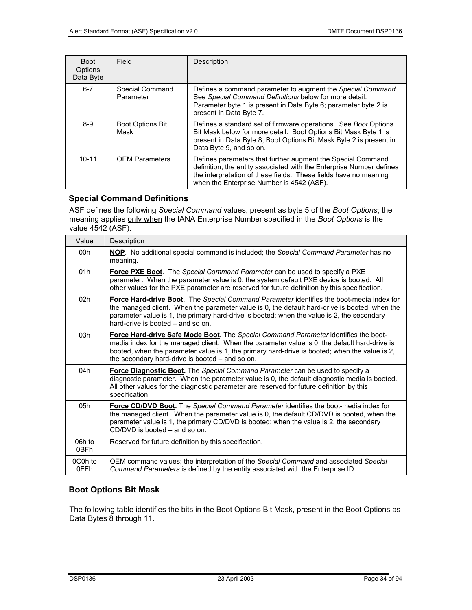| <b>Boot</b><br>Options<br>Data Byte | Field                           | Description                                                                                                                                                                                                                                          |
|-------------------------------------|---------------------------------|------------------------------------------------------------------------------------------------------------------------------------------------------------------------------------------------------------------------------------------------------|
| $6 - 7$                             | Special Command<br>Parameter    | Defines a command parameter to augment the Special Command.<br>See Special Command Definitions below for more detail.<br>Parameter byte 1 is present in Data Byte 6; parameter byte 2 is<br>present in Data Byte 7.                                  |
| $8-9$                               | <b>Boot Options Bit</b><br>Mask | Defines a standard set of firmware operations. See Boot Options<br>Bit Mask below for more detail. Boot Options Bit Mask Byte 1 is<br>present in Data Byte 8, Boot Options Bit Mask Byte 2 is present in<br>Data Byte 9, and so on.                  |
| $10 - 11$                           | <b>OFM Parameters</b>           | Defines parameters that further augment the Special Command<br>definition; the entity associated with the Enterprise Number defines<br>the interpretation of these fields. These fields have no meaning<br>when the Enterprise Number is 4542 (ASF). |

#### **Special Command Definitions**

ASF defines the following *Special Command* values, present as byte 5 of the *Boot Options*; the meaning applies only when the IANA Enterprise Number specified in the *Boot Options* is the value 4542 (ASF).

| Value           | Description                                                                                                                                                                                                                                                                                                                             |
|-----------------|-----------------------------------------------------------------------------------------------------------------------------------------------------------------------------------------------------------------------------------------------------------------------------------------------------------------------------------------|
| 00 <sub>h</sub> | NOP. No additional special command is included; the Special Command Parameter has no<br>meaning.                                                                                                                                                                                                                                        |
| 01h             | <b>Force PXE Boot</b> . The Special Command Parameter can be used to specify a PXE<br>parameter. When the parameter value is 0, the system default PXE device is booted. All<br>other values for the PXE parameter are reserved for future definition by this specification.                                                            |
| 02 <sub>h</sub> | Force Hard-drive Boot. The Special Command Parameter identifies the boot-media index for<br>the managed client. When the parameter value is 0, the default hard-drive is booted, when the<br>parameter value is 1, the primary hard-drive is booted; when the value is 2, the secondary<br>hard-drive is booted – and so on.            |
| 03h             | Force Hard-drive Safe Mode Boot. The Special Command Parameter identifies the boot-<br>media index for the managed client. When the parameter value is 0, the default hard-drive is<br>booted, when the parameter value is 1, the primary hard-drive is booted; when the value is 2,<br>the secondary hard-drive is booted - and so on. |
| 04h             | <b>Force Diagnostic Boot.</b> The Special Command Parameter can be used to specify a<br>diagnostic parameter. When the parameter value is 0, the default diagnostic media is booted.<br>All other values for the diagnostic parameter are reserved for future definition by this<br>specification.                                      |
| 05h             | <b>Force CD/DVD Boot.</b> The Special Command Parameter identifies the boot-media index for<br>the managed client. When the parameter value is 0, the default CD/DVD is booted, when the<br>parameter value is 1, the primary CD/DVD is booted; when the value is 2, the secondary<br>$CD/DVD$ is booted $-$ and so on.                 |
| 06h to<br>0BFh  | Reserved for future definition by this specification.                                                                                                                                                                                                                                                                                   |
| 0C0h to<br>0FFh | OEM command values; the interpretation of the Special Command and associated Special<br>Command Parameters is defined by the entity associated with the Enterprise ID.                                                                                                                                                                  |

#### **Boot Options Bit Mask**

The following table identifies the bits in the Boot Options Bit Mask, present in the Boot Options as Data Bytes 8 through 11.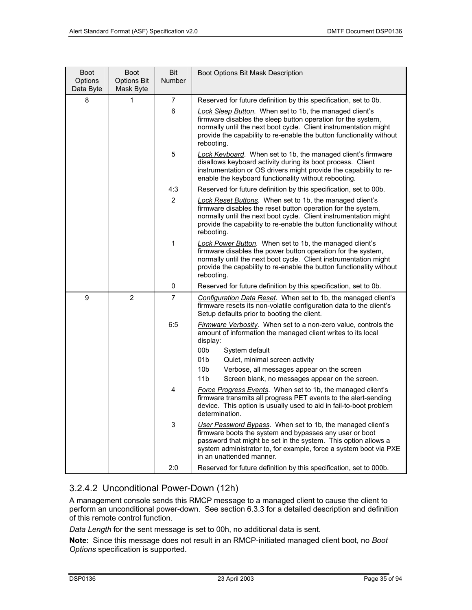| <b>Boot</b><br>Options<br>Data Byte | <b>Boot</b><br><b>Options Bit</b><br>Mask Byte | <b>Bit</b><br>Number | Boot Options Bit Mask Description                                                                                                                                                                                                                                                          |
|-------------------------------------|------------------------------------------------|----------------------|--------------------------------------------------------------------------------------------------------------------------------------------------------------------------------------------------------------------------------------------------------------------------------------------|
| 8                                   | 1                                              | 7                    | Reserved for future definition by this specification, set to 0b.                                                                                                                                                                                                                           |
|                                     |                                                | 6                    | Lock Sleep Button. When set to 1b, the managed client's<br>firmware disables the sleep button operation for the system,<br>normally until the next boot cycle. Client instrumentation might<br>provide the capability to re-enable the button functionality without<br>rebooting.          |
|                                     |                                                | 5                    | Lock Keyboard. When set to 1b, the managed client's firmware<br>disallows keyboard activity during its boot process. Client<br>instrumentation or OS drivers might provide the capability to re-<br>enable the keyboard functionality without rebooting.                                   |
|                                     |                                                | 4:3                  | Reserved for future definition by this specification, set to 00b.                                                                                                                                                                                                                          |
|                                     |                                                | $\overline{2}$       | <b>Lock Reset Buttons</b> . When set to 1b, the managed client's<br>firmware disables the reset button operation for the system,<br>normally until the next boot cycle. Client instrumentation might<br>provide the capability to re-enable the button functionality without<br>rebooting. |
|                                     |                                                | 1                    | Lock Power Button. When set to 1b, the managed client's<br>firmware disables the power button operation for the system,<br>normally until the next boot cycle. Client instrumentation might<br>provide the capability to re-enable the button functionality without<br>rebooting.          |
|                                     |                                                | 0                    | Reserved for future definition by this specification, set to 0b.                                                                                                                                                                                                                           |
| 9                                   | 2                                              | $\overline{7}$       | Configuration Data Reset. When set to 1b, the managed client's<br>firmware resets its non-volatile configuration data to the client's<br>Setup defaults prior to booting the client.                                                                                                       |
|                                     |                                                | 6:5                  | <b>Firmware Verbosity.</b> When set to a non-zero value, controls the<br>amount of information the managed client writes to its local<br>display:<br>00 <sub>b</sub><br>System default                                                                                                     |
|                                     |                                                |                      | 01 <sub>b</sub><br>Quiet, minimal screen activity                                                                                                                                                                                                                                          |
|                                     |                                                |                      | 10 <sub>b</sub><br>Verbose, all messages appear on the screen                                                                                                                                                                                                                              |
|                                     |                                                |                      | 11 <sub>b</sub><br>Screen blank, no messages appear on the screen.                                                                                                                                                                                                                         |
|                                     |                                                | 4                    | Force Progress Events. When set to 1b, the managed client's<br>firmware transmits all progress PET events to the alert-sending<br>device. This option is usually used to aid in fail-to-boot problem<br>determination.                                                                     |
|                                     |                                                | 3                    | User Password Bypass. When set to 1b, the managed client's<br>firmware boots the system and bypasses any user or boot<br>password that might be set in the system. This option allows a<br>system administrator to, for example, force a system boot via PXE<br>in an unattended manner.   |
|                                     |                                                | 2:0                  | Reserved for future definition by this specification, set to 000b.                                                                                                                                                                                                                         |

## 3.2.4.2 Unconditional Power-Down (12h)

A management console sends this RMCP message to a managed client to cause the client to perform an unconditional power-down. See section 6.3.3 for a detailed description and definition of this remote control function.

*Data Length* for the sent message is set to 00h, no additional data is sent.

**Note**: Since this message does not result in an RMCP-initiated managed client boot, no *Boot Options* specification is supported.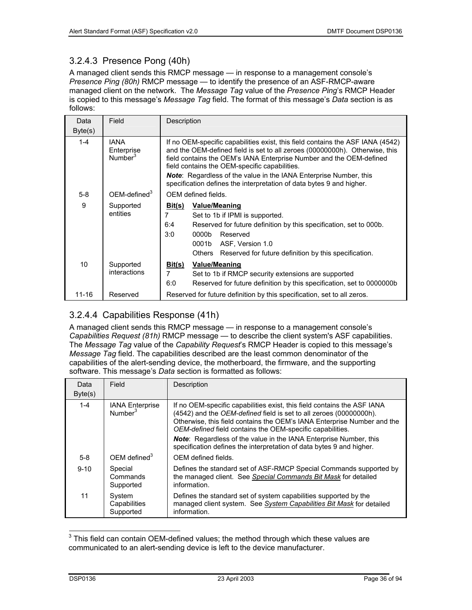## 3.2.4.3 Presence Pong (40h)

A managed client sends this RMCP message — in response to a management console's *Presence Ping (80h)* RMCP message — to identify the presence of an ASF-RMCP-aware managed client on the network. The *Message Tag* value of the *Presence Ping*'s RMCP Header is copied to this message's *Message Tag* field. The format of this message's *Data* section is as follows:

| Data<br>Byte(s) | Field                                            | Description                                                                                                                                                                                                                                                                            |  |  |
|-----------------|--------------------------------------------------|----------------------------------------------------------------------------------------------------------------------------------------------------------------------------------------------------------------------------------------------------------------------------------------|--|--|
| $1 - 4$         | <b>IANA</b><br>Enterprise<br>Number <sup>3</sup> | If no OEM-specific capabilities exist, this field contains the ASF IANA (4542)<br>and the OEM-defined field is set to all zeroes (00000000h). Otherwise, this<br>field contains the OEM's IANA Enterprise Number and the OEM-defined<br>field contains the OEM-specific capabilities.  |  |  |
|                 |                                                  | <b>Note:</b> Regardless of the value in the IANA Enterprise Number, this<br>specification defines the interpretation of data bytes 9 and higher.                                                                                                                                       |  |  |
| $5-8$           | $OFM$ -defined $3$                               | OEM defined fields.                                                                                                                                                                                                                                                                    |  |  |
| 9               | Supported<br>entities                            | <b>Value/Meaning</b><br>Bit(s)<br>7<br>Set to 1b if IPMI is supported.<br>6:4<br>Reserved for future definition by this specification, set to 000b.<br>3:0<br>0000b<br>Reserved<br>ASF, Version 1.0<br>0001b<br><b>Others</b><br>Reserved for future definition by this specification. |  |  |
| 10              | Supported<br>interactions                        | <b>Value/Meaning</b><br>Bit(s)<br>7<br>Set to 1b if RMCP security extensions are supported<br>6:0<br>Reserved for future definition by this specification, set to 0000000b                                                                                                             |  |  |
| $11 - 16$       | Reserved                                         | Reserved for future definition by this specification, set to all zeros.                                                                                                                                                                                                                |  |  |

## 3.2.4.4 Capabilities Response (41h)

A managed client sends this RMCP message — in response to a management console's *Capabilities Request (81h)* RMCP message — to describe the client system's ASF capabilities. The *Message Tag* value of the *Capability Request*'s RMCP Header is copied to this message's *Message Tag* field. The capabilities described are the least common denominator of the capabilities of the alert-sending device, the motherboard, the firmware, and the supporting software. This message's *Data* section is formatted as follows:

| Data<br>Byte(s) | Field                                         | Description                                                                                                                                                                                                                                                                           |
|-----------------|-----------------------------------------------|---------------------------------------------------------------------------------------------------------------------------------------------------------------------------------------------------------------------------------------------------------------------------------------|
| $1 - 4$         | <b>IANA Enterprise</b><br>Number <sup>3</sup> | If no OEM-specific capabilities exist, this field contains the ASF IANA<br>(4542) and the OEM-defined field is set to all zeroes (00000000h).<br>Otherwise, this field contains the OEM's IANA Enterprise Number and the<br>OEM-defined field contains the OEM-specific capabilities. |
|                 |                                               | <b>Note:</b> Regardless of the value in the IANA Enterprise Number, this<br>specification defines the interpretation of data bytes 9 and higher.                                                                                                                                      |
| $5-8$           | $OFM$ defined <sup>3</sup>                    | OEM defined fields.                                                                                                                                                                                                                                                                   |
| $9 - 10$        | Special<br>Commands<br>Supported              | Defines the standard set of ASF-RMCP Special Commands supported by<br>the managed client. See Special Commands Bit Mask for detailed<br>information.                                                                                                                                  |
| 11              | System<br>Capabilities<br>Supported           | Defines the standard set of system capabilities supported by the<br>managed client system. See System Capabilities Bit Mask for detailed<br>information.                                                                                                                              |

 3 This field can contain OEM-defined values; the method through which these values are communicated to an alert-sending device is left to the device manufacturer.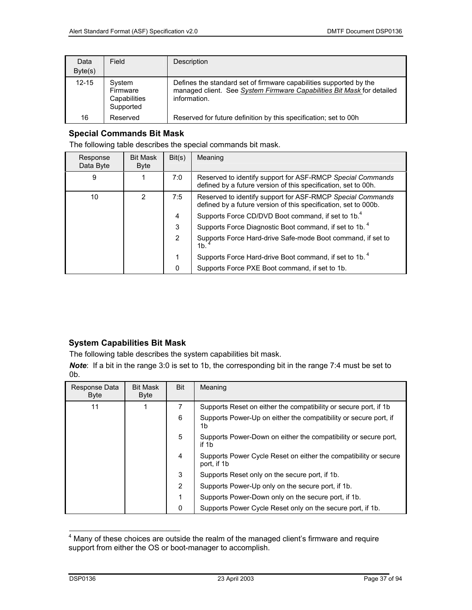| Data<br>Byte(s) | Field                                           | Description                                                                                                                                                  |
|-----------------|-------------------------------------------------|--------------------------------------------------------------------------------------------------------------------------------------------------------------|
| $12 - 15$       | System<br>Firmware<br>Capabilities<br>Supported | Defines the standard set of firmware capabilities supported by the<br>managed client. See System Firmware Capabilities Bit Mask for detailed<br>information. |
| 16              | Reserved                                        | Reserved for future definition by this specification; set to 00h                                                                                             |

### **Special Commands Bit Mask**

The following table describes the special commands bit mask.

| Response<br>Data Byte | <b>Bit Mask</b><br><b>Byte</b> | Bit(s)         | Meaning                                                                                                                       |
|-----------------------|--------------------------------|----------------|-------------------------------------------------------------------------------------------------------------------------------|
| 9                     |                                | 7:0            | Reserved to identify support for ASF-RMCP Special Commands<br>defined by a future version of this specification, set to 00h.  |
| 10                    | $\overline{2}$                 | 7:5            | Reserved to identify support for ASF-RMCP Special Commands<br>defined by a future version of this specification, set to 000b. |
|                       |                                | 4              | Supports Force CD/DVD Boot command, if set to 1b. <sup>4</sup>                                                                |
|                       |                                | 3              | Supports Force Diagnostic Boot command, if set to 1b. <sup>4</sup>                                                            |
|                       |                                | $\overline{2}$ | Supports Force Hard-drive Safe-mode Boot command, if set to<br>1 <sub>b</sub>                                                 |
|                       |                                | 1              | Supports Force Hard-drive Boot command, if set to 1b. <sup>4</sup>                                                            |
|                       |                                | 0              | Supports Force PXE Boot command, if set to 1b.                                                                                |

## **System Capabilities Bit Mask**

The following table describes the system capabilities bit mask.

*Note*: If a bit in the range 3:0 is set to 1b, the corresponding bit in the range 7:4 must be set to 0b.

| Response Data<br>Byte | <b>Bit Mask</b><br><b>Byte</b> | Bit | Meaning                                                                              |
|-----------------------|--------------------------------|-----|--------------------------------------------------------------------------------------|
| 11                    |                                | 7   | Supports Reset on either the compatibility or secure port, if 1b.                    |
|                       |                                | 6   | Supports Power-Up on either the compatibility or secure port, if<br>1b               |
|                       |                                | 5   | Supports Power-Down on either the compatibility or secure port.<br>if 1 <sub>b</sub> |
|                       |                                | 4   | Supports Power Cycle Reset on either the compatibility or secure<br>port, if 1b      |
|                       |                                | 3   | Supports Reset only on the secure port, if 1b.                                       |
|                       |                                | 2   | Supports Power-Up only on the secure port, if 1b.                                    |
|                       |                                |     | Supports Power-Down only on the secure port, if 1b.                                  |
|                       |                                | 0   | Supports Power Cycle Reset only on the secure port, if 1b.                           |

The many of these choices are outside the realm of the managed client's firmware and require support from either the OS or boot-manager to accomplish.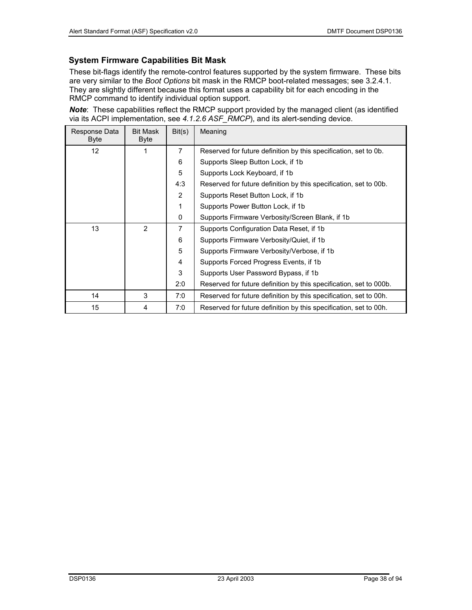#### **System Firmware Capabilities Bit Mask**

These bit-flags identify the remote-control features supported by the system firmware. These bits are very similar to the *Boot Options* bit mask in the RMCP boot-related messages; see 3.2.4.1. They are slightly different because this format uses a capability bit for each encoding in the RMCP command to identify individual option support.

*Note*: These capabilities reflect the RMCP support provided by the managed client (as identified via its ACPI implementation, see *4.1.2.6 ASF\_RMCP*), and its alert-sending device.

| Response Data<br><b>Byte</b> | <b>Bit Mask</b><br><b>Byte</b> | Bit(s)         | Meaning                                                            |
|------------------------------|--------------------------------|----------------|--------------------------------------------------------------------|
| 12                           | 1                              | $\overline{7}$ | Reserved for future definition by this specification, set to 0b.   |
|                              |                                | 6              | Supports Sleep Button Lock, if 1b                                  |
|                              |                                | 5              | Supports Lock Keyboard, if 1b                                      |
|                              |                                | 4:3            | Reserved for future definition by this specification, set to 00b.  |
|                              |                                | $\overline{2}$ | Supports Reset Button Lock, if 1b                                  |
|                              |                                | 1              | Supports Power Button Lock, if 1b.                                 |
|                              |                                | 0              | Supports Firmware Verbosity/Screen Blank, if 1b                    |
| 13                           | $\overline{2}$                 | $\overline{7}$ | Supports Configuration Data Reset, if 1b                           |
|                              |                                | 6              | Supports Firmware Verbosity/Quiet, if 1b                           |
|                              |                                | 5              | Supports Firmware Verbosity/Verbose, if 1b                         |
|                              |                                | 4              | Supports Forced Progress Events, if 1b                             |
|                              |                                | 3              | Supports User Password Bypass, if 1b                               |
|                              |                                | 2:0            | Reserved for future definition by this specification, set to 000b. |
| 14                           | 3                              | 7:0            | Reserved for future definition by this specification, set to 00h.  |
| 15                           | 4                              | 7:0            | Reserved for future definition by this specification, set to 00h.  |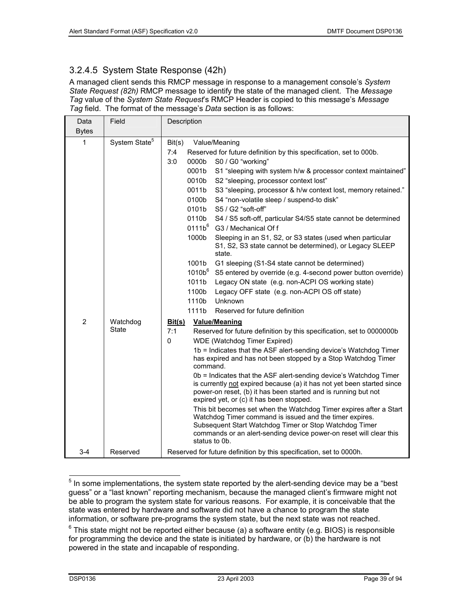## 3.2.4.5 System State Response (42h)

A managed client sends this RMCP message in response to a management console's *System State Request (82h)* RMCP message to identify the state of the managed client. The *Message Tag* value of the *System State Request*'s RMCP Header is copied to this message's *Message Tag* field. The format of the message's *Data* section is as follows:

| Data<br><b>Bytes</b> | Field                                                 | Description                                                                                                                                                                                                                                                                                                                                                                                                                                                                                                                                                                                                                                                                                                                                                                                                                                                                                                                                                                                                                                                                                                                                          |
|----------------------|-------------------------------------------------------|------------------------------------------------------------------------------------------------------------------------------------------------------------------------------------------------------------------------------------------------------------------------------------------------------------------------------------------------------------------------------------------------------------------------------------------------------------------------------------------------------------------------------------------------------------------------------------------------------------------------------------------------------------------------------------------------------------------------------------------------------------------------------------------------------------------------------------------------------------------------------------------------------------------------------------------------------------------------------------------------------------------------------------------------------------------------------------------------------------------------------------------------------|
| 1<br>$\overline{2}$  | System State <sup>5</sup><br>Watchdog<br><b>State</b> | Value/Meaning<br>Bit(s)<br>7:4<br>Reserved for future definition by this specification, set to 000b.<br>3:0<br>0000b<br>S0 / G0 "working"<br>0001b<br>S1 "sleeping with system h/w & processor context maintained"<br>0010b<br>S2 "sleeping, processor context lost"<br>0011b<br>S3 "sleeping, processor & h/w context lost, memory retained."<br>0100b<br>S4 "non-volatile sleep / suspend-to disk"<br>0101b<br>S5 / G2 "soft-off"<br>0110b<br>S4 / S5 soft-off, particular S4/S5 state cannot be determined<br>$0111b^6$<br>G3 / Mechanical Of f<br>1000b<br>Sleeping in an S1, S2, or S3 states (used when particular<br>S1, S2, S3 state cannot be determined), or Legacy SLEEP<br>state.<br>1001b<br>G1 sleeping (S1-S4 state cannot be determined)<br>$1010b^6$<br>S5 entered by override (e.g. 4-second power button override)<br>1011b<br>Legacy ON state (e.g. non-ACPI OS working state)<br>1100b<br>Legacy OFF state (e.g. non-ACPI OS off state)<br>1110b<br>Unknown<br>1111b<br>Reserved for future definition<br><u>Bit(s)</u><br><b>Value/Meaning</b><br>7:1<br>Reserved for future definition by this specification, set to 0000000b |
|                      |                                                       | 0<br><b>WDE (Watchdog Timer Expired)</b><br>1b = Indicates that the ASF alert-sending device's Watchdog Timer<br>has expired and has not been stopped by a Stop Watchdog Timer<br>command.<br>0b = Indicates that the ASF alert-sending device's Watchdog Timer<br>is currently not expired because (a) it has not yet been started since<br>power-on reset, (b) it has been started and is running but not<br>expired yet, or (c) it has been stopped.<br>This bit becomes set when the Watchdog Timer expires after a Start<br>Watchdog Timer command is issued and the timer expires.<br>Subsequent Start Watchdog Timer or Stop Watchdog Timer<br>commands or an alert-sending device power-on reset will clear this<br>status to 0b.                                                                                                                                                                                                                                                                                                                                                                                                            |
| 3-4                  | Reserved                                              | Reserved for future definition by this specification, set to 0000h.                                                                                                                                                                                                                                                                                                                                                                                                                                                                                                                                                                                                                                                                                                                                                                                                                                                                                                                                                                                                                                                                                  |

<sup>&</sup>lt;u>Frace some implementations,</u> the system state reported by the alert-sending device may be a "best is guess" or a "last known" reporting mechanism, because the managed client's firmware might not be able to program the system state for various reasons. For example, it is conceivable that the state was entered by hardware and software did not have a chance to program the state information, or software pre-programs the system state, but the next state was not reached.

 $^6$  This state might not be reported either because (a) a software entity (e.g. BIOS) is responsible for programming the device and the state is initiated by hardware, or (b) the hardware is not powered in the state and incapable of responding.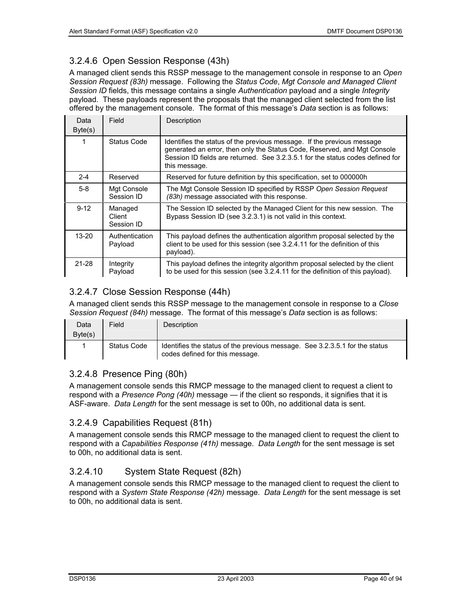## 3.2.4.6 Open Session Response (43h)

A managed client sends this RSSP message to the management console in response to an *Open Session Request (83h)* message. Following the *Status Code*, *Mgt Console and Managed Client Session ID* fields, this message contains a single *Authentication* payload and a single *Integrity* payload. These payloads represent the proposals that the managed client selected from the list offered by the management console. The format of this message's *Data* section is as follows:

| Data<br>Byte(s) | Field                           | Description                                                                                                                                                                                                                                           |
|-----------------|---------------------------------|-------------------------------------------------------------------------------------------------------------------------------------------------------------------------------------------------------------------------------------------------------|
| 1               | Status Code                     | Identifies the status of the previous message. If the previous message<br>generated an error, then only the Status Code, Reserved, and Mgt Console<br>Session ID fields are returned. See 3.2.3.5.1 for the status codes defined for<br>this message. |
| $2 - 4$         | Reserved                        | Reserved for future definition by this specification, set to 000000h                                                                                                                                                                                  |
| $5-8$           | Mgt Console<br>Session ID       | The Mgt Console Session ID specified by RSSP Open Session Request<br>(83h) message associated with this response.                                                                                                                                     |
| $9 - 12$        | Managed<br>Client<br>Session ID | The Session ID selected by the Managed Client for this new session. The<br>Bypass Session ID (see 3.2.3.1) is not valid in this context.                                                                                                              |
| $13 - 20$       | Authentication<br>Payload       | This payload defines the authentication algorithm proposal selected by the<br>client to be used for this session (see 3.2.4.11 for the definition of this<br>payload).                                                                                |
| $21 - 28$       | Integrity<br>Payload            | This payload defines the integrity algorithm proposal selected by the client<br>to be used for this session (see 3.2.4.11 for the definition of this payload).                                                                                        |

## 3.2.4.7 Close Session Response (44h)

A managed client sends this RSSP message to the management console in response to a *Close Session Request (84h)* message. The format of this message's *Data* section is as follows:

| Data<br>Bvte(s) | Field       | Description                                                                                                    |
|-----------------|-------------|----------------------------------------------------------------------------------------------------------------|
|                 | Status Code | Identifies the status of the previous message. See 3.2.3.5.1 for the status<br>codes defined for this message. |

### 3.2.4.8 Presence Ping (80h)

A management console sends this RMCP message to the managed client to request a client to respond with a *Presence Pong (40h)* message — if the client so responds, it signifies that it is ASF-aware. *Data Length* for the sent message is set to 00h, no additional data is sent.

### 3.2.4.9 Capabilities Request (81h)

A management console sends this RMCP message to the managed client to request the client to respond with a *Capabilities Response (41h)* message. *Data Length* for the sent message is set to 00h, no additional data is sent.

## 3.2.4.10 System State Request (82h)

A management console sends this RMCP message to the managed client to request the client to respond with a *System State Response (42h)* message. *Data Length* for the sent message is set to 00h, no additional data is sent.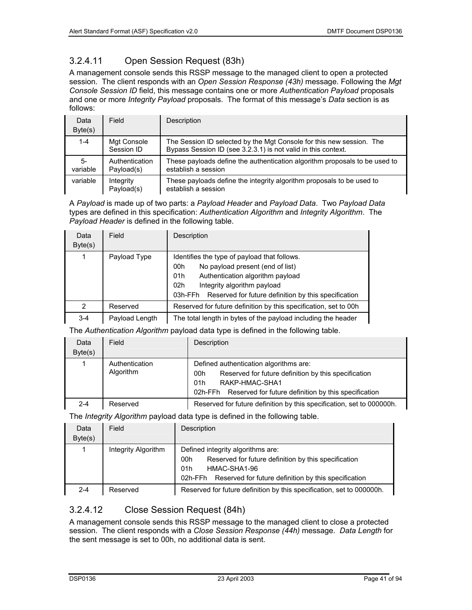# 3.2.4.11 Open Session Request (83h)

A management console sends this RSSP message to the managed client to open a protected session. The client responds with an *Open Session Response (43h)* message. Following the *Mgt Console Session ID* field, this message contains one or more *Authentication Payload* proposals and one or more *Integrity Payload* proposals. The format of this message's *Data* section is as follows:

| Data<br>Byte(s) | Field                        | Description                                                                                                                           |
|-----------------|------------------------------|---------------------------------------------------------------------------------------------------------------------------------------|
| $1 - 4$         | Mgt Console<br>Session ID    | The Session ID selected by the Mgt Console for this new session. The<br>Bypass Session ID (see 3.2.3.1) is not valid in this context. |
| 5-<br>variable  | Authentication<br>Payload(s) | These payloads define the authentication algorithm proposals to be used to<br>establish a session                                     |
| variable        | Integrity<br>Payload(s)      | These payloads define the integrity algorithm proposals to be used to<br>establish a session                                          |

A *Payload* is made up of two parts: a *Payload Header* and *Payload Data*. Two *Payload Data* types are defined in this specification: *Authentication Algorithm* and *Integrity Algorithm*. The *Payload Header* is defined in the following table.

| Data<br>Byte(s) | Field          | Description                                                                                                                                                                                                                                             |
|-----------------|----------------|---------------------------------------------------------------------------------------------------------------------------------------------------------------------------------------------------------------------------------------------------------|
| 1               | Payload Type   | Identifies the type of payload that follows.<br>No payload present (end of list)<br>00h<br>Authentication algorithm payload<br>01h<br>Integrity algorithm payload<br>02 <sub>h</sub><br>Reserved for future definition by this specification<br>03h-FFh |
| 2               | Reserved       | Reserved for future definition by this specification, set to 00h                                                                                                                                                                                        |
| $3 - 4$         | Payload Length | The total length in bytes of the payload including the header                                                                                                                                                                                           |

The *Authentication Algorithm* payload data type is defined in the following table.

| Data<br>Byte(s) | Field                       | Description                                                                                                                                                                                       |
|-----------------|-----------------------------|---------------------------------------------------------------------------------------------------------------------------------------------------------------------------------------------------|
| $\mathbf 1$     | Authentication<br>Algorithm | Defined authentication algorithms are:<br>Reserved for future definition by this specification<br>00h<br>RAKP-HMAC-SHA1<br>01h<br>Reserved for future definition by this specification<br>02h-FFh |
| $2 - 4$         | Reserved                    | Reserved for future definition by this specification, set to 000000h.                                                                                                                             |

The *Integrity Algorithm* payload data type is defined in the following table.

| Data<br>Byte(s) | Field               | Description                                                                                                                                                                                |
|-----------------|---------------------|--------------------------------------------------------------------------------------------------------------------------------------------------------------------------------------------|
| 1               | Integrity Algorithm | Defined integrity algorithms are:<br>Reserved for future definition by this specification<br>00h<br>HMAC-SHA1-96<br>01h<br>Reserved for future definition by this specification<br>02h-FFh |
| $2 - 4$         | Reserved            | Reserved for future definition by this specification, set to 000000h.                                                                                                                      |

### 3.2.4.12 Close Session Request (84h)

A management console sends this RSSP message to the managed client to close a protected session. The client responds with a *Close Session Response (44h)* message. *Data Length* for the sent message is set to 00h, no additional data is sent.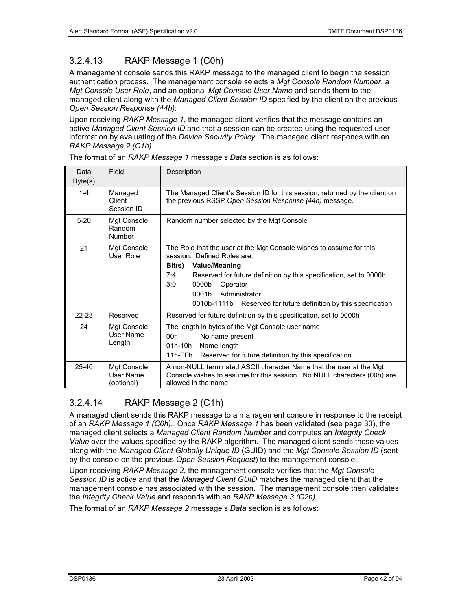Data di Bandar di Ba

## 3.2.4.13 RAKP Message 1 (C0h)

A management console sends this RAKP message to the managed client to begin the session authentication process. The management console selects a *Mgt Console Random Number*, a *Mgt Console User Role*, and an optional *Mgt Console User Name* and sends them to the managed client along with the *Managed Client Session ID* specified by the client on the previous *Open Session Response (44h)*.

Upon receiving *RAKP Message 1*, the managed client verifies that the message contains an active *Managed Client Session ID* and that a session can be created using the requested user information by evaluating of the *Device Security Policy*. The managed client responds with an *RAKP Message 2 (C1h)*.

| Data<br>Byte(s) | Field                                  | Description                                                                                                                                                             |  |  |  |
|-----------------|----------------------------------------|-------------------------------------------------------------------------------------------------------------------------------------------------------------------------|--|--|--|
| $1 - 4$         | Managed<br>Client<br>Session ID        | The Managed Client's Session ID for this session, returned by the client on<br>the previous RSSP Open Session Response (44h) message.                                   |  |  |  |
| $5 - 20$        | Mgt Console<br>Random<br>Number        | Random number selected by the Mgt Console                                                                                                                               |  |  |  |
| 21              | Mgt Console<br>User Role               | The Role that the user at the Mgt Console wishes to assume for this<br>session. Defined Roles are:<br><b>Value/Meaning</b><br>Bit(s)                                    |  |  |  |
|                 |                                        | 7:4<br>Reserved for future definition by this specification, set to 0000b<br>0000b<br>3:0                                                                               |  |  |  |
|                 |                                        | Operator<br>0001b<br>Administrator                                                                                                                                      |  |  |  |
|                 |                                        | Reserved for future definition by this specification<br>0010b-1111b                                                                                                     |  |  |  |
| $22 - 23$       | Reserved                               | Reserved for future definition by this specification, set to 0000h                                                                                                      |  |  |  |
| 24              | Mgt Console<br>User Name<br>Length     | The length in bytes of the Mgt Console user name<br>00h<br>No name present<br>Name length<br>01h-10h<br>11h-FFh<br>Reserved for future definition by this specification |  |  |  |
| $25 - 40$       | Mgt Console<br>User Name<br>(optional) | A non-NULL terminated ASCII character Name that the user at the Mgt<br>Console wishes to assume for this session. No NULL characters (00h) are<br>allowed in the name.  |  |  |  |

The format of an *RAKP Message 1* message's *Data* section is as follows:

### 3.2.4.14 RAKP Message 2 (C1h)

A managed client sends this RAKP message to a management console in response to the receipt of an *RAKP Message 1 (C0h).* Once *RAKP Message 1* has been validated (see page 30), the managed client selects a *Managed Client Random Number* and computes an *Integrity Check Value* over the values specified by the RAKP algorithm. The managed client sends those values along with the *Managed Client Globally Unique ID* (GUID) and the *Mgt Console Session ID* (sent by the console on the previous *Open Session Request*) to the management console.

Upon receiving *RAKP Message 2*, the management console verifies that the *Mgt Console Session ID* is active and that the *Managed Client GUID* matches the managed client that the management console has associated with the session. The management console then validates the *Integrity Check Value* and responds with an *RAKP Message 3 (C2h)*.

The format of an *RAKP Message 2* message's *Data* section is as follows: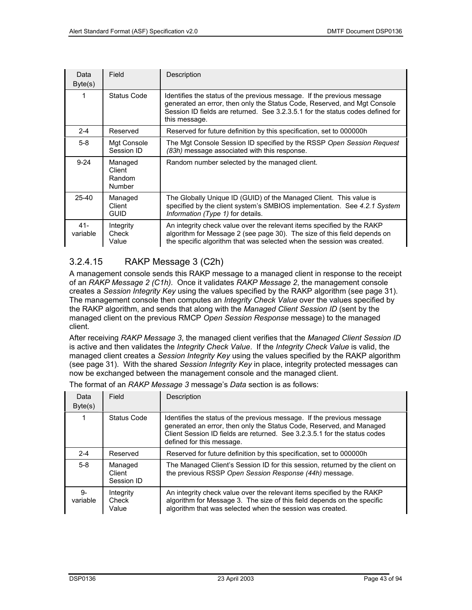| Data<br>Byte(s)    | Field                                 | Description                                                                                                                                                                                                                                           |  |  |  |  |  |
|--------------------|---------------------------------------|-------------------------------------------------------------------------------------------------------------------------------------------------------------------------------------------------------------------------------------------------------|--|--|--|--|--|
| 1                  | Status Code                           | Identifies the status of the previous message. If the previous message<br>generated an error, then only the Status Code, Reserved, and Mgt Console<br>Session ID fields are returned. See 3.2.3.5.1 for the status codes defined for<br>this message. |  |  |  |  |  |
| $2 - 4$            | Reserved                              | Reserved for future definition by this specification, set to 000000h                                                                                                                                                                                  |  |  |  |  |  |
| $5 - 8$            | Mgt Console<br>Session ID             | The Mgt Console Session ID specified by the RSSP Open Session Request<br>(83h) message associated with this response.                                                                                                                                 |  |  |  |  |  |
| $9 - 24$           | Managed<br>Client<br>Random<br>Number | Random number selected by the managed client.                                                                                                                                                                                                         |  |  |  |  |  |
| $25-40$            | Managed<br>Client<br>GUID             | The Globally Unique ID (GUID) of the Managed Client. This value is<br>specified by the client system's SMBIOS implementation. See 4.2.1 System<br>Information (Type 1) for details.                                                                   |  |  |  |  |  |
| $41 -$<br>variable | Integrity<br>Check<br>Value           | An integrity check value over the relevant items specified by the RAKP<br>algorithm for Message 2 (see page 30). The size of this field depends on<br>the specific algorithm that was selected when the session was created.                          |  |  |  |  |  |

### 3.2.4.15 RAKP Message 3 (C2h)

A management console sends this RAKP message to a managed client in response to the receipt of an *RAKP Message 2 (C1h).* Once it validates *RAKP Message 2*, the management console creates a *Session Integrity Key* using the values specified by the RAKP algorithm (see page 31). The management console then computes an *Integrity Check Value* over the values specified by the RAKP algorithm, and sends that along with the *Managed Client Session ID* (sent by the managed client on the previous RMCP *Open Session Response* message) to the managed client.

After receiving *RAKP Message 3*, the managed client verifies that the *Managed Client Session ID* is active and then validates the *Integrity Check Value*. If the *Integrity Check Value* is valid, the managed client creates a *Session Integrity Key* using the values specified by the RAKP algorithm (see page 31). With the shared *Session Integrity Key* in place, integrity protected messages can now be exchanged between the management console and the managed client.

The format of an *RAKP Message 3* message's *Data* section is as follows:

| Data<br>Byte(s) | Field                           | Description                                                                                                                                                                                                                                              |
|-----------------|---------------------------------|----------------------------------------------------------------------------------------------------------------------------------------------------------------------------------------------------------------------------------------------------------|
|                 | Status Code                     | Identifies the status of the previous message. If the previous message<br>generated an error, then only the Status Code, Reserved, and Managed<br>Client Session ID fields are returned. See 3.2.3.5.1 for the status codes<br>defined for this message. |
| $2 - 4$         | Reserved                        | Reserved for future definition by this specification, set to 000000h                                                                                                                                                                                     |
| $5 - 8$         | Managed<br>Client<br>Session ID | The Managed Client's Session ID for this session, returned by the client on<br>the previous RSSP Open Session Response (44h) message.                                                                                                                    |
| 9-<br>variable  | Integrity<br>Check<br>Value     | An integrity check value over the relevant items specified by the RAKP<br>algorithm for Message 3. The size of this field depends on the specific<br>algorithm that was selected when the session was created.                                           |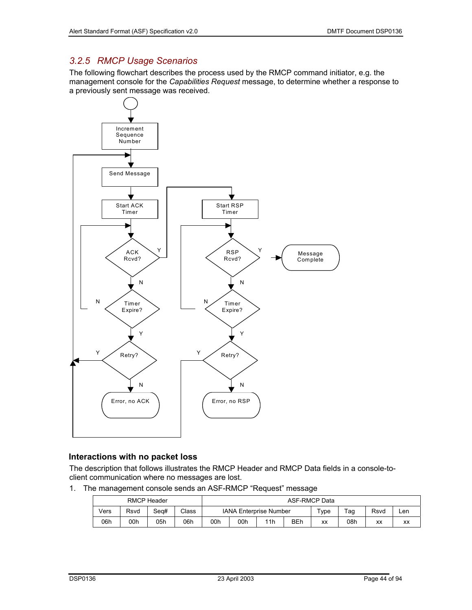# *3.2.5 RMCP Usage Scenarios*

The following flowchart describes the process used by the RMCP command initiator, e.g. the management console for the *Capabilities Request* message, to determine whether a response to a previously sent message was received.



#### **Interactions with no packet loss**

The description that follows illustrates the RMCP Header and RMCP Data fields in a console-toclient communication where no messages are lost.

1. The management console sends an ASF-RMCP "Request" message

|      | <b>RMCP Header</b> |      |       |                               |     |     | <b>ASF-RMCP Data</b> |           |      |     |    |
|------|--------------------|------|-------|-------------------------------|-----|-----|----------------------|-----------|------|-----|----|
| Vers | Rsvd               | Sea# | Class | <b>IANA Enterprise Number</b> |     |     | $\tau_{V\text{D}e}$  | $\tau$ ag | Rsvd | Len |    |
| 06h  | 00h                | 05h  | 06h   | 00h                           | 00h | 11h | BEh                  | XX        | 08h  | XX  | XX |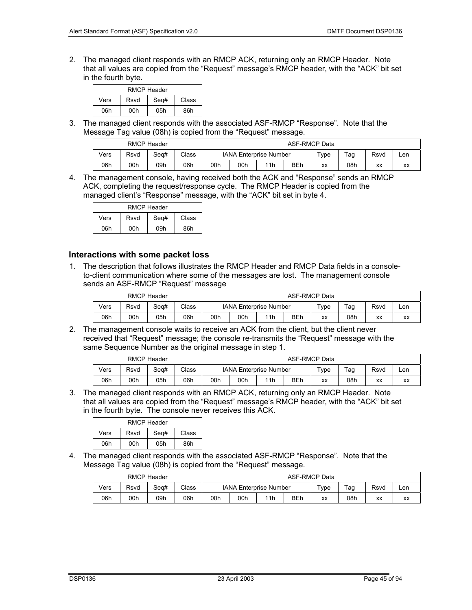2. The managed client responds with an RMCP ACK, returning only an RMCP Header. Note that all values are copied from the "Request" message's RMCP header, with the "ACK" bit set in the fourth byte.

| RMCP Header                   |     |     |     |  |  |  |  |
|-------------------------------|-----|-----|-----|--|--|--|--|
| Vers<br>Seg#<br>Class<br>Rsvd |     |     |     |  |  |  |  |
| 06h                           | 00h | 05h | 86h |  |  |  |  |

3. The managed client responds with the associated ASF-RMCP "Response". Note that the Message Tag value (08h) is copied from the "Request" message.

|      | <b>RMCP Header</b> |      |       |                                 | <b>ASF-RMCP Data</b> |  |  |                     |           |      |     |  |
|------|--------------------|------|-------|---------------------------------|----------------------|--|--|---------------------|-----------|------|-----|--|
| Vers | Rsvd               | Sea# | Class | <b>IANA Enterprise Number</b>   |                      |  |  | $T$ <sub>V</sub> pe | $\tau$ ag | Rsvd | Len |  |
| 06h  | 00h                | 09h  | 06h   | 00h<br>11h<br>00h<br><b>BEh</b> |                      |  |  | XX                  | 08h       | XX   | XX  |  |

4. The management console, having received both the ACK and "Response" sends an RMCP ACK, completing the request/response cycle. The RMCP Header is copied from the managed client's "Response" message, with the "ACK" bit set in byte 4.

| RMCP Header                   |     |     |     |  |  |  |  |  |  |  |
|-------------------------------|-----|-----|-----|--|--|--|--|--|--|--|
| Seg#<br>Class<br>Vers<br>Rsvd |     |     |     |  |  |  |  |  |  |  |
| 06h                           | 00h | 09h | 86h |  |  |  |  |  |  |  |

#### **Interactions with some packet loss**

1. The description that follows illustrates the RMCP Header and RMCP Data fields in a consoleto-client communication where some of the messages are lost. The management console sends an ASF-RMCP "Request" message

|      | <b>RMCP Header</b> |      |       |                                 | <b>ASF-RMCP Data</b> |  |  |                       |     |      |     |  |
|------|--------------------|------|-------|---------------------------------|----------------------|--|--|-----------------------|-----|------|-----|--|
| Vers | Rsvd               | Sea# | Class | <b>IANA Enterprise Number</b>   |                      |  |  | $\tau_{\texttt{Vpe}}$ | ⊤ag | Rsvd | Len |  |
| 06h  | 00h                | 05h  | 06h   | 11h<br>00h<br><b>BEh</b><br>00h |                      |  |  | XX                    | 08h | xх   | XX  |  |

2. The management console waits to receive an ACK from the client, but the client never received that "Request" message; the console re-transmits the "Request" message with the same Sequence Number as the original message in step 1.

|      | <b>RMCP Header</b> |      |       |                                 | <b>ASF-RMCP Data</b> |  |  |                     |           |      |     |  |
|------|--------------------|------|-------|---------------------------------|----------------------|--|--|---------------------|-----------|------|-----|--|
| Vers | Rsvd               | Sea# | Class | <b>IANA Enterprise Number</b>   |                      |  |  | $\tau_\mathsf{VDE}$ | $\tau$ ag | Rsvd | Len |  |
| 06h  | 00h                | 05h  | 06h   | 00h<br>00h<br>11h<br><b>BEh</b> |                      |  |  | XX                  | 08h       | XX   | XX  |  |

3. The managed client responds with an RMCP ACK, returning only an RMCP Header. Note that all values are copied from the "Request" message's RMCP header, with the "ACK" bit set in the fourth byte. The console never receives this ACK.

| RMCP Header                   |  |  |  |  |  |  |  |  |  |  |  |
|-------------------------------|--|--|--|--|--|--|--|--|--|--|--|
| Seg#<br>Rsvd<br>Class<br>Vers |  |  |  |  |  |  |  |  |  |  |  |
| 00h<br>06h<br>86h<br>05h      |  |  |  |  |  |  |  |  |  |  |  |

4. The managed client responds with the associated ASF-RMCP "Response". Note that the Message Tag value (08h) is copied from the "Request" message.

|      | <b>RMCP Header</b> |      |       |                                 | <b>ASF-RMCP Data</b> |  |  |                       |           |      |     |
|------|--------------------|------|-------|---------------------------------|----------------------|--|--|-----------------------|-----------|------|-----|
| Vers | Rsvd               | Sea# | Class | <b>IANA Enterprise Number</b>   |                      |  |  | $\tau$ <sub>VDe</sub> | $\tau$ ag | Rsvd | Len |
| 06h  | 00h                | 09h  | 06h   | 11h<br><b>BEh</b><br>00h<br>00h |                      |  |  | XX                    | 08h       | ХX   | XX  |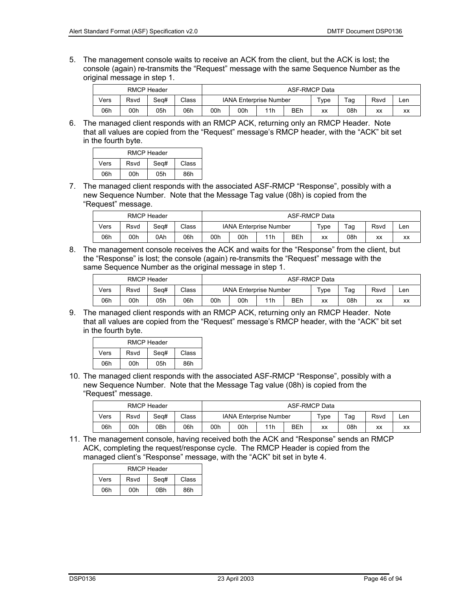5. The management console waits to receive an ACK from the client, but the ACK is lost; the console (again) re-transmits the "Request" message with the same Sequence Number as the original message in step 1.

|      | <b>RMCP Header</b> |      |       |                                 | <b>ASF-RMCP Data</b> |  |  |                       |     |      |     |  |
|------|--------------------|------|-------|---------------------------------|----------------------|--|--|-----------------------|-----|------|-----|--|
| Vers | Rsvd               | Sea# | Class | <b>IANA Enterprise Number</b>   |                      |  |  | $\tau_{\texttt{Vpe}}$ | ⊤ag | Rsvd | Len |  |
| 06h  | 00h                | 05h  | 06h   | 00h<br>11h<br>00h<br><b>BEh</b> |                      |  |  | ХX                    | 08h | ХX   | XX  |  |

6. The managed client responds with an RMCP ACK, returning only an RMCP Header. Note that all values are copied from the "Request" message's RMCP header, with the "ACK" bit set in the fourth byte.

| <b>RMCP Header</b>            |     |  |  |  |  |  |  |  |  |  |
|-------------------------------|-----|--|--|--|--|--|--|--|--|--|
| Seg#<br>Vers<br>Class<br>Rsvd |     |  |  |  |  |  |  |  |  |  |
| 06h                           | 86h |  |  |  |  |  |  |  |  |  |

7. The managed client responds with the associated ASF-RMCP "Response", possibly with a new Sequence Number. Note that the Message Tag value (08h) is copied from the "Request" message.

|      | <b>RMCP Header</b> |      |       |                                 | <b>ASF-RMCP Data</b> |  |  |                     |           |      |     |  |
|------|--------------------|------|-------|---------------------------------|----------------------|--|--|---------------------|-----------|------|-----|--|
| Vers | Rsvd               | Sea# | Class | <b>IANA Enterprise Number</b>   |                      |  |  | $T$ <sub>V</sub> pe | $\tau$ ag | Rsvd | Len |  |
| 06h  | 00h                | 0Ah  | 06h   | 00h<br>11h<br>00h<br><b>BEh</b> |                      |  |  | XX                  | 08h       | XX   | xх  |  |

8. The management console receives the ACK and waits for the "Response" from the client, but the "Response" is lost; the console (again) re-transmits the "Request" message with the same Sequence Number as the original message in step 1.

| RMCP Header |      |      |       |                                 | <b>ASF-RMCP Data</b> |  |  |                       |           |      |     |
|-------------|------|------|-------|---------------------------------|----------------------|--|--|-----------------------|-----------|------|-----|
| Vers        | Rsvd | Sea# | Class | <b>IANA Enterprise Number</b>   |                      |  |  | $\tau_{\texttt{VDE}}$ | $\tau$ ag | Rsvd | Len |
| 06h         | 00h  | 05h  | 06h   | 11h<br>00h<br>00h<br><b>BEh</b> |                      |  |  | ХX                    | 08h       | xх   | XX  |

9. The managed client responds with an RMCP ACK, returning only an RMCP Header. Note that all values are copied from the "Request" message's RMCP header, with the "ACK" bit set in the fourth byte.

|                               | <b>RMCP Header</b> |     |     |  |  |  |  |  |  |  |  |
|-------------------------------|--------------------|-----|-----|--|--|--|--|--|--|--|--|
| Seg#<br>Class<br>Vers<br>Rsvd |                    |     |     |  |  |  |  |  |  |  |  |
| 06h                           | 00h                | 05h | 86h |  |  |  |  |  |  |  |  |

10. The managed client responds with the associated ASF-RMCP "Response", possibly with a new Sequence Number. Note that the Message Tag value (08h) is copied from the "Request" message.

|      | <b>RMCP Header</b> |      |       |                                 | <b>ASF-RMCP Data</b> |  |  |                       |           |      |     |  |
|------|--------------------|------|-------|---------------------------------|----------------------|--|--|-----------------------|-----------|------|-----|--|
| Vers | Rsvd               | Sea# | Class | <b>IANA Enterprise Number</b>   |                      |  |  | $\tau_{\texttt{VDE}}$ | $\tau$ ag | Rsvd | Len |  |
| 06h  | 00h                | 0Bh  | 06h   | 11h<br>00h<br><b>BEh</b><br>00h |                      |  |  | XX                    | 08h       | xх   | xх  |  |

11. The management console, having received both the ACK and "Response" sends an RMCP ACK, completing the request/response cycle. The RMCP Header is copied from the managed client's "Response" message, with the "ACK" bit set in byte 4.

| RMCP Header |      |      |       |  |  |
|-------------|------|------|-------|--|--|
| Vers        | Rsvd | Seg# | Class |  |  |
| 06h         | 00h  | 0Bh  | 86h   |  |  |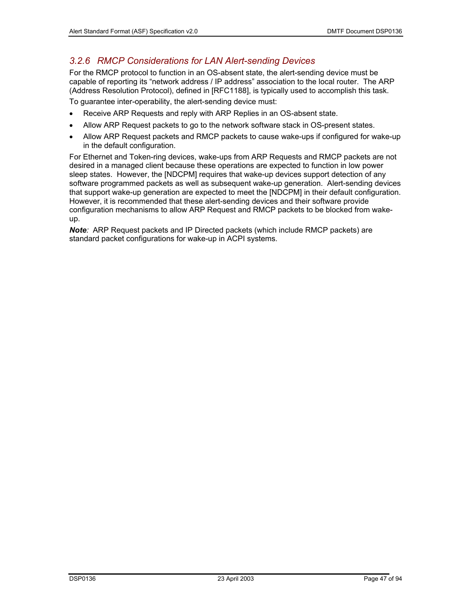### *3.2.6 RMCP Considerations for LAN Alert-sending Devices*

For the RMCP protocol to function in an OS-absent state, the alert-sending device must be capable of reporting its "network address / IP address" association to the local router. The ARP (Address Resolution Protocol), defined in [RFC1188], is typically used to accomplish this task.

To guarantee inter-operability, the alert-sending device must:

- Receive ARP Requests and reply with ARP Replies in an OS-absent state.
- Allow ARP Request packets to go to the network software stack in OS-present states.
- Allow ARP Request packets and RMCP packets to cause wake-ups if configured for wake-up in the default configuration.

For Ethernet and Token-ring devices, wake-ups from ARP Requests and RMCP packets are not desired in a managed client because these operations are expected to function in low power sleep states. However, the [NDCPM] requires that wake-up devices support detection of any software programmed packets as well as subsequent wake-up generation. Alert-sending devices that support wake-up generation are expected to meet the [NDCPM] in their default configuration. However, it is recommended that these alert-sending devices and their software provide configuration mechanisms to allow ARP Request and RMCP packets to be blocked from wakeup.

*Note:* ARP Request packets and IP Directed packets (which include RMCP packets) are standard packet configurations for wake-up in ACPI systems*.*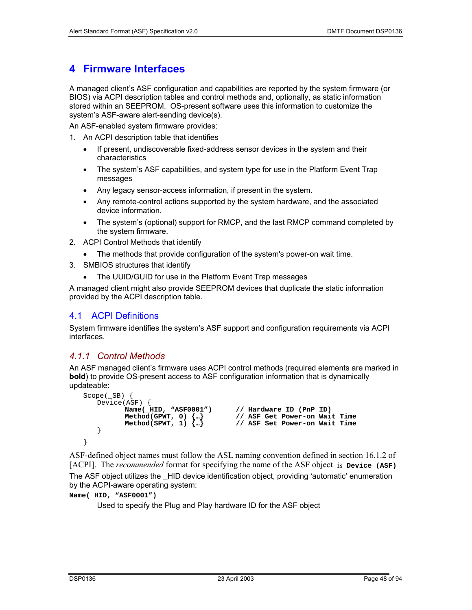# **4 Firmware Interfaces**

A managed client's ASF configuration and capabilities are reported by the system firmware (or BIOS) via ACPI description tables and control methods and, optionally, as static information stored within an SEEPROM. OS-present software uses this information to customize the system's ASF-aware alert-sending device(s).

An ASF-enabled system firmware provides:

- 1. An ACPI description table that identifies
	- If present, undiscoverable fixed-address sensor devices in the system and their characteristics
	- The system's ASF capabilities, and system type for use in the Platform Event Trap messages
	- Any legacy sensor-access information, if present in the system.
	- Any remote-control actions supported by the system hardware, and the associated device information.
	- The system's (optional) support for RMCP, and the last RMCP command completed by the system firmware.
- 2. ACPI Control Methods that identify
	- The methods that provide configuration of the system's power-on wait time.
- 3. SMBIOS structures that identify
	- The UUID/GUID for use in the Platform Event Trap messages

A managed client might also provide SEEPROM devices that duplicate the static information provided by the ACPI description table.

#### 4.1 ACPI Definitions

System firmware identifies the system's ASF support and configuration requirements via ACPI interfaces.

#### *4.1.1 Control Methods*

An ASF managed client's firmware uses ACPI control methods (required elements are marked in **bold**) to provide OS-present access to ASF configuration information that is dynamically updateable:

```
Scope(_SB) { 
      Device(ASF) { 
                  Name(_HID, "ASF0001") // Hardware ID (PnP ID)<br>Method(GPWT, 0) {...} // ASF Get Power-on Wai<br>Method(SPWT, 1) {...} // ASF Set Power-on Wai
                                                                    Method(GPWT, 0) {…} // ASF Get Power-on Wait Time 
                                                                    // ASF Set Power-on Wait Time
      } 
}
```
ASF-defined object names must follow the ASL naming convention defined in section 16.1.2 of [ACPI]. The *recommended* format for specifying the name of the ASF object is **Device (ASF)**  The ASF object utilizes the \_HID device identification object, providing 'automatic' enumeration by the ACPI-aware operating system:

**Name(\_HID, "ASF0001")** 

Used to specify the Plug and Play hardware ID for the ASF object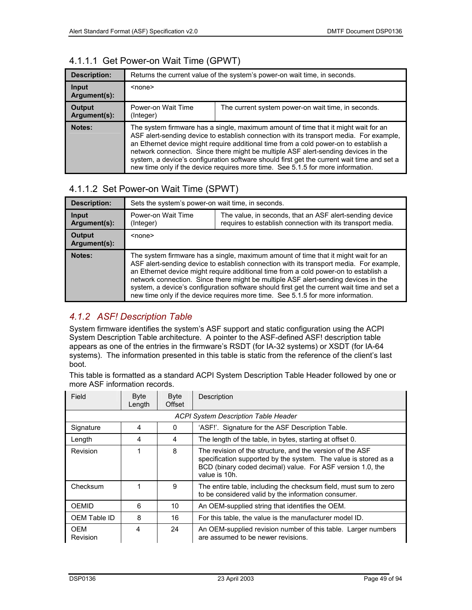## 4.1.1.1 Get Power-on Wait Time (GPWT)

| <b>Description:</b>           | Returns the current value of the system's power-on wait time, in seconds.                                                                                                                                                                                                                                                                                                                                                                                                                                                                    |  |  |  |  |
|-------------------------------|----------------------------------------------------------------------------------------------------------------------------------------------------------------------------------------------------------------------------------------------------------------------------------------------------------------------------------------------------------------------------------------------------------------------------------------------------------------------------------------------------------------------------------------------|--|--|--|--|
| Input<br>Argument(s):         | $none$                                                                                                                                                                                                                                                                                                                                                                                                                                                                                                                                       |  |  |  |  |
| <b>Output</b><br>Argument(s): | Power-on Wait Time<br>The current system power-on wait time, in seconds.<br>(Integer)                                                                                                                                                                                                                                                                                                                                                                                                                                                        |  |  |  |  |
| Notes:                        | The system firmware has a single, maximum amount of time that it might wait for an<br>ASF alert-sending device to establish connection with its transport media. For example,<br>an Ethernet device might require additional time from a cold power-on to establish a<br>network connection. Since there might be multiple ASF alert-sending devices in the<br>system, a device's configuration software should first get the current wait time and set a<br>new time only if the device requires more time. See 5.1.5 for more information. |  |  |  |  |

## 4.1.1.2 Set Power-on Wait Time (SPWT)

| <b>Description:</b>           | Sets the system's power-on wait time, in seconds.                                                                                                                                                                                                                                                                                                                                                                                                                                                                                            |  |  |  |  |
|-------------------------------|----------------------------------------------------------------------------------------------------------------------------------------------------------------------------------------------------------------------------------------------------------------------------------------------------------------------------------------------------------------------------------------------------------------------------------------------------------------------------------------------------------------------------------------------|--|--|--|--|
| Input<br>Argument(s):         | Power-on Wait Time<br>The value, in seconds, that an ASF alert-sending device<br>requires to establish connection with its transport media.<br>(Integer)                                                                                                                                                                                                                                                                                                                                                                                     |  |  |  |  |
| <b>Output</b><br>Argument(s): | <none></none>                                                                                                                                                                                                                                                                                                                                                                                                                                                                                                                                |  |  |  |  |
| <b>Notes:</b>                 | The system firmware has a single, maximum amount of time that it might wait for an<br>ASF alert-sending device to establish connection with its transport media. For example,<br>an Ethernet device might require additional time from a cold power-on to establish a<br>network connection. Since there might be multiple ASF alert-sending devices in the<br>system, a device's configuration software should first get the current wait time and set a<br>new time only if the device requires more time. See 5.1.5 for more information. |  |  |  |  |

# *4.1.2 ASF! Description Table*

System firmware identifies the system's ASF support and static configuration using the ACPI System Description Table architecture. A pointer to the ASF-defined ASF! description table appears as one of the entries in the firmware's RSDT (for IA-32 systems) or XSDT (for IA-64 systems). The information presented in this table is static from the reference of the client's last boot.

This table is formatted as a standard ACPI System Description Table Header followed by one or more ASF information records.

| Field                  | <b>Byte</b><br>Length | <b>Byte</b><br>Offset | Description                                                                                                                                                                                                 |  |
|------------------------|-----------------------|-----------------------|-------------------------------------------------------------------------------------------------------------------------------------------------------------------------------------------------------------|--|
|                        |                       |                       | <b>ACPI System Description Table Header</b>                                                                                                                                                                 |  |
| Signature              | 4                     | 0                     | 'ASF!'. Signature for the ASF Description Table.                                                                                                                                                            |  |
| Length                 | 4                     | 4                     | The length of the table, in bytes, starting at offset 0.                                                                                                                                                    |  |
| Revision               |                       | 8                     | The revision of the structure, and the version of the ASF<br>specification supported by the system. The value is stored as a<br>BCD (binary coded decimal) value. For ASF version 1.0, the<br>value is 10h. |  |
| Checksum               |                       | 9                     | The entire table, including the checksum field, must sum to zero<br>to be considered valid by the information consumer.                                                                                     |  |
| <b>OEMID</b>           | 6                     | 10                    | An OEM-supplied string that identifies the OEM.                                                                                                                                                             |  |
| OEM Table ID           | 8                     | 16                    | For this table, the value is the manufacturer model ID.                                                                                                                                                     |  |
| <b>OEM</b><br>Revision | 4                     | 24                    | An OEM-supplied revision number of this table. Larger numbers<br>are assumed to be newer revisions.                                                                                                         |  |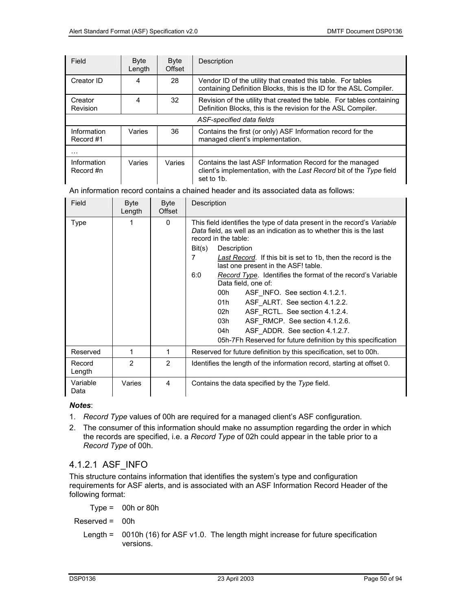| Field                    | <b>Byte</b><br>Length | <b>Byte</b><br>Offset | Description                                                                                                                                   |
|--------------------------|-----------------------|-----------------------|-----------------------------------------------------------------------------------------------------------------------------------------------|
| Creator ID               | 4                     | 28                    | Vendor ID of the utility that created this table. For tables<br>containing Definition Blocks, this is the ID for the ASL Compiler.            |
| Creator<br>Revision      | 4                     | 32                    | Revision of the utility that created the table. For tables containing<br>Definition Blocks, this is the revision for the ASL Compiler.        |
|                          |                       |                       | ASF-specified data fields                                                                                                                     |
| Information<br>Record #1 | Varies                | 36                    | Contains the first (or only) ASF Information record for the<br>managed client's implementation.                                               |
| .                        |                       |                       |                                                                                                                                               |
| Information<br>Record #n | Varies                | Varies                | Contains the last ASF Information Record for the managed<br>client's implementation, with the Last Record bit of the Type field<br>set to 1b. |

An information record contains a chained header and its associated data as follows:

| Field            | <b>Byte</b><br>Length | <b>Byte</b><br>Offset | Description                                                                                                                                                                                                                                                                                                                                                                                                                                                                                                                                                                                                                                                                                                           |  |  |
|------------------|-----------------------|-----------------------|-----------------------------------------------------------------------------------------------------------------------------------------------------------------------------------------------------------------------------------------------------------------------------------------------------------------------------------------------------------------------------------------------------------------------------------------------------------------------------------------------------------------------------------------------------------------------------------------------------------------------------------------------------------------------------------------------------------------------|--|--|
| Type             | 1                     | $\Omega$              | This field identifies the type of data present in the record's Variable<br>Data field, as well as an indication as to whether this is the last<br>record in the table:<br>Bit(s)<br>Description<br>$\overline{7}$<br><b>Last Record.</b> If this bit is set to 1b, then the record is the<br>last one present in the ASF! table.<br>6:0<br><i>Record Type.</i> Identifies the format of the record's Variable<br>Data field, one of:<br>00h —<br>ASF INFO. See section 4.1.2.1.<br>01h —<br>ASF ALRT. See section 4.1.2.2.<br>02h<br>ASF RCTL. See section 4.1.2.4.<br>03h<br>ASF RMCP. See section 4.1.2.6.<br>04h<br>ASF ADDR. See section 4.1.2.7.<br>05h-7Fh Reserved for future definition by this specification |  |  |
| Reserved         | 1                     | 1                     | Reserved for future definition by this specification, set to 00h.                                                                                                                                                                                                                                                                                                                                                                                                                                                                                                                                                                                                                                                     |  |  |
| Record<br>Length | 2                     | 2                     | Identifies the length of the information record, starting at offset 0.                                                                                                                                                                                                                                                                                                                                                                                                                                                                                                                                                                                                                                                |  |  |
| Variable<br>Data | Varies                | 4                     | Contains the data specified by the Type field.                                                                                                                                                                                                                                                                                                                                                                                                                                                                                                                                                                                                                                                                        |  |  |

#### *Notes*:

- 1. *Record Type* values of 00h are required for a managed client's ASF configuration.
- 2. The consumer of this information should make no assumption regarding the order in which the records are specified, i.e. a *Record Type* of 02h could appear in the table prior to a *Record Type* of 00h.

### 4.1.2.1 ASF\_INFO

This structure contains information that identifies the system's type and configuration requirements for ASF alerts, and is associated with an ASF Information Record Header of the following format:

 $Type = 00h$  or 80h

Reserved = 00h

Length = 0010h (16) for ASF v1.0. The length might increase for future specification versions.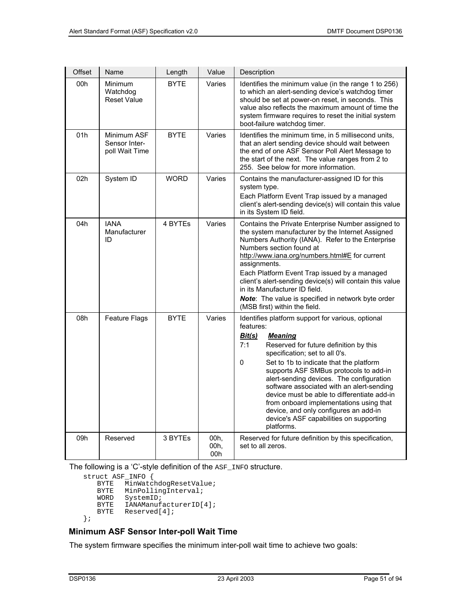| Offset | Name                                           | Length      | Value               | Description                                                                                                                                                                                                                                                                                                                                                                                                                                                                                                                                                  |
|--------|------------------------------------------------|-------------|---------------------|--------------------------------------------------------------------------------------------------------------------------------------------------------------------------------------------------------------------------------------------------------------------------------------------------------------------------------------------------------------------------------------------------------------------------------------------------------------------------------------------------------------------------------------------------------------|
| 00h    | Minimum<br>Watchdog<br><b>Reset Value</b>      | <b>BYTE</b> | Varies              | Identifies the minimum value (in the range 1 to 256)<br>to which an alert-sending device's watchdog timer<br>should be set at power-on reset, in seconds. This<br>value also reflects the maximum amount of time the<br>system firmware requires to reset the initial system<br>boot-failure watchdog timer.                                                                                                                                                                                                                                                 |
| 01h    | Minimum ASF<br>Sensor Inter-<br>poll Wait Time | <b>BYTE</b> | Varies              | Identifies the minimum time, in 5 millisecond units,<br>that an alert sending device should wait between<br>the end of one ASF Sensor Poll Alert Message to<br>the start of the next. The value ranges from 2 to<br>255. See below for more information.                                                                                                                                                                                                                                                                                                     |
| 02h    | System ID                                      | <b>WORD</b> | Varies              | Contains the manufacturer-assigned ID for this<br>system type.<br>Each Platform Event Trap issued by a managed<br>client's alert-sending device(s) will contain this value<br>in its System ID field.                                                                                                                                                                                                                                                                                                                                                        |
| 04h    | <b>IANA</b><br>Manufacturer<br>ID              | 4 BYTES     | Varies              | Contains the Private Enterprise Number assigned to<br>the system manufacturer by the Internet Assigned<br>Numbers Authority (IANA). Refer to the Enterprise<br>Numbers section found at<br>http://www.iana.org/numbers.html#E for current<br>assignments.<br>Each Platform Event Trap issued by a managed<br>client's alert-sending device(s) will contain this value<br>in its Manufacturer ID field.<br>Note: The value is specified in network byte order<br>(MSB first) within the field.                                                                |
| 08h    | <b>Feature Flags</b>                           | <b>BYTE</b> | Varies              | Identifies platform support for various, optional<br>features:<br>Bit(s)<br><u>Meaning</u><br>7:1<br>Reserved for future definition by this<br>specification; set to all 0's.<br>Set to 1b to indicate that the platform<br>0<br>supports ASF SMBus protocols to add-in<br>alert-sending devices. The configuration<br>software associated with an alert-sending<br>device must be able to differentiate add-in<br>from onboard implementations using that<br>device, and only configures an add-in<br>device's ASF capabilities on supporting<br>platforms. |
| 09h    | Reserved                                       | 3 BYTEs     | 00h,<br>00h,<br>00h | Reserved for future definition by this specification,<br>set to all zeros.                                                                                                                                                                                                                                                                                                                                                                                                                                                                                   |

The following is a 'C'-style definition of the ASF\_INFO structure.

```
struct ASF_INFO { 
 BYTE MinWatchdogResetValue; 
 BYTE MinPollingInterval; 
 WORD SystemID; 
 BYTE IANAManufacturerID[4]; 
 BYTE Reserved[4]; 
};
```
#### **Minimum ASF Sensor Inter-poll Wait Time**

The system firmware specifies the minimum inter-poll wait time to achieve two goals: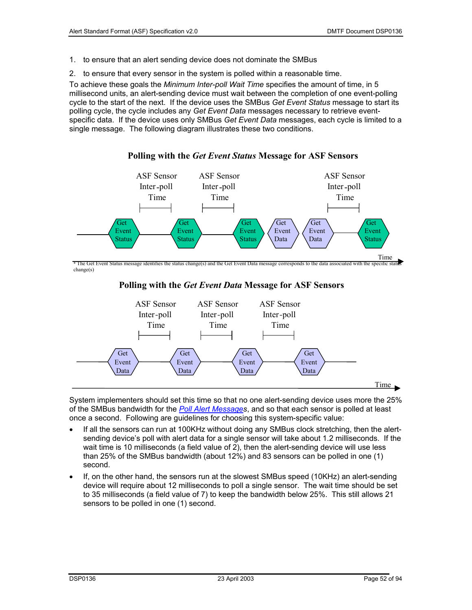- 1. to ensure that an alert sending device does not dominate the SMBus
- 2. to ensure that every sensor in the system is polled within a reasonable time.

To achieve these goals the *Minimum Inter-poll Wait Time* specifies the amount of time, in 5 millisecond units, an alert-sending device must wait between the completion of one event-polling cycle to the start of the next. If the device uses the SMBus *Get Event Status* message to start its polling cycle, the cycle includes any *Get Event Data* messages necessary to retrieve eventspecific data. If the device uses only SMBus *Get Event Data* messages, each cycle is limited to a single message. The following diagram illustrates these two conditions.

**Polling with the** *Get Event Status* **Message for ASF Sensors**







System implementers should set this time so that no one alert-sending device uses more the 25% of the SMBus bandwidth for the *Poll Alert Messages*, and so that each sensor is polled at least once a second. Following are guidelines for choosing this system-specific value:

- If all the sensors can run at 100KHz without doing any SMBus clock stretching, then the alertsending device's poll with alert data for a single sensor will take about 1.2 milliseconds. If the wait time is 10 milliseconds (a field value of 2), then the alert-sending device will use less than 25% of the SMBus bandwidth (about 12%) and 83 sensors can be polled in one (1) second.
- If, on the other hand, the sensors run at the slowest SMBus speed (10KHz) an alert-sending device will require about 12 milliseconds to poll a single sensor. The wait time should be set to 35 milliseconds (a field value of 7) to keep the bandwidth below 25%. This still allows 21 sensors to be polled in one (1) second.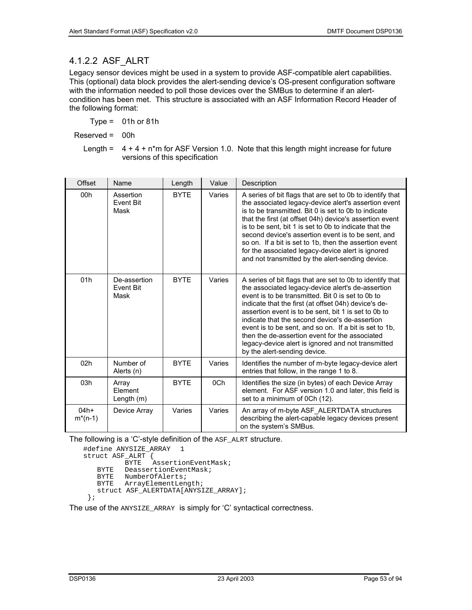## 4.1.2.2 ASF\_ALRT

Legacy sensor devices might be used in a system to provide ASF-compatible alert capabilities. This (optional) data block provides the alert-sending device's OS-present configuration software with the information needed to poll those devices over the SMBus to determine if an alertcondition has been met. This structure is associated with an ASF Information Record Header of the following format:

 $Type = 01h$  or 81h

Reserved = 00h

Length =  $4 + 4 + n<sup>*</sup>m$  for ASF Version 1.0. Note that this length might increase for future versions of this specification

| Offset              | Name                              | Length      | Value  | Description                                                                                                                                                                                                                                                                                                                                                                                                                                                                                                                             |
|---------------------|-----------------------------------|-------------|--------|-----------------------------------------------------------------------------------------------------------------------------------------------------------------------------------------------------------------------------------------------------------------------------------------------------------------------------------------------------------------------------------------------------------------------------------------------------------------------------------------------------------------------------------------|
| 00h                 | Assertion<br>Event Bit<br>Mask    | <b>BYTE</b> | Varies | A series of bit flags that are set to 0b to identify that<br>the associated legacy-device alert's assertion event<br>is to be transmitted. Bit 0 is set to 0b to indicate<br>that the first (at offset 04h) device's assertion event<br>is to be sent, bit 1 is set to 0b to indicate that the<br>second device's assertion event is to be sent, and<br>so on. If a bit is set to 1b, then the assertion event<br>for the associated legacy-device alert is ignored<br>and not transmitted by the alert-sending device.                 |
| 01h                 | De-assertion<br>Event Bit<br>Mask | <b>BYTE</b> | Varies | A series of bit flags that are set to 0b to identify that<br>the associated legacy-device alert's de-assertion<br>event is to be transmitted. Bit 0 is set to 0b to<br>indicate that the first (at offset 04h) device's de-<br>assertion event is to be sent, bit 1 is set to 0b to<br>indicate that the second device's de-assertion<br>event is to be sent, and so on. If a bit is set to 1b,<br>then the de-assertion event for the associated<br>legacy-device alert is ignored and not transmitted<br>by the alert-sending device. |
| 02 <sub>h</sub>     | Number of<br>Alerts (n)           | <b>BYTE</b> | Varies | Identifies the number of m-byte legacy-device alert<br>entries that follow, in the range 1 to 8.                                                                                                                                                                                                                                                                                                                                                                                                                                        |
| 03h                 | Array<br>Element<br>Length (m)    | <b>BYTE</b> | 0Ch    | Identifies the size (in bytes) of each Device Array<br>element. For ASF version 1.0 and later, this field is<br>set to a minimum of 0Ch (12).                                                                                                                                                                                                                                                                                                                                                                                           |
| $04h+$<br>$m*(n-1)$ | Device Array                      | Varies      | Varies | An array of m-byte ASF ALERTDATA structures<br>describing the alert-capable legacy devices present<br>on the system's SMBus.                                                                                                                                                                                                                                                                                                                                                                                                            |

The following is a 'C'-style definition of the ASF\_ALRT structure.

```
#define ANYSIZE_ARRAY 1 
struct ASF_ALRT {<br>BYTE P
    BYTE AssertionEventMask;<br>BYTE DeassertionEventMask;
            DeassertionEventMask;
    BYTE NumberOfAlerts;<br>BYTE ArrayElementLen
             ArrayElementLength;
     struct ASF_ALERTDATA[ANYSIZE_ARRAY]; 
  };
```
The use of the ANYSIZE\_ARRAY is simply for 'C' syntactical correctness.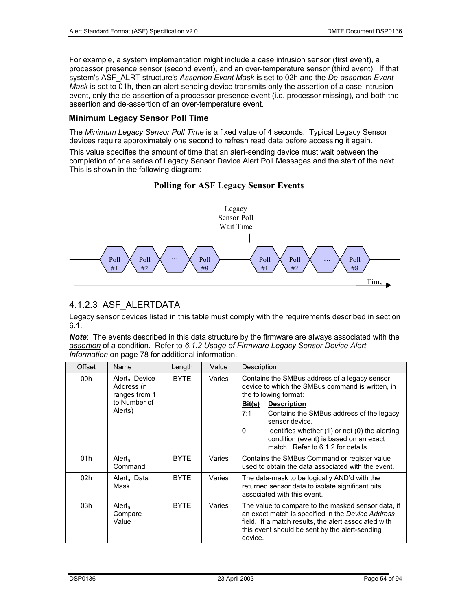For example, a system implementation might include a case intrusion sensor (first event), a processor presence sensor (second event), and an over-temperature sensor (third event). If that system's ASF\_ALRT structure's *Assertion Event Mask* is set to 02h and the *De-assertion Event Mask* is set to 01h, then an alert-sending device transmits only the assertion of a case intrusion event, only the de-assertion of a processor presence event (i.e. processor missing), and both the assertion and de-assertion of an over-temperature event.

#### **Minimum Legacy Sensor Poll Time**

The *Minimum Legacy Sensor Poll Time* is a fixed value of 4 seconds. Typical Legacy Sensor devices require approximately one second to refresh read data before accessing it again.

This value specifies the amount of time that an alert-sending device must wait between the completion of one series of Legacy Sensor Device Alert Poll Messages and the start of the next. This is shown in the following diagram:

#### **Polling for ASF Legacy Sensor Events**



## 4.1.2.3 ASF\_ALERTDATA

Legacy sensor devices listed in this table must comply with the requirements described in section 6.1.

*Note*: The events described in this data structure by the firmware are always associated with the *assertion* of a condition. Refer to *6.1.2 Usage of Firmware Legacy Sensor Device Alert Information* on page 78 for additional information.

| Offset          | Name                                                                                  | Length      | Value  | Description                                                                                                                                                                                                                                                                                                                                                                       |
|-----------------|---------------------------------------------------------------------------------------|-------------|--------|-----------------------------------------------------------------------------------------------------------------------------------------------------------------------------------------------------------------------------------------------------------------------------------------------------------------------------------------------------------------------------------|
| 00h             | Alert <sub>n</sub> , Device<br>Address (n<br>ranges from 1<br>to Number of<br>Alerts) | <b>BYTE</b> | Varies | Contains the SMBus address of a legacy sensor<br>device to which the SMBus command is written, in<br>the following format:<br><u>Bit(s)</u><br><b>Description</b><br>7:1<br>Contains the SMBus address of the legacy<br>sensor device.<br>0<br>Identifies whether $(1)$ or not $(0)$ the alerting<br>condition (event) is based on an exact<br>match. Refer to 6.1.2 for details. |
| 01h             | Alert <sub>n</sub> ,<br>Command                                                       | <b>BYTE</b> | Varies | Contains the SMBus Command or register value<br>used to obtain the data associated with the event.                                                                                                                                                                                                                                                                                |
| 02 <sub>h</sub> | Alert <sub>n</sub> , Data<br>Mask                                                     | <b>BYTE</b> | Varies | The data-mask to be logically AND'd with the<br>returned sensor data to isolate significant bits<br>associated with this event.                                                                                                                                                                                                                                                   |
| 03h             | $Alertn$ ,<br>Compare<br>Value                                                        | <b>BYTE</b> | Varies | The value to compare to the masked sensor data, if<br>an exact match is specified in the Device Address<br>field. If a match results, the alert associated with<br>this event should be sent by the alert-sending<br>device.                                                                                                                                                      |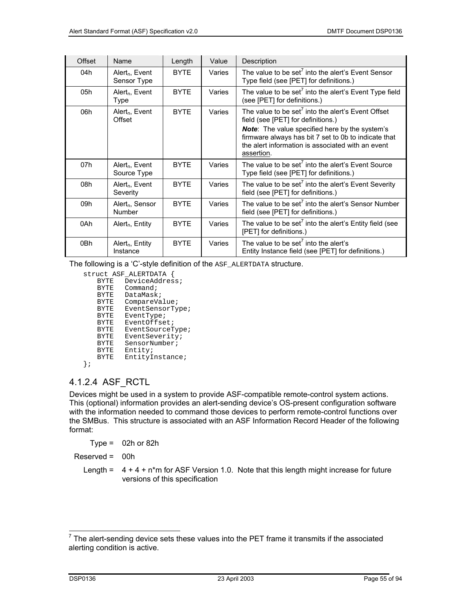| Offset | Name                                         | Length      | Value  | Description                                                                                                                                                                                                                                                                      |
|--------|----------------------------------------------|-------------|--------|----------------------------------------------------------------------------------------------------------------------------------------------------------------------------------------------------------------------------------------------------------------------------------|
| 04h    | Alert <sub>n</sub> , Event<br>Sensor Type    | <b>BYTE</b> | Varies | The value to be set <sup>7</sup> into the alert's Event Sensor<br>Type field (see [PET] for definitions.)                                                                                                                                                                        |
| 05h    | Alert <sub>n</sub> , Event<br>Type           | <b>BYTE</b> | Varies | The value to be set $^7$ into the alert's Event Type field<br>(see [PET] for definitions.)                                                                                                                                                                                       |
| 06h    | Alert <sub>n</sub> , Event<br>Offset         | <b>BYTE</b> | Varies | The value to be set $^7$ into the alert's Event Offset<br>field (see [PET] for definitions.)<br><b>Note:</b> The value specified here by the system's<br>firmware always has bit 7 set to 0b to indicate that<br>the alert information is associated with an event<br>assertion. |
| 07h    | Alert <sub>n</sub> , Event<br>Source Type    | <b>BYTE</b> | Varies | The value to be set $^7$ into the alert's Event Source<br>Type field (see [PET] for definitions.)                                                                                                                                                                                |
| 08h    | Alert <sub>n</sub> , Event<br>Severity       | <b>BYTE</b> | Varies | The value to be set <sup>7</sup> into the alert's Event Severity<br>field (see [PET] for definitions.)                                                                                                                                                                           |
| 09h    | Alert <sub>n</sub> , Sensor<br><b>Number</b> | <b>BYTE</b> | Varies | The value to be set <sup>7</sup> into the alert's Sensor Number<br>field (see [PET] for definitions.)                                                                                                                                                                            |
| 0Ah    | $A$ lert <sub>n</sub> , Entity               | <b>BYTE</b> | Varies | The value to be set <sup>7</sup> into the alert's Entity field (see<br>[PET] for definitions.)                                                                                                                                                                                   |
| 0Bh    | Alert <sub>n</sub> , Entity<br>Instance      | <b>BYTE</b> | Varies | The value to be set $^7$ into the alert's<br>Entity Instance field (see [PET] for definitions.)                                                                                                                                                                                  |

The following is a 'C'-style definition of the ASF ALERTDATA structure.

```
struct ASF_ALERTDATA { 
 BYTE DeviceAddress; 
BYTE Command;
    BYTE DataMask; 
 BYTE CompareValue; 
 BYTE EventSensorType; 
    BYTE EventType; 
   BYTE EventOffset;<br>BYTE EventSourceT
           EventSourceType;
   BYTE EventSeverity;<br>BYTE EventSeverity;
   BYTE SensorNumber;<br>BYTE Entity;
           Entity;
   BYTE EntityInstance;
```
## 4.1.2.4 ASF\_RCTL

};

Devices might be used in a system to provide ASF-compatible remote-control system actions. This (optional) information provides an alert-sending device's OS-present configuration software with the information needed to command those devices to perform remote-control functions over the SMBus. This structure is associated with an ASF Information Record Header of the following format:

 $Type = 02h$  or 82h

Reserved = 00h

Length =  $4 + 4 + n<sup>*</sup>m$  for ASF Version 1.0. Note that this length might increase for future versions of this specification

The alert-sending device sets these values into the PET frame it transmits if the associated<br>The alert-sending device sets these values into the PET frame it transmits if the associated alerting condition is active.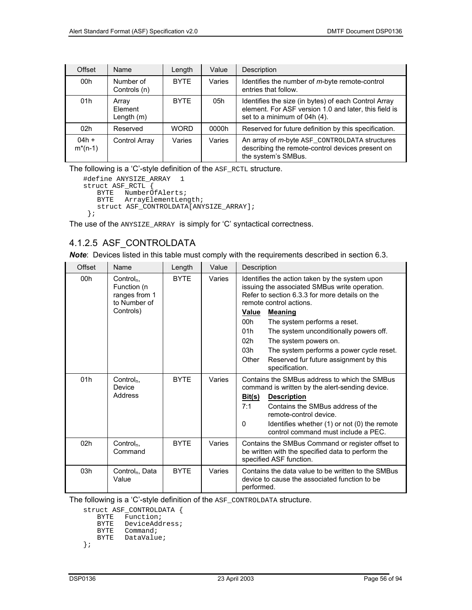| Offset                  | Name                             | Length      | Value  | Description                                                                                                                                   |
|-------------------------|----------------------------------|-------------|--------|-----------------------------------------------------------------------------------------------------------------------------------------------|
| 00 <sub>h</sub>         | Number of<br>Controls (n)        | <b>BYTE</b> | Varies | Identifies the number of m-byte remote-control<br>entries that follow.                                                                        |
| 01h                     | Array<br>Element<br>Length $(m)$ | <b>BYTE</b> | 05h    | Identifies the size (in bytes) of each Control Array<br>element. For ASF version 1.0 and later, this field is<br>set to a minimum of 04h (4). |
| 02 <sub>h</sub>         | Reserved                         | <b>WORD</b> | 0000h  | Reserved for future definition by this specification.                                                                                         |
| $04h +$<br>$m^{*}(n-1)$ | Control Array                    | Varies      | Varies | An array of m-byte ASF_CONTROLDATA structures<br>describing the remote-control devices present on<br>the system's SMBus.                      |

The following is a 'C'-style definition of the ASF\_RCTL structure.

```
#define ANYSIZE_ARRAY 1 
struct ASF_RCTL { 
 BYTE NumberOfAlerts; 
 BYTE ArrayElementLength; 
    struct ASF_CONTROLDATA[ANYSIZE_ARRAY]; 
 };
```
The use of the ANYSIZE\_ARRAY is simply for 'C' syntactical correctness.

### 4.1.2.5 ASF\_CONTROLDATA

*Note*: Devices listed in this table must comply with the requirements described in section 6.3.

| Offset          | Name                                                                                | Length      | Value  | Description                                                                                                                                                                                                                                                                                                                                                                                                                                             |
|-----------------|-------------------------------------------------------------------------------------|-------------|--------|---------------------------------------------------------------------------------------------------------------------------------------------------------------------------------------------------------------------------------------------------------------------------------------------------------------------------------------------------------------------------------------------------------------------------------------------------------|
| 00 <sub>h</sub> | Control <sub>n</sub> ,<br>Function (n<br>ranges from 1<br>to Number of<br>Controls) | <b>BYTE</b> | Varies | Identifies the action taken by the system upon<br>issuing the associated SMBus write operation.<br>Refer to section 6.3.3 for more details on the<br>remote control actions.<br>Value<br><u>Meaning</u><br>00h<br>The system performs a reset.<br>01h<br>The system unconditionally powers off.<br>02h<br>The system powers on.<br>03h<br>The system performs a power cycle reset.<br>Reserved fur future assignment by this<br>Other<br>specification. |
| 01h             | Control <sub>n</sub><br>Device<br>Address                                           | <b>BYTE</b> | Varies | Contains the SMBus address to which the SMBus<br>command is written by the alert-sending device.<br>Bit(s)<br><b>Description</b><br>7:1<br>Contains the SMBus address of the<br>remote-control device.<br>$\mathbf{0}$<br>Identifies whether (1) or not (0) the remote<br>control command must include a PEC.                                                                                                                                           |
| 02 <sub>h</sub> | Control <sub>n</sub> ,<br>Command                                                   | <b>BYTF</b> | Varies | Contains the SMBus Command or register offset to<br>be written with the specified data to perform the<br>specified ASF function.                                                                                                                                                                                                                                                                                                                        |
| 03h             | Control <sub>n</sub> , Data<br>Value                                                | <b>BYTE</b> | Varies | Contains the data value to be written to the SMBus<br>device to cause the associated function to be<br>performed.                                                                                                                                                                                                                                                                                                                                       |

The following is a 'C'-style definition of the ASF\_CONTROLDATA structure.

```
struct ASF_CONTROLDATA { 
 BYTE Function;
```

```
 BYTE DeviceAddress;
```

```
 BYTE Command; 
 BYTE DataValue;
```

```
};
```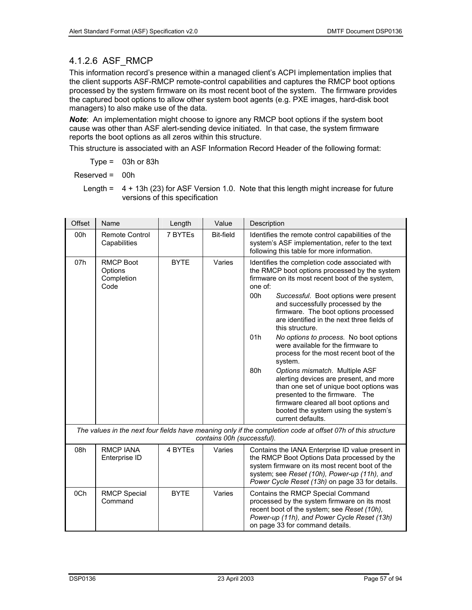## 4.1.2.6 ASF\_RMCP

This information record's presence within a managed client's ACPI implementation implies that the client supports ASF-RMCP remote-control capabilities and captures the RMCP boot options processed by the system firmware on its most recent boot of the system. The firmware provides the captured boot options to allow other system boot agents (e.g. PXE images, hard-disk boot managers) to also make use of the data.

*Note*: An implementation might choose to ignore any RMCP boot options if the system boot cause was other than ASF alert-sending device initiated. In that case, the system firmware reports the boot options as all zeros within this structure.

This structure is associated with an ASF Information Record Header of the following format:

 $Type = 03h$  or 83h

Reserved = 00h

Length = 4 + 13h (23) for ASF Version 1.0. Note that this length might increase for future versions of this specification

| Offset | Name                                              | Length      | Value                      | Description                                                                                                                                                                                                                                                        |
|--------|---------------------------------------------------|-------------|----------------------------|--------------------------------------------------------------------------------------------------------------------------------------------------------------------------------------------------------------------------------------------------------------------|
| 00h    | <b>Remote Control</b><br>Capabilities             | 7 BYTES     | <b>Bit-field</b>           | Identifies the remote control capabilities of the<br>system's ASF implementation, refer to the text<br>following this table for more information.                                                                                                                  |
| 07h    | <b>RMCP Boot</b><br>Options<br>Completion<br>Code | <b>BYTE</b> | Varies                     | Identifies the completion code associated with<br>the RMCP boot options processed by the system<br>firmware on its most recent boot of the system,<br>one of:<br>00 <sub>h</sub>                                                                                   |
|        |                                                   |             |                            | Successful. Boot options were present<br>and successfully processed by the<br>firmware. The boot options processed<br>are identified in the next three fields of<br>this structure.                                                                                |
|        |                                                   |             |                            | 01h<br>No options to process. No boot options<br>were available for the firmware to<br>process for the most recent boot of the<br>system.                                                                                                                          |
|        |                                                   |             |                            | 80h<br>Options mismatch. Multiple ASF<br>alerting devices are present, and more<br>than one set of unique boot options was<br>presented to the firmware. The<br>firmware cleared all boot options and<br>booted the system using the system's<br>current defaults. |
|        |                                                   |             | contains 00h (successful). | The values in the next four fields have meaning only if the completion code at offset 07h of this structure                                                                                                                                                        |
| 08h    | <b>RMCP IANA</b><br>Enterprise ID                 | 4 BYTES     | Varies                     | Contains the IANA Enterprise ID value present in<br>the RMCP Boot Options Data processed by the<br>system firmware on its most recent boot of the<br>system; see Reset (10h), Power-up (11h), and<br>Power Cycle Reset (13h) on page 33 for details.               |
| 0Ch    | <b>RMCP Special</b><br><b>BYTE</b><br>Command     |             | Varies                     | Contains the RMCP Special Command<br>processed by the system firmware on its most<br>recent boot of the system; see Reset (10h),<br>Power-up (11h), and Power Cycle Reset (13h)<br>on page 33 for command details.                                                 |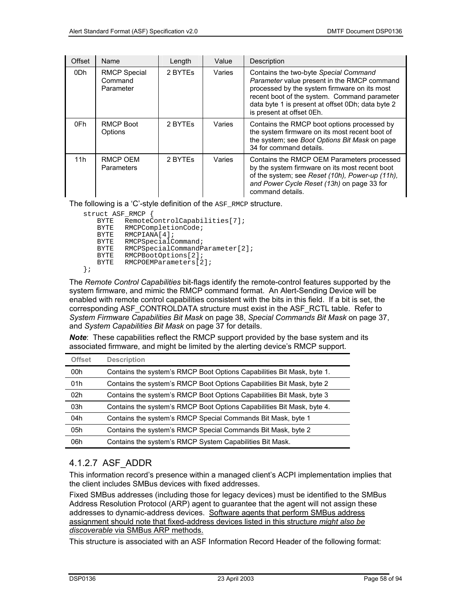| Offset<br>Name |                                             | Length  | Value  | Description                                                                                                                                                                                                                                                            |
|----------------|---------------------------------------------|---------|--------|------------------------------------------------------------------------------------------------------------------------------------------------------------------------------------------------------------------------------------------------------------------------|
| 0Dh            | <b>RMCP Special</b><br>Command<br>Parameter | 2 BYTES | Varies | Contains the two-byte Special Command<br>Parameter value present in the RMCP command<br>processed by the system firmware on its most<br>recent boot of the system. Command parameter<br>data byte 1 is present at offset 0Dh; data byte 2<br>is present at offset 0Eh. |
| 0Fh            | <b>RMCP Boot</b><br>Options                 | 2 BYTES | Varies | Contains the RMCP boot options processed by<br>the system firmware on its most recent boot of<br>the system; see Boot Options Bit Mask on page<br>34 for command details.                                                                                              |
| 11h            | RMCP OEM<br>Parameters                      | 2 BYTES | Varies | Contains the RMCP OEM Parameters processed<br>by the system firmware on its most recent boot<br>of the system; see Reset (10h), Power-up (11h),<br>and Power Cycle Reset (13h) on page 33 for<br>command details.                                                      |

The following is a 'C'-style definition of the ASF\_RMCP structure.

struct ASF\_RMCP {

};

| <b>BYTE</b> | RemoteControlCapabilities[7];   |
|-------------|---------------------------------|
| <b>BYTE</b> | RMCPCompletionCode;             |
| <b>BYTE</b> | RMCPIANA[4];                    |
| <b>BYTE</b> | RMCPSpecialCommand;             |
| <b>BYTE</b> | RMCPSpecialCommandParameter[2]; |
| <b>BYTE</b> | RMCPBootOptions[2];             |
| <b>BYTE</b> | RMCPOEMParameters[2];           |
|             |                                 |

The *Remote Control Capabilities* bit-flags identify the remote-control features supported by the system firmware, and mimic the RMCP command format. An Alert-Sending Device will be enabled with remote control capabilities consistent with the bits in this field. If a bit is set, the corresponding ASF\_CONTROLDATA structure must exist in the ASF\_RCTL table. Refer to *System Firmware Capabilities Bit Mask* on page 38, *Special Commands Bit Mask* on page 37, and *System Capabilities Bit Mask* on page 37 for details.

*Note*: These capabilities reflect the RMCP support provided by the base system and its associated firmware, and might be limited by the alerting device's RMCP support.

| <b>Offset</b> | <b>Description</b>                                                     |
|---------------|------------------------------------------------------------------------|
| 00h           | Contains the system's RMCP Boot Options Capabilities Bit Mask, byte 1. |
| 01h           | Contains the system's RMCP Boot Options Capabilities Bit Mask, byte 2  |
| 02h           | Contains the system's RMCP Boot Options Capabilities Bit Mask, byte 3  |
| 03h           | Contains the system's RMCP Boot Options Capabilities Bit Mask, byte 4. |
| 04h           | Contains the system's RMCP Special Commands Bit Mask, byte 1           |
| 05h           | Contains the system's RMCP Special Commands Bit Mask, byte 2           |
| 06h           | Contains the system's RMCP System Capabilities Bit Mask.               |

### 4.1.2.7 ASF\_ADDR

This information record's presence within a managed client's ACPI implementation implies that the client includes SMBus devices with fixed addresses.

Fixed SMBus addresses (including those for legacy devices) must be identified to the SMBus Address Resolution Protocol (ARP) agent to guarantee that the agent will not assign these addresses to dynamic-address devices. Software agents that perform SMBus address assignment should note that fixed-address devices listed in this structure *might also be discoverable* via SMBus ARP methods.

This structure is associated with an ASF Information Record Header of the following format: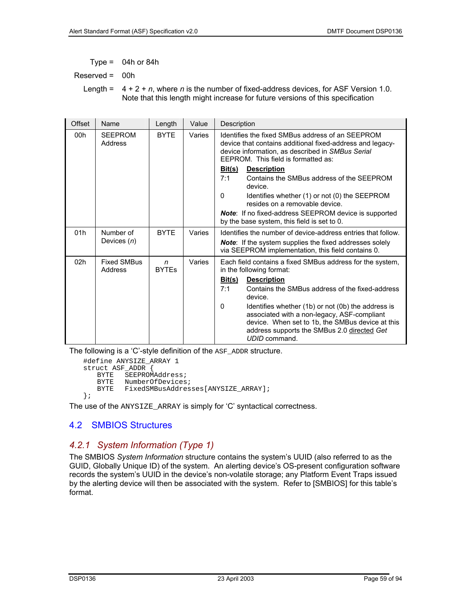$Type = 04h$  or 84h

```
Reserved = 00h
```
Length = 4 + 2 + *n*, where *n* is the number of fixed-address devices, for ASF Version 1.0. Note that this length might increase for future versions of this specification

| Offset          | Name                          | Length            | Value  | Description                                                                                                                                                                                                                       |  |  |
|-----------------|-------------------------------|-------------------|--------|-----------------------------------------------------------------------------------------------------------------------------------------------------------------------------------------------------------------------------------|--|--|
| 00h             | <b>SEEPROM</b><br>Address     | <b>BYTE</b>       | Varies | Identifies the fixed SMBus address of an SEEPROM<br>device that contains additional fixed-address and legacy-<br>device information, as described in SMBus Serial<br>EEPROM. This field is formatted as:                          |  |  |
|                 |                               |                   |        | Bit(s)<br><b>Description</b>                                                                                                                                                                                                      |  |  |
|                 |                               |                   |        | 7:1<br>Contains the SMBus address of the SEEPROM<br>device.                                                                                                                                                                       |  |  |
|                 |                               |                   |        | $\Omega$<br>Identifies whether (1) or not (0) the SEEPROM<br>resides on a removable device.                                                                                                                                       |  |  |
|                 |                               |                   |        | <b>Note:</b> If no fixed-address SEEPROM device is supported<br>by the base system, this field is set to 0.                                                                                                                       |  |  |
| 01h             | Number of<br>Devices $(n)$    | <b>BYTF</b>       | Varies | Identifies the number of device-address entries that follow.<br><b>Note:</b> If the system supplies the fixed addresses solely<br>via SEEPROM implementation, this field contains 0.                                              |  |  |
| 02 <sub>h</sub> | <b>Fixed SMBus</b><br>Address | n<br><b>BYTES</b> | Varies | Each field contains a fixed SMBus address for the system,<br>in the following format:<br>Bit(s)<br><b>Description</b>                                                                                                             |  |  |
|                 |                               |                   |        | Contains the SMBus address of the fixed-address<br>7:1<br>device.                                                                                                                                                                 |  |  |
|                 |                               |                   |        | $\Omega$<br>Identifies whether (1b) or not (0b) the address is<br>associated with a non-legacy, ASF-compliant<br>device. When set to 1b, the SMBus device at this<br>address supports the SMBus 2.0 directed Get<br>UDID command. |  |  |

The following is a 'C'-style definition of the ASF\_ADDR structure.

```
#define ANYSIZE_ARRAY 1 
struct ASF_ADDR { 
   BYTE SEEPROMAddress;<br>BYTE NumberOfDevices
           NumberOfDevices;
    BYTE FixedSMBusAddresses[ANYSIZE_ARRAY]; 
};
```
The use of the ANYSIZE\_ARRAY is simply for 'C' syntactical correctness.

#### 4.2 SMBIOS Structures

#### *4.2.1 System Information (Type 1)*

The SMBIOS *System Information* structure contains the system's UUID (also referred to as the GUID, Globally Unique ID) of the system. An alerting device's OS-present configuration software records the system's UUID in the device's non-volatile storage; any Platform Event Traps issued by the alerting device will then be associated with the system. Refer to [SMBIOS] for this table's format.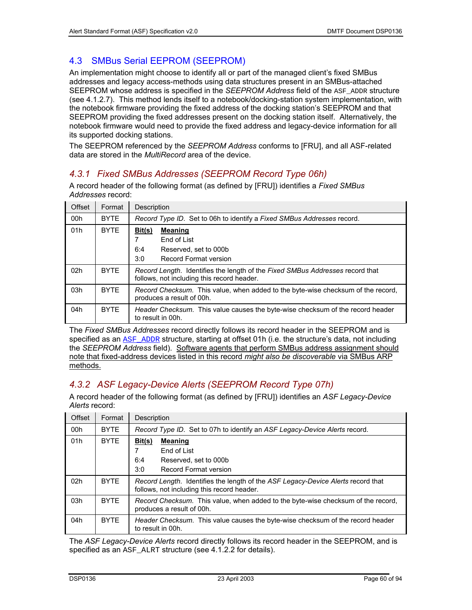## 4.3 SMBus Serial EEPROM (SEEPROM)

An implementation might choose to identify all or part of the managed client's fixed SMBus addresses and legacy access-methods using data structures present in an SMBus-attached SEEPROM whose address is specified in the *SEEPROM Address* field of the ASF ADDR structure (see 4.1.2.7). This method lends itself to a notebook/docking-station system implementation, with the notebook firmware providing the fixed address of the docking station's SEEPROM and that SEEPROM providing the fixed addresses present on the docking station itself. Alternatively, the notebook firmware would need to provide the fixed address and legacy-device information for all its supported docking stations.

The SEEPROM referenced by the *SEEPROM Address* conforms to [FRU], and all ASF-related data are stored in the *MultiRecord* area of the device.

## *4.3.1 Fixed SMBus Addresses (SEEPROM Record Type 06h)*

| A record header of the following format (as defined by [FRU]) identifies a Fixed SMBus |  |
|----------------------------------------------------------------------------------------|--|
| Addresses record:                                                                      |  |

| Offset | Format      | Description                                                                                                                 |
|--------|-------------|-----------------------------------------------------------------------------------------------------------------------------|
| 00h    | <b>BYTE</b> | Record Type ID. Set to 06h to identify a Fixed SMBus Addresses record.                                                      |
| 01h    | <b>BYTF</b> | Bit(s)<br><b>Meaning</b><br>End of List<br>6:4<br>Reserved, set to 000b<br>Record Format version<br>3:0                     |
| 02h    | <b>BYTE</b> | Record Length. Identifies the length of the Fixed SMBus Addresses record that<br>follows, not including this record header. |
| 03h    | <b>BYTE</b> | Record Checksum. This value, when added to the byte-wise checksum of the record,<br>produces a result of 00h.               |
| 04h    | <b>BYTE</b> | <i>Header Checksum.</i> This value causes the byte-wise checksum of the record header<br>to result in 00h.                  |

The *Fixed SMBus Addresses* record directly follows its record header in the SEEPROM and is specified as an ASF\_ADDR structure, starting at offset 01h (i.e. the structure's data, not including the *SEEPROM Address* field). Software agents that perform SMBus address assignment should note that fixed-address devices listed in this record *might also be discoverable* via SMBus ARP methods.

### *4.3.2 ASF Legacy-Device Alerts (SEEPROM Record Type 07h)*

A record header of the following format (as defined by [FRU]) identifies an *ASF Legacy-Device Alerts* record:

| Offset | Format      | Description                                                                                                                    |  |  |  |  |
|--------|-------------|--------------------------------------------------------------------------------------------------------------------------------|--|--|--|--|
| 00h    | <b>BYTE</b> | Record Type ID. Set to 07h to identify an ASF Legacy-Device Alerts record.                                                     |  |  |  |  |
| 01h    | <b>BYTE</b> | <b>Meaning</b><br>Bit(s)<br>End of List<br>6:4<br>Reserved, set to 000b<br>3:0<br>Record Format version                        |  |  |  |  |
| 02h    | <b>BYTE</b> | Record Length. Identifies the length of the ASF Legacy-Device Alerts record that<br>follows, not including this record header. |  |  |  |  |
| 03h    | <b>BYTE</b> | Record Checksum. This value, when added to the byte-wise checksum of the record,<br>produces a result of 00h.                  |  |  |  |  |
| 04h    | <b>BYTF</b> | Header Checksum. This value causes the byte-wise checksum of the record header<br>to result in 00h.                            |  |  |  |  |

The *ASF Legacy-Device Alerts* record directly follows its record header in the SEEPROM, and is specified as an ASF\_ALRT structure (see 4.1.2.2 for details).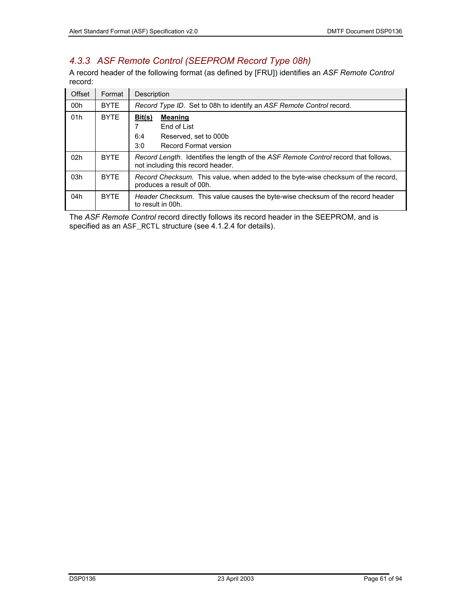# *4.3.3 ASF Remote Control (SEEPROM Record Type 08h)*

A record header of the following format (as defined by [FRU]) identifies an *ASF Remote Control* record:

| Offset | Format      | Description                                                                                                              |  |  |  |  |
|--------|-------------|--------------------------------------------------------------------------------------------------------------------------|--|--|--|--|
| 00h    | <b>BYTE</b> | Record Type ID. Set to 08h to identify an ASF Remote Control record.                                                     |  |  |  |  |
| 01h    | <b>BYTE</b> | Bit(s)<br><b>Meaning</b><br>End of List<br>6:4<br>Reserved, set to 000b<br>3:0<br>Record Format version                  |  |  |  |  |
| 02h    | <b>BYTE</b> | Record Length. Identifies the length of the ASF Remote Control record that follows,<br>not including this record header. |  |  |  |  |
| 03h    | <b>BYTE</b> | Record Checksum. This value, when added to the byte-wise checksum of the record,<br>produces a result of 00h.            |  |  |  |  |
| 04h    | <b>BYTE</b> | Header Checksum. This value causes the byte-wise checksum of the record header<br>to result in 00h.                      |  |  |  |  |

The *ASF Remote Control* record directly follows its record header in the SEEPROM, and is specified as an ASF\_RCTL structure (see 4.1.2.4 for details).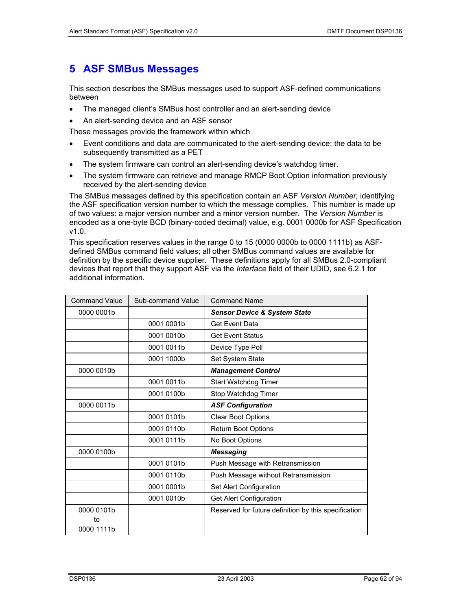# **5 ASF SMBus Messages**

This section describes the SMBus messages used to support ASF-defined communications between

- The managed client's SMBus host controller and an alert-sending device
- An alert-sending device and an ASF sensor

These messages provide the framework within which

- Event conditions and data are communicated to the alert-sending device; the data to be subsequently transmitted as a PET
- The system firmware can control an alert-sending device's watchdog timer.
- The system firmware can retrieve and manage RMCP Boot Option information previously received by the alert-sending device

The SMBus messages defined by this specification contain an ASF *Version Number,* identifying the ASF specification version number to which the message complies. This number is made up of two values: a major version number and a minor version number. The *Version Number* is encoded as a one-byte BCD (binary-coded decimal) value, e.g. 0001 0000b for ASF Specification v1.0.

This specification reserves values in the range 0 to 15 (0000 0000b to 0000 1111b) as ASFdefined SMBus command field values; all other SMBus command values are available for definition by the specific device supplier. These definitions apply for all SMBus 2.0-compliant devices that report that they support ASF via the *Interface* field of their UDID, see 6.2.1 for additional information.

| <b>Command Value</b> | Sub-command Value | <b>Command Name</b>                                  |
|----------------------|-------------------|------------------------------------------------------|
| 0000 0001b           |                   | <b>Sensor Device &amp; System State</b>              |
|                      | 0001 0001b        | <b>Get Event Data</b>                                |
|                      | 0001 0010b        | <b>Get Event Status</b>                              |
|                      | 0001 0011b        | Device Type Poll                                     |
|                      | 0001 1000b        | Set System State                                     |
| 0000 0010b           |                   | <b>Management Control</b>                            |
|                      | 0001 0011b        | Start Watchdog Timer                                 |
|                      | 0001 0100b        | Stop Watchdog Timer                                  |
| 0000 0011b           |                   | <b>ASF Configuration</b>                             |
|                      | 0001 0101b        | <b>Clear Boot Options</b>                            |
|                      | 0001 0110b        | <b>Return Boot Options</b>                           |
|                      | 0001 0111b        | No Boot Options                                      |
| 0000 0100b           |                   | <b>Messaging</b>                                     |
|                      | 0001 0101b        | Push Message with Retransmission                     |
|                      | 0001 0110b        | Push Message without Retransmission                  |
|                      | 0001 0001b        | Set Alert Configuration                              |
|                      | 0001 0010b        | Get Alert Configuration                              |
| 0000 0101b           |                   | Reserved for future definition by this specification |
| to                   |                   |                                                      |
| 0000 1111b           |                   |                                                      |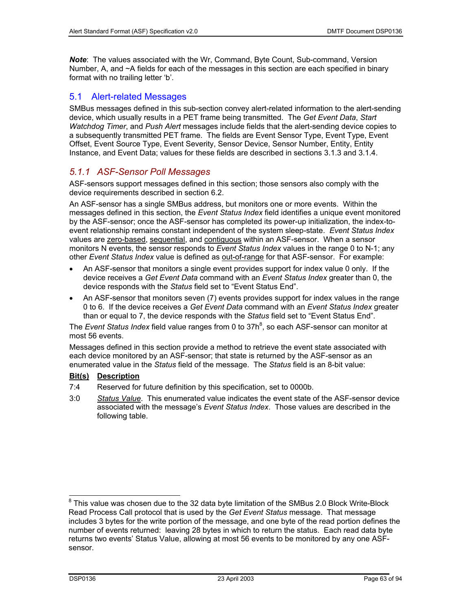*Note*: The values associated with the Wr, Command, Byte Count, Sub-command, Version Number, A, and ~A fields for each of the messages in this section are each specified in binary format with no trailing letter 'b'.

### 5.1 Alert-related Messages

SMBus messages defined in this sub-section convey alert-related information to the alert-sending device, which usually results in a PET frame being transmitted. The *Get Event Data*, *Start Watchdog Timer*, and *Push Alert* messages include fields that the alert-sending device copies to a subsequently transmitted PET frame. The fields are Event Sensor Type, Event Type, Event Offset, Event Source Type, Event Severity, Sensor Device, Sensor Number, Entity, Entity Instance, and Event Data; values for these fields are described in sections 3.1.3 and 3.1.4.

### *5.1.1 ASF-Sensor Poll Messages*

ASF-sensors support messages defined in this section; those sensors also comply with the device requirements described in section 6.2.

An ASF-sensor has a single SMBus address, but monitors one or more events. Within the messages defined in this section, the *Event Status Index* field identifies a unique event monitored by the ASF-sensor; once the ASF-sensor has completed its power-up initialization, the index-toevent relationship remains constant independent of the system sleep-state. *Event Status Index* values are zero-based, sequential, and contiguous within an ASF-sensor. When a sensor monitors N events, the sensor responds to *Event Status Index* values in the range 0 to N-1; any other *Event Status Index* value is defined as out-of-range for that ASF-sensor. For example:

- An ASF-sensor that monitors a single event provides support for index value 0 only. If the device receives a *Get Event Data* command with an *Event Status Index* greater than 0, the device responds with the *Status* field set to "Event Status End".
- An ASF-sensor that monitors seven (7) events provides support for index values in the range 0 to 6. If the device receives a *Get Event Data* command with an *Event Status Index* greater than or equal to 7, the device responds with the *Status* field set to "Event Status End".

The *Event Status Index* field value ranges from 0 to 37h<sup>8</sup>, so each ASF-sensor can monitor at most 56 events.

Messages defined in this section provide a method to retrieve the event state associated with each device monitored by an ASF-sensor; that state is returned by the ASF-sensor as an enumerated value in the *Status* field of the message. The *Status* field is an 8-bit value:

#### **Bit(s) Description**

- 7:4 Reserved for future definition by this specification, set to 0000b.
- 3:0 *Status Value*. This enumerated value indicates the event state of the ASF-sensor device associated with the message's *Event Status Index*. Those values are described in the following table.

-

 $^8$  This value was chosen due to the 32 data byte limitation of the SMBus 2.0 Block Write-Block Read Process Call protocol that is used by the *Get Event Status* message. That message includes 3 bytes for the write portion of the message, and one byte of the read portion defines the number of events returned: leaving 28 bytes in which to return the status. Each read data byte returns two events' Status Value, allowing at most 56 events to be monitored by any one ASFsensor.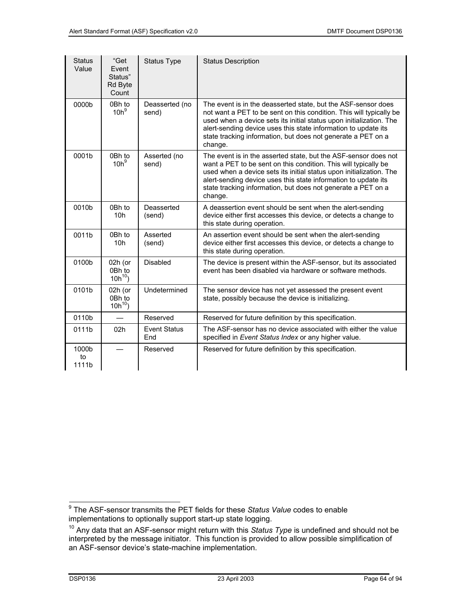| <b>Status</b><br>Value | "Get<br>Event<br>Status"<br>Rd Byte<br>Count | <b>Status Type</b>         | <b>Status Description</b>                                                                                                                                                                                                                                                                                                                                |
|------------------------|----------------------------------------------|----------------------------|----------------------------------------------------------------------------------------------------------------------------------------------------------------------------------------------------------------------------------------------------------------------------------------------------------------------------------------------------------|
| 0000b                  | 0Bh to<br>10h <sup>9</sup>                   | Deasserted (no<br>send)    | The event is in the deasserted state, but the ASF-sensor does<br>not want a PET to be sent on this condition. This will typically be<br>used when a device sets its initial status upon initialization. The<br>alert-sending device uses this state information to update its<br>state tracking information, but does not generate a PET on a<br>change. |
| 0001b                  | 0Bh to<br>10h <sup>9</sup>                   | Asserted (no<br>send)      | The event is in the asserted state, but the ASF-sensor does not<br>want a PET to be sent on this condition. This will typically be<br>used when a device sets its initial status upon initialization. The<br>alert-sending device uses this state information to update its<br>state tracking information, but does not generate a PET on a<br>change.   |
| 0010b                  | 0Bh to<br>10 <sub>h</sub>                    | Deasserted<br>(send)       | A deassertion event should be sent when the alert-sending<br>device either first accesses this device, or detects a change to<br>this state during operation.                                                                                                                                                                                            |
| 0011b                  | 0Bh to<br>10 <sub>h</sub>                    | Asserted<br>(send)         | An assertion event should be sent when the alert-sending<br>device either first accesses this device, or detects a change to<br>this state during operation.                                                                                                                                                                                             |
| 0100b                  | 02h (or<br>0Bh to<br>$10h^{10}$              | <b>Disabled</b>            | The device is present within the ASF-sensor, but its associated<br>event has been disabled via hardware or software methods.                                                                                                                                                                                                                             |
| 0101b                  | 02h (or<br>0Bh to<br>$10h^{10}$              | Undetermined               | The sensor device has not yet assessed the present event<br>state, possibly because the device is initializing.                                                                                                                                                                                                                                          |
| 0110b                  | $\overline{\phantom{0}}$                     | Reserved                   | Reserved for future definition by this specification.                                                                                                                                                                                                                                                                                                    |
| 0111b                  | 02h                                          | <b>Event Status</b><br>End | The ASF-sensor has no device associated with either the value<br>specified in Event Status Index or any higher value.                                                                                                                                                                                                                                    |
| 1000b<br>to<br>1111b   |                                              | Reserved                   | Reserved for future definition by this specification.                                                                                                                                                                                                                                                                                                    |

 9 The ASF-sensor transmits the PET fields for these *Status Value* codes to enable implementations to optionally support start-up state logging.

<sup>&</sup>lt;sup>10</sup> Any data that an ASF-sensor might return with this *Status Type* is undefined and should not be interpreted by the message initiator. This function is provided to allow possible simplification of an ASF-sensor device's state-machine implementation.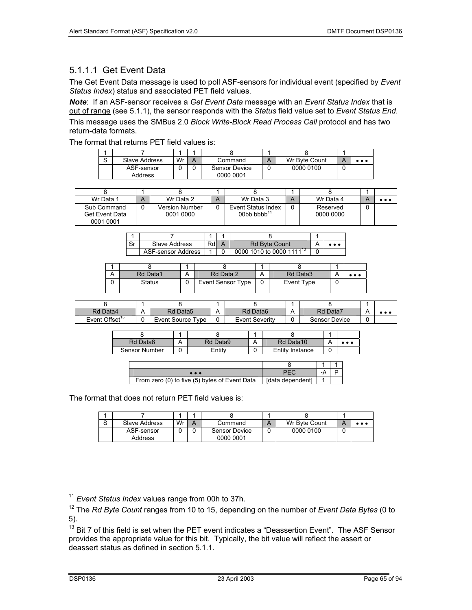## 5.1.1.1 Get Event Data

The Get Event Data message is used to poll ASF-sensors for individual event (specified by *Event Status Index*) status and associated PET field values.

*Note*: If an ASF-sensor receives a *Get Event Data* message with an *Event Status Index* that is out of range (see 5.1.1), the sensor responds with the *Status* field value set to *Event Status End*. This message uses the SMBus 2.0 *Block Write-Block Read Process Call* protocol and has two return-data formats.

The format that returns PET field values is:

| $\sim$<br>ວ | Slave Address         | Wr | А | Command                    | Wr Byte Count | . |
|-------------|-----------------------|----|---|----------------------------|---------------|---|
|             | ASF-sensor<br>Address |    |   | Sensor Device<br>0000 0001 | 0000 0100     |   |

| Wr Data 1      | Wr Data 2      | Wr Data 3                                                        | Wr Data 4 | $\cdots$ |
|----------------|----------------|------------------------------------------------------------------|-----------|----------|
| Sub Command    | Version Number | Event Status Index                                               | Reserved  |          |
| Get Event Data | 0001 0000      | $00$ <sub>b</sub> $b$ <sub>b</sub> $b$ <sub>1</sub> <sup>1</sup> | 0000 0000 |          |
| 0001 0001      |                |                                                                  |           |          |

| Slave Address      | Rd | <b>Rd Byte Count</b>                 | $\cdots$ |
|--------------------|----|--------------------------------------|----------|
| ASF-sensor Address |    | 0000 1010 to 0000 1111 <sup>12</sup> |          |

| ⌒ | Rd Data1 | Rd Data 2         | Rd Data3   |   | $\bullet\bullet\bullet$ |
|---|----------|-------------------|------------|---|-------------------------|
|   | Status   | Event Sensor Type | Event Type | U |                         |

| Rd Data4                   | Rd Data5          | Rd Data6       | Rd<br>Data7   | $\cdots$ |
|----------------------------|-------------------|----------------|---------------|----------|
| Event Offset <sup>13</sup> | Event Source Type | Event Severity | Sensor Device |          |

| Rd Data8      | Rd Data9 | Rd Data10              | $\cdots$ |
|---------------|----------|------------------------|----------|
| Sensor Number | Entity   | <b>Entity Instance</b> |          |

| $\bullet\bullet\bullet$                                          |  |  |
|------------------------------------------------------------------|--|--|
| From zero (0) to five (5) bytes of Event Data   [data dependent] |  |  |

The format that does not return PET field values is:

| ົ<br>J | Slave Address         | Wr | A | Command                    | Wr Byte Count | $\cdots$ |
|--------|-----------------------|----|---|----------------------------|---------------|----------|
|        | ASF-sensor<br>Address |    |   | Sensor Device<br>0000 0001 | 0000 0100     |          |

l <sup>11</sup> Event Status Index values range from 00h to 37h.

<sup>12</sup> The *Rd Byte Count* ranges from 10 to 15, depending on the number of *Event Data Bytes* (0 to 5).

 $13$  Bit 7 of this field is set when the PET event indicates a "Deassertion Event". The ASF Sensor provides the appropriate value for this bit. Typically, the bit value will reflect the assert or deassert status as defined in section 5.1.1.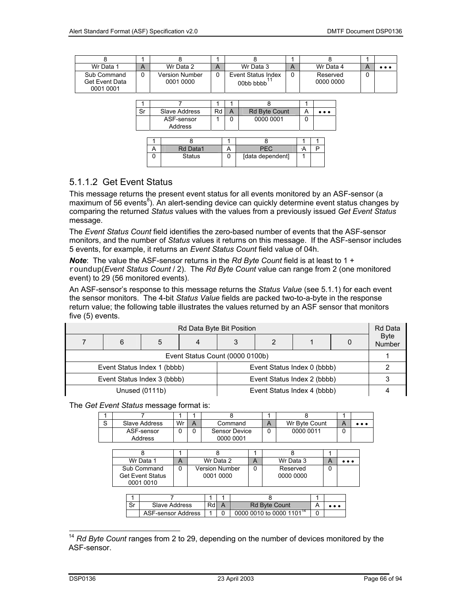| Wr Data 1                                  | Wr Data 2                   | Wr Data 3                                  | А | Wr Data 4             |   | $\cdots$ |
|--------------------------------------------|-----------------------------|--------------------------------------------|---|-----------------------|---|----------|
| Sub Command<br>Get Event Data<br>0001 0001 | Version Number<br>0001 0000 | Event Status Index<br>00 <sub>b</sub> bbbb |   | Reserved<br>0000 0000 | u |          |

| Sr |   | Slave Address         |  | $\mathsf{A}$ | Rd Byte Count    |    |  |
|----|---|-----------------------|--|--------------|------------------|----|--|
|    |   | ASF-sensor<br>Address |  |              | 0000 0001        |    |  |
|    |   |                       |  |              |                  |    |  |
|    |   |                       |  |              |                  |    |  |
|    | А | Rd Data1              |  | Α            | <b>PEC</b>       | ۰Α |  |
|    |   | <b>Status</b>         |  | 0            | [data dependent] |    |  |
|    |   |                       |  |              |                  |    |  |

#### 5.1.1.2 Get Event Status

This message returns the present event status for all events monitored by an ASF-sensor (a maximum of 56 events<sup>8</sup>). An alert-sending device can quickly determine event status changes by comparing the returned *Status* values with the values from a previously issued *Get Event Status* message.

The *Event Status Count* field identifies the zero-based number of events that the ASF-sensor monitors, and the number of *Status* values it returns on this message. If the ASF-sensor includes 5 events, for example, it returns an *Event Status Count* field value of 04h.

*Note*: The value the ASF-sensor returns in the *Rd Byte Count* field is at least to 1 + roundup(*Event Status Count* / 2). The *Rd Byte Count* value can range from 2 (one monitored event) to 29 (56 monitored events).

An ASF-sensor's response to this message returns the *Status Value* (see 5.1.1) for each event the sensor monitors. The 4-bit *Status Value* fields are packed two-to-a-byte in the response return value; the following table illustrates the values returned by an ASF sensor that monitors five (5) events.

|                                 |                                                            |                | Rd Data Byte Bit Position |  |                             |  |  | Rd Data                      |  |  |  |  |  |
|---------------------------------|------------------------------------------------------------|----------------|---------------------------|--|-----------------------------|--|--|------------------------------|--|--|--|--|--|
|                                 | 6                                                          | 5              |                           |  |                             |  |  | <b>Byte</b><br><b>Number</b> |  |  |  |  |  |
| Event Status Count (0000 0100b) |                                                            |                |                           |  |                             |  |  |                              |  |  |  |  |  |
|                                 | Event Status Index 1 (bbbb)                                |                |                           |  | Event Status Index 0 (bbbb) |  |  |                              |  |  |  |  |  |
|                                 | Event Status Index 3 (bbbb)<br>Event Status Index 2 (bbbb) |                |                           |  |                             |  |  |                              |  |  |  |  |  |
|                                 |                                                            | Unused (0111b) |                           |  | Event Status Index 4 (bbbb) |  |  |                              |  |  |  |  |  |

The *Get Event Status* message format is:

| Slave Address         | Wr | Δ | Command                    | Wr Byte Count | . |
|-----------------------|----|---|----------------------------|---------------|---|
| ASF-sensor<br>Address |    |   | Sensor Device<br>0000 0001 | 0000 0011     |   |

| Wr Data 1               | A | Wr Data 2             | Wr Data 3 | $\cdots$ |
|-------------------------|---|-----------------------|-----------|----------|
| Sub Command             |   | <b>Version Number</b> | Reserved  |          |
| <b>Get Event Status</b> |   | 0001 0000             | 0000 0000 |          |
| 0001 0010               |   |                       |           |          |

| Slave Address      | Rdl | <b>Rd Byte Count</b>                 |  |
|--------------------|-----|--------------------------------------|--|
| ASF-sensor Address |     | 0000 0010 to 0000 1101 <sup>14</sup> |  |

<sup>&</sup>lt;sup>14</sup> Rd Byte Count ranges from 2 to 29, depending on the number of devices monitored by the ASF-sensor.

l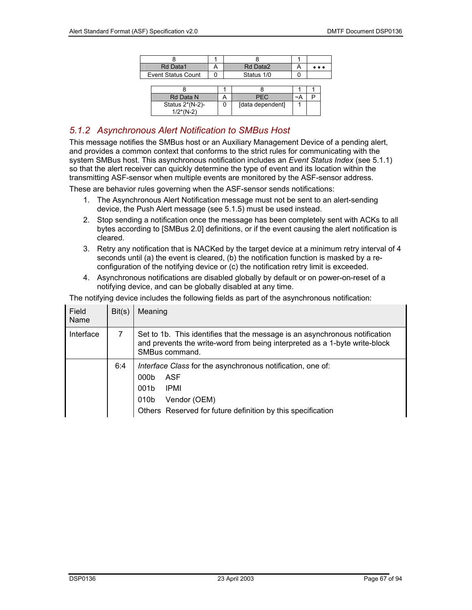| Rd Data1                  | Rd Data2   | $\bullet\bullet\bullet$ |
|---------------------------|------------|-------------------------|
| <b>Event Status Count</b> | Status 1/0 |                         |

| Rd Data N                         |                  | $\sim$ C |  |
|-----------------------------------|------------------|----------|--|
| Status $2*(N-2)$ -<br>$1/2*(N-2)$ | [data dependent] |          |  |

## *5.1.2 Asynchronous Alert Notification to SMBus Host*

This message notifies the SMBus host or an Auxiliary Management Device of a pending alert, and provides a common context that conforms to the strict rules for communicating with the system SMBus host. This asynchronous notification includes an *Event Status Index* (see 5.1.1) so that the alert receiver can quickly determine the type of event and its location within the transmitting ASF-sensor when multiple events are monitored by the ASF-sensor address.

These are behavior rules governing when the ASF-sensor sends notifications:

- 1. The Asynchronous Alert Notification message must not be sent to an alert-sending device, the Push Alert message (see 5.1.5) must be used instead.
- 2. Stop sending a notification once the message has been completely sent with ACKs to all bytes according to [SMBus 2.0] definitions, or if the event causing the alert notification is cleared.
- 3. Retry any notification that is NACKed by the target device at a minimum retry interval of 4 seconds until (a) the event is cleared, (b) the notification function is masked by a reconfiguration of the notifying device or (c) the notification retry limit is exceeded.
- 4. Asynchronous notifications are disabled globally by default or on power-on-reset of a notifying device, and can be globally disabled at any time.

The notifying device includes the following fields as part of the asynchronous notification:

| Field<br>Name | Bit(s) | Meaning                                                                                                                                                                                                         |  |
|---------------|--------|-----------------------------------------------------------------------------------------------------------------------------------------------------------------------------------------------------------------|--|
| Interface     | 7      | Set to 1b. This identifies that the message is an asynchronous notification<br>and prevents the write-word from being interpreted as a 1-byte write-block<br>SMBus command.                                     |  |
|               | 6.4    | Interface Class for the asynchronous notification, one of:<br>ASF<br>000 <sub>b</sub><br><b>IPMI</b><br>001 <sub>b</sub><br>010b<br>Vendor (OEM)<br>Others Reserved for future definition by this specification |  |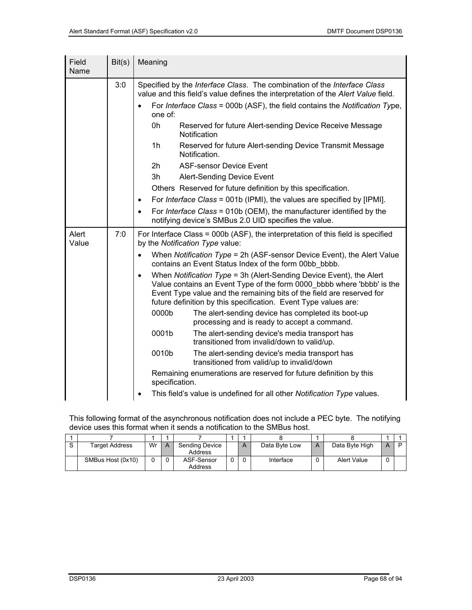| Field<br>Name  | Bit(s) | Meaning                                                                                                                                                                                                                                                                                                                                                                                                                                                                                                               |
|----------------|--------|-----------------------------------------------------------------------------------------------------------------------------------------------------------------------------------------------------------------------------------------------------------------------------------------------------------------------------------------------------------------------------------------------------------------------------------------------------------------------------------------------------------------------|
|                | 3:0    | Specified by the Interface Class. The combination of the Interface Class<br>value and this field's value defines the interpretation of the Alert Value field.<br>For Interface Class = 000b (ASF), the field contains the Notification Type,<br>one of:<br>0h<br>Reserved for future Alert-sending Device Receive Message<br>Notification<br>Reserved for future Alert-sending Device Transmit Message<br>1h<br>Notification.<br><b>ASF-sensor Device Event</b><br>2 <sub>h</sub><br>3h<br>Alert-Sending Device Event |
|                |        | Others Reserved for future definition by this specification.<br>For Interface Class = 001b (IPMI), the values are specified by [IPMI].<br>$\bullet$                                                                                                                                                                                                                                                                                                                                                                   |
|                |        | For Interface Class = 010b (OEM), the manufacturer identified by the<br>$\bullet$<br>notifying device's SMBus 2.0 UID specifies the value.                                                                                                                                                                                                                                                                                                                                                                            |
| Alert<br>Value | 7:0    | For Interface Class = 000b (ASF), the interpretation of this field is specified<br>by the Notification Type value:                                                                                                                                                                                                                                                                                                                                                                                                    |
|                |        | When Notification Type = 2h (ASF-sensor Device Event), the Alert Value<br>contains an Event Status Index of the form 00bb bbbb.                                                                                                                                                                                                                                                                                                                                                                                       |
|                |        | When Notification Type = 3h (Alert-Sending Device Event), the Alert<br>$\bullet$<br>Value contains an Event Type of the form 0000_bbbb where 'bbbb' is the<br>Event Type value and the remaining bits of the field are reserved for<br>future definition by this specification. Event Type values are:                                                                                                                                                                                                                |
|                |        | 0000b<br>The alert-sending device has completed its boot-up<br>processing and is ready to accept a command.                                                                                                                                                                                                                                                                                                                                                                                                           |
|                |        | 0001b<br>The alert-sending device's media transport has<br>transitioned from invalid/down to valid/up.                                                                                                                                                                                                                                                                                                                                                                                                                |
|                |        | 0010b<br>The alert-sending device's media transport has<br>transitioned from valid/up to invalid/down                                                                                                                                                                                                                                                                                                                                                                                                                 |
|                |        | Remaining enumerations are reserved for future definition by this<br>specification.                                                                                                                                                                                                                                                                                                                                                                                                                                   |
|                |        | This field's value is undefined for all other Notification Type values.                                                                                                                                                                                                                                                                                                                                                                                                                                               |

This following format of the asynchronous notification does not include a PEC byte. The notifying device uses this format when it sends a notification to the SMBus host.

| Target Address    | Wr |          | <b>Sending Device</b> |  | Data Byte Low | Data Byte High | - 0 |
|-------------------|----|----------|-----------------------|--|---------------|----------------|-----|
|                   |    |          | Address               |  |               |                |     |
| SMBus Host (0x10) |    | $\Omega$ | ASF-Sensor            |  | Interface     | Alert Value    |     |
|                   |    |          | Address               |  |               |                |     |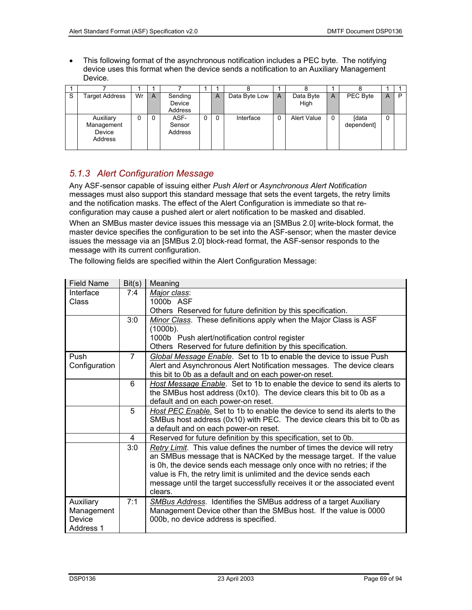• This following format of the asynchronous notification includes a PEC byte. The notifying device uses this format when the device sends a notification to an Auxiliary Management Device.

| <sub>S</sub> | Target Address                               | Wr | $\mathsf{A}$ | Sending<br>Device<br>Address |          | A | Data Byte Low | A | Data Byte<br>High  | A | PEC Byte                   | A | D |
|--------------|----------------------------------------------|----|--------------|------------------------------|----------|---|---------------|---|--------------------|---|----------------------------|---|---|
|              | Auxiliary<br>Management<br>Device<br>Address | 0  | 0            | ASF-<br>Sensor<br>Address    | $\Omega$ | 0 | Interface     |   | <b>Alert Value</b> | 0 | <b>Idata</b><br>dependentl | 0 |   |

# *5.1.3 Alert Configuration Message*

Any ASF-sensor capable of issuing either *Push Alert* or *Asynchronous Alert Notification* messages must also support this standard message that sets the event targets, the retry limits and the notification masks. The effect of the Alert Configuration is immediate so that reconfiguration may cause a pushed alert or alert notification to be masked and disabled.

When an SMBus master device issues this message via an [SMBus 2.0] write-block format, the master device specifies the configuration to be set into the ASF-sensor; when the master device issues the message via an [SMBus 2.0] block-read format, the ASF-sensor responds to the message with its current configuration.

The following fields are specified within the Alert Configuration Message:

| <b>Field Name</b> | Bit(s)         | Meaning                                                                   |
|-------------------|----------------|---------------------------------------------------------------------------|
| Interface         | 7:4            | Major class:                                                              |
| Class             |                | 1000b ASF                                                                 |
|                   |                | Others Reserved for future definition by this specification.              |
|                   | 3:0            | Minor Class. These definitions apply when the Major Class is ASF          |
|                   |                | $(1000b)$ .                                                               |
|                   |                | 1000b Push alert/notification control register                            |
|                   |                | Others Reserved for future definition by this specification.              |
| Push              | $\overline{7}$ | Global Message Enable. Set to 1b to enable the device to issue Push       |
| Configuration     |                | Alert and Asynchronous Alert Notification messages. The device clears     |
|                   |                | this bit to 0b as a default and on each power-on reset.                   |
|                   | 6              | Host Message Enable. Set to 1b to enable the device to send its alerts to |
|                   |                | the SMBus host address (0x10). The device clears this bit to 0b as a      |
|                   |                | default and on each power-on reset.                                       |
|                   | 5              | Host PEC Enable. Set to 1b to enable the device to send its alerts to the |
|                   |                | SMBus host address (0x10) with PEC. The device clears this bit to 0b as   |
|                   |                | a default and on each power-on reset.                                     |
|                   | 4              | Reserved for future definition by this specification, set to 0b.          |
|                   | 3:0            | Retry Limit. This value defines the number of times the device will retry |
|                   |                | an SMBus message that is NACKed by the message target. If the value       |
|                   |                | is 0h, the device sends each message only once with no retries; if the    |
|                   |                | value is Fh, the retry limit is unlimited and the device sends each       |
|                   |                | message until the target successfully receives it or the associated event |
|                   |                | clears.                                                                   |
| Auxiliary         | 7:1            | <b>SMBus Address.</b> Identifies the SMBus address of a target Auxiliary  |
| Management        |                | Management Device other than the SMBus host. If the value is 0000         |
| Device            |                | 000b, no device address is specified.                                     |
| Address 1         |                |                                                                           |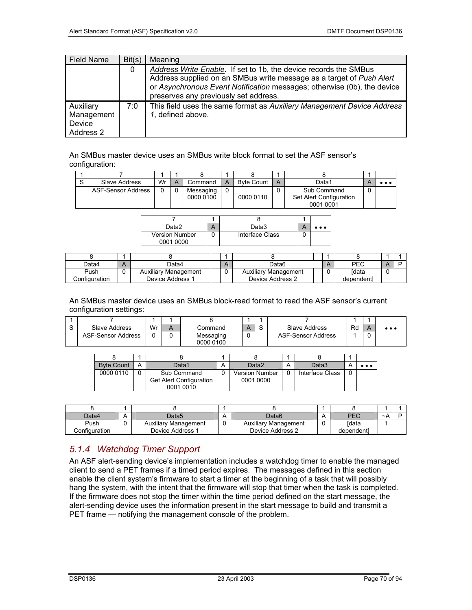| <b>Field Name</b>                              | Bit(s) | Meaning                                                                                                                                                                                                                                                      |
|------------------------------------------------|--------|--------------------------------------------------------------------------------------------------------------------------------------------------------------------------------------------------------------------------------------------------------------|
|                                                | 0      | Address Write Enable. If set to 1b, the device records the SMBus<br>Address supplied on an SMBus write message as a target of Push Alert<br>or Asynchronous Event Notification messages; otherwise (0b), the device<br>preserves any previously set address. |
| Auxiliary<br>Management<br>Device<br>Address 2 | 7:0    | This field uses the same format as Auxiliary Management Device Address<br>1, defined above.                                                                                                                                                                  |

An SMBus master device uses an SMBus write block format to set the ASF sensor's configuration:

| $\sim$ | Slave Address      | Wr | Command   | Byte Count I | A | Data1                   |  | . |
|--------|--------------------|----|-----------|--------------|---|-------------------------|--|---|
|        | ASF-Sensor Address |    | Messaging |              |   | Sub Command             |  |   |
|        |                    |    | 0000 0100 | 0000 0110    |   | Set Alert Configuration |  |   |
|        |                    |    |           |              |   | 0001 0001               |  |   |

| Data2                              | Data3           | . |
|------------------------------------|-----------------|---|
| <b>Version Number</b><br>0001 0000 | Interface Class |   |

| Data4         | Data4                       |  | Data6                       |  | PEC          |  |
|---------------|-----------------------------|--|-----------------------------|--|--------------|--|
| Push          | <b>Auxiliary Management</b> |  | <b>Auxiliary Management</b> |  | <b>Idata</b> |  |
| Configuration | Device Address 1            |  | Device Address 2            |  | dependentl   |  |

An SMBus master device uses an SMBus block-read format to read the ASF sensor's current configuration settings:

| Slave Address      | Wr | Command                |  | Slave Address             | Rd | $\cdots$ |
|--------------------|----|------------------------|--|---------------------------|----|----------|
| ASF-Sensor Address |    | Messaging<br>0000 0100 |  | <b>ASF-Sensor Address</b> |    |          |

| <b>Byte Count</b> | A | Data1                          | А | Data <sub>2</sub>     | Data3           |   | $\bullet\bullet\bullet$ |
|-------------------|---|--------------------------------|---|-----------------------|-----------------|---|-------------------------|
| 0000 0110         | 0 | Sub Command                    |   | <b>Version Number</b> | Interface Class | 0 |                         |
|                   |   | <b>Get Alert Configuration</b> |   | 0001 0000             |                 |   |                         |
|                   |   | 0001 0010                      |   |                       |                 |   |                         |

| Data4         | Data5                       | Data6                       | PEC          | $\sim$ $\Delta$ |  |
|---------------|-----------------------------|-----------------------------|--------------|-----------------|--|
| Push          | <b>Auxiliary Management</b> | <b>Auxiliary Management</b> | <b>Idata</b> |                 |  |
| Configuration | Device Address 1            | Device Address 2            | dependentl   |                 |  |

# *5.1.4 Watchdog Timer Support*

An ASF alert-sending device's implementation includes a watchdog timer to enable the managed client to send a PET frames if a timed period expires. The messages defined in this section enable the client system's firmware to start a timer at the beginning of a task that will possibly hang the system, with the intent that the firmware will stop that timer when the task is completed. If the firmware does not stop the timer within the time period defined on the start message, the alert-sending device uses the information present in the start message to build and transmit a PET frame — notifying the management console of the problem.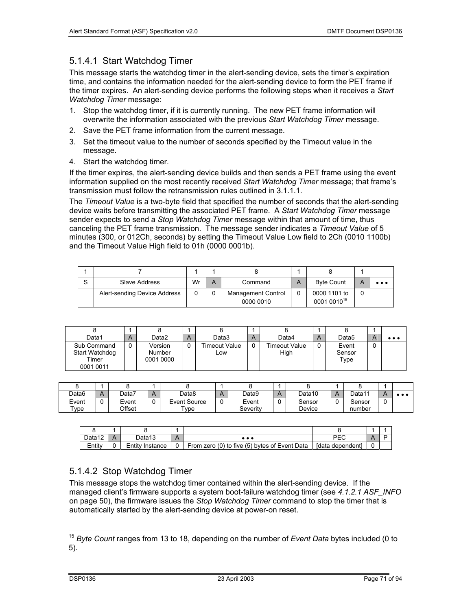# 5.1.4.1 Start Watchdog Timer

This message starts the watchdog timer in the alert-sending device, sets the timer's expiration time, and contains the information needed for the alert-sending device to form the PET frame if the timer expires. An alert-sending device performs the following steps when it receives a *Start Watchdog Timer* message:

- 1. Stop the watchdog timer, if it is currently running. The new PET frame information will overwrite the information associated with the previous *Start Watchdog Timer* message.
- 2. Save the PET frame information from the current message.
- 3. Set the timeout value to the number of seconds specified by the Timeout value in the message.
- 4. Start the watchdog timer.

If the timer expires, the alert-sending device builds and then sends a PET frame using the event information supplied on the most recently received *Start Watchdog Timer* message; that frame's transmission must follow the retransmission rules outlined in 3.1.1.1.

The *Timeout Value* is a two-byte field that specified the number of seconds that the alert-sending device waits before transmitting the associated PET frame. A *Start Watchdog Timer* message sender expects to send a *Stop Watchdog Timer* message within that amount of time, thus canceling the PET frame transmission. The message sender indicates a *Timeout Value* of 5 minutes (300, or 012Ch, seconds) by setting the Timeout Value Low field to 2Ch (0010 1100b) and the Timeout Value High field to 01h (0000 0001b).

| ົ | Slave Address                | Wr | Command                                | <b>Byte Count</b>                       | $\bullet\bullet\bullet$ |
|---|------------------------------|----|----------------------------------------|-----------------------------------------|-------------------------|
|   | Alert-sending Device Address |    | <b>Management Control</b><br>0000 0010 | 0000 1101 to<br>0001 0010 <sup>15</sup> |                         |

| Data1                                               | A | Data2                          | Data3                | Data4                 | Data5                   | A | $\bullet\bullet\bullet$ |
|-----------------------------------------------------|---|--------------------------------|----------------------|-----------------------|-------------------------|---|-------------------------|
| Sub Command<br>Start Watchdog<br>Timer<br>0001 0011 | 0 | Version<br>Number<br>0001 0000 | Timeout Value<br>Low | Timeout Value<br>High | Event<br>Sensor<br>Type |   |                         |

| Data <sub>6</sub>   | A | Data7  | Data8        |        | Data9    |   | Data10 | Data11 |   |  |
|---------------------|---|--------|--------------|--------|----------|---|--------|--------|---|--|
| Event               |   | Event  | Event Source | $\sim$ | Event    | ν | Sensor | Sensor | ີ |  |
| $\tau_\mathsf{VDE}$ |   | Offset | $T$ vpe      |        | Severitv |   | Device | number |   |  |

| Data12 | Data13             | $\cdots$                                      | חם ס             |   |  |
|--------|--------------------|-----------------------------------------------|------------------|---|--|
| Entitv | Entitv<br>Instance | From zero (0) to five (5) bytes of Event Data | [data dependent] | 0 |  |

# 5.1.4.2 Stop Watchdog Timer

This message stops the watchdog timer contained within the alert-sending device. If the managed client's firmware supports a system boot-failure watchdog timer (see *4.1.2.1 ASF\_INFO* on page 50), the firmware issues the *Stop Watchdog Timer* command to stop the timer that is automatically started by the alert-sending device at power-on reset.

l

<sup>15</sup> *Byte Count* ranges from 13 to 18, depending on the number of *Event Data* bytes included (0 to 5).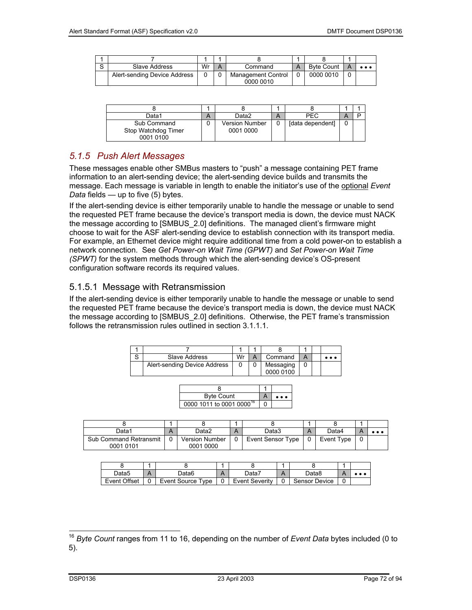| Slave Address                | Wr | Command                                |  | <b>Byte Count</b> | Δ | $\bullet\bullet\bullet$ |
|------------------------------|----|----------------------------------------|--|-------------------|---|-------------------------|
| Alert-sending Device Address |    | <b>Management Control</b><br>0000 0010 |  | 0000 0010         |   |                         |

| Data1                                           | Data2                              | PEC              |  |
|-------------------------------------------------|------------------------------------|------------------|--|
| Sub Command<br>Stop Watchdog Timer<br>0001 0100 | <b>Version Number</b><br>0001 0000 | [data dependent] |  |

# *5.1.5 Push Alert Messages*

These messages enable other SMBus masters to "push" a message containing PET frame information to an alert-sending device; the alert-sending device builds and transmits the message. Each message is variable in length to enable the initiator's use of the optional *Event Data* fields — up to five (5) bytes.

If the alert-sending device is either temporarily unable to handle the message or unable to send the requested PET frame because the device's transport media is down, the device must NACK the message according to [SMBUS\_2.0] definitions. The managed client's firmware might choose to wait for the ASF alert-sending device to establish connection with its transport media. For example, an Ethernet device might require additional time from a cold power-on to establish a network connection. See *Get Power-on Wait Time (GPWT)* and *Set Power-on Wait Time (SPWT)* for the system methods through which the alert-sending device's OS-present configuration software records its required values.

## 5.1.5.1 Message with Retransmission

If the alert-sending device is either temporarily unable to handle the message or unable to send the requested PET frame because the device's transport media is down, the device must NACK the message according to [SMBUS\_2.0] definitions. Otherwise, the PET frame's transmission follows the retransmission rules outlined in section 3.1.1.1.

| Slave Address                | Wr | Command   |  | $\cdots$ |
|------------------------------|----|-----------|--|----------|
| Alert-sending Device Address |    | Messaging |  |          |
|                              |    | 0000 0100 |  |          |

| <b>Byte Count</b>                    |  |
|--------------------------------------|--|
| 0000 1011 to 0001 0000 <sup>16</sup> |  |
|                                      |  |

| Data1                         | Data2                 | Data3             | Data4      | $\cdots$ |
|-------------------------------|-----------------------|-------------------|------------|----------|
| <b>Sub Command Retransmit</b> | <b>Version Number</b> | Event Sensor Type | Event Type |          |
| 0001 0101                     | 0001 0000             |                   |            |          |

| Data5               | Data6             |   | Data <sub>r</sub>     |   | Data8         |  |
|---------------------|-------------------|---|-----------------------|---|---------------|--|
| <b>Event Offset</b> | Event Source Type | u | <b>Event Severity</b> | U | Sensor Device |  |

l

<sup>16</sup> *Byte Count* ranges from 11 to 16, depending on the number of *Event Data* bytes included (0 to 5).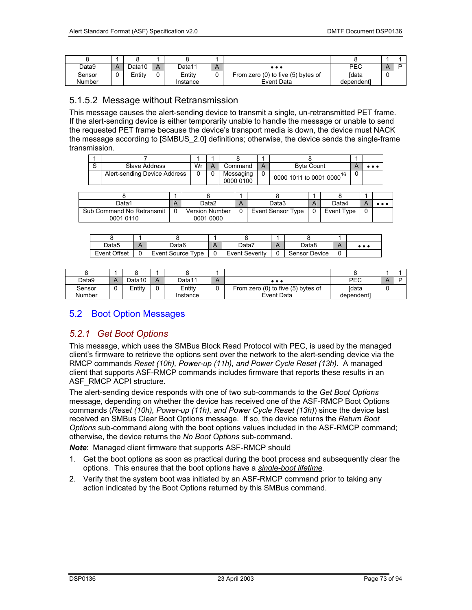| Data9            | Data10 | Data11             | $\cdots$                                         | <b>PEC</b>                 |   |  |
|------------------|--------|--------------------|--------------------------------------------------|----------------------------|---|--|
| Sensor<br>Number | Entity | Entity<br>Instance | From zero (0) to five (5) bytes of<br>Event Data | <b>Idata</b><br>dependentl | 0 |  |

### 5.1.5.2 Message without Retransmission

This message causes the alert-sending device to transmit a single, un-retransmitted PET frame. If the alert-sending device is either temporarily unable to handle the message or unable to send the requested PET frame because the device's transport media is down, the device must NACK the message according to [SMBUS 2.0] definitions; otherwise, the device sends the single-frame transmission.

| Slave Address                | Wr | Command                | $\mathsf{A}$ | <b>Byte Count</b>            |  |
|------------------------------|----|------------------------|--------------|------------------------------|--|
| Alert-sending Device Address |    | Messaging<br>0000 0100 | $\Omega$     | 16<br>0000 1011 to 0001 0000 |  |

| Data1                     | Data2                 | A | Data3             | А | Data4      |          |
|---------------------------|-----------------------|---|-------------------|---|------------|----------|
|                           |                       |   |                   |   |            | $\cdots$ |
| Sub Command No Retransmit | <b>Version Number</b> |   | Event Sensor Type | 0 | Event Type |          |
| 0001 0110                 | 0001 0000             |   |                   |   |            |          |

| Data5        | Data6             | Δ<br>$\mathbf{v}$ | Data7                 | Δ<br>гv. | Data8         |   | $\cdots$ |
|--------------|-------------------|-------------------|-----------------------|----------|---------------|---|----------|
| Event Offset | Event Source Type | O                 | <b>Event Severity</b> | u        | Sensor Device | U |          |

| Data9            | Data10 | Data11             | $\bullet\bullet\bullet$                          | <b>PEC</b>                 |        |  |
|------------------|--------|--------------------|--------------------------------------------------|----------------------------|--------|--|
| Sensor<br>Number | Entity | Entity<br>Instance | From zero (0) to five (5) bytes of<br>Event Data | <b>Idata</b><br>dependentl | $\sim$ |  |

# 5.2 Boot Option Messages

### *5.2.1 Get Boot Options*

This message, which uses the SMBus Block Read Protocol with PEC, is used by the managed client's firmware to retrieve the options sent over the network to the alert-sending device via the RMCP commands *Reset (10h), Power-up (11h), and Power Cycle Reset (13h)*. A managed client that supports ASF-RMCP commands includes firmware that reports these results in an ASF\_RMCP ACPI structure.

The alert-sending device responds with one of two sub-commands to the *Get Boot Options* message, depending on whether the device has received one of the ASF-RMCP Boot Options commands (*Reset (10h), Power-up (11h), and Power Cycle Reset (13h)*) since the device last received an SMBus Clear Boot Options message. If so, the device returns the *Return Boot Options* sub-command along with the boot options values included in the ASF-RMCP command; otherwise, the device returns the *No Boot Options* sub-command.

*Note*: Managed client firmware that supports ASF-RMCP should

- 1. Get the boot options as soon as practical during the boot process and subsequently clear the options. This ensures that the boot options have a *single-boot lifetime*.
- 2. Verify that the system boot was initiated by an ASF-RMCP command prior to taking any action indicated by the Boot Options returned by this SMBus command.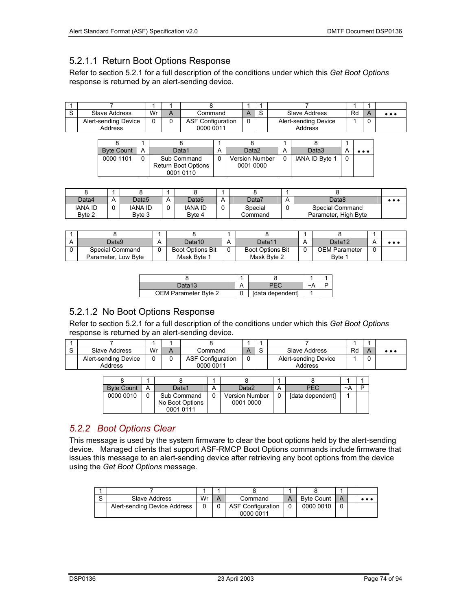# 5.2.1.1 Return Boot Options Response

Refer to section 5.2.1 for a full description of the conditions under which this *Get Boot Options* response is returned by an alert-sending device.

| Slave Address        | Wr | Command                  |   | Slave Address        | Rd | $\cdots$ |
|----------------------|----|--------------------------|---|----------------------|----|----------|
| Alert-sending Device |    | <b>ASF Configuration</b> | 0 | Alert-sending Device |    |          |
| Address              |    | 0000 0011                |   | Address              |    |          |

| <b>Byte Count</b> | А | Data1                                     | Data2                              | Data3                 | . |
|-------------------|---|-------------------------------------------|------------------------------------|-----------------------|---|
| 0000 1101         |   | Sub Command<br><b>Return Boot Options</b> | <b>Version Number</b><br>0001 0000 | <b>IANA ID Byte 1</b> |   |
|                   |   | 0001 0110                                 |                                    |                       |   |

| Data4             | A | Data5             | A | Data6             | $\overline{A}$ | Data7              | A | Data8                                   | $\bullet\bullet\bullet$ |
|-------------------|---|-------------------|---|-------------------|----------------|--------------------|---|-----------------------------------------|-------------------------|
| IANA ID<br>Byte 2 |   | iana id<br>Byte 3 |   | iana id<br>Byte 4 |                | Special<br>Command |   | Special Command<br>Parameter. High Byte |                         |

| Data9               | Data10                  | Data11                  | А | Data12        | $\cdots$ |
|---------------------|-------------------------|-------------------------|---|---------------|----------|
| Special Command     | <b>Boot Options Bit</b> | <b>Boot Options Bit</b> |   | OEM Parameter |          |
| Parameter, Low Byte | Mask Byte 1             | Mask Byte 2             |   | Byte 1        |          |

| Data13                      |                  | $\sim$ $\mu$ |  |
|-----------------------------|------------------|--------------|--|
| <b>OEM Parameter Byte 2</b> | [data dependent] |              |  |

# 5.2.1.2 No Boot Options Response

Refer to section 5.2.1 for a full description of the conditions under which this *Get Boot Options* response is returned by an alert-sending device.

| Slave Address        | Wr | Command                  |  | Slave Address        | Rd | $\cdots$ |
|----------------------|----|--------------------------|--|----------------------|----|----------|
| Alert-sending Device |    | <b>ASF Configuration</b> |  | Alert-sending Device |    |          |
| Address              |    | 0000 0011                |  | Address              |    |          |

| <b>Byte Count</b> | Data1           | Data2          | PEC              | ~₽ |  |
|-------------------|-----------------|----------------|------------------|----|--|
| 0000 0010         | Sub Command     | Version Number | [data dependent] |    |  |
|                   | No Boot Options | 0001 0000      |                  |    |  |
|                   | 0001 0111       |                |                  |    |  |

# *5.2.2 Boot Options Clear*

This message is used by the system firmware to clear the boot options held by the alert-sending device. Managed clients that support ASF-RMCP Boot Options commands include firmware that issues this message to an alert-sending device after retrieving any boot options from the device using the *Get Boot Options* message.

| Slave Address                | Wr | Command                               | Byte Count |  | $\bullet\bullet\bullet$ |
|------------------------------|----|---------------------------------------|------------|--|-------------------------|
| Alert-sending Device Address |    | <b>ASF Configuration</b><br>0000 0011 | 0000 0010  |  |                         |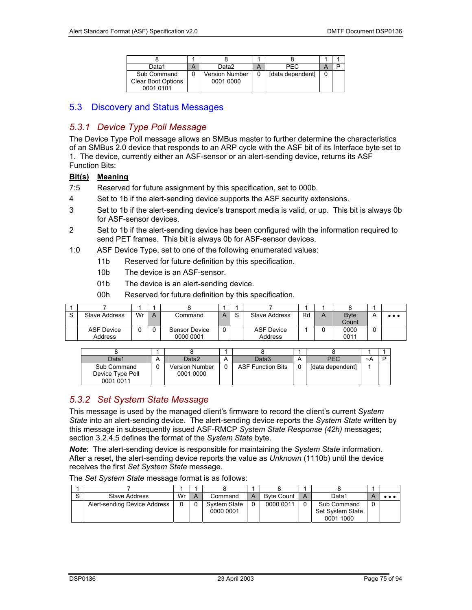| Data1                     | Data2          | <b>PFC</b>       |  |
|---------------------------|----------------|------------------|--|
| Sub Command               | Version Number | [data dependent] |  |
| <b>Clear Boot Options</b> | 0001 0000      |                  |  |
| 0001 0101                 |                |                  |  |

## 5.3 Discovery and Status Messages

## *5.3.1 Device Type Poll Message*

The Device Type Poll message allows an SMBus master to further determine the characteristics of an SMBus 2.0 device that responds to an ARP cycle with the ASF bit of its Interface byte set to 1. The device, currently either an ASF-sensor or an alert-sending device, returns its ASF Function Bits:

### **Bit(s) Meaning**

- 7:5 Reserved for future assignment by this specification, set to 000b.
- 4 Set to 1b if the alert-sending device supports the ASF security extensions.
- 3 Set to 1b if the alert-sending device's transport media is valid, or up. This bit is always 0b for ASF-sensor devices.
- 2 Set to 1b if the alert-sending device has been configured with the information required to send PET frames. This bit is always 0b for ASF-sensor devices.
- 1:0 ASF Device Type, set to one of the following enumerated values:
	- 11b Reserved for future definition by this specification.
	- 10b The device is an ASF-sensor.
	- 01b The device is an alert-sending device.
	- 00h Reserved for future definition by this specification.

| ົ<br>o | Slave Address     | Wr | A | Command       | $\sim$<br>◡ | Slave Address     | Rd | А | <b>B</b> vte | $\bullet\bullet\bullet$ |
|--------|-------------------|----|---|---------------|-------------|-------------------|----|---|--------------|-------------------------|
|        |                   |    |   |               |             |                   |    |   | Count        |                         |
|        | <b>ASF Device</b> |    |   | Sensor Device |             | <b>ASF Device</b> |    |   | 0000         |                         |
|        | Address           |    |   | 0000 0001     |             | Address           |    |   | 0011         |                         |

| Data1            | Data2          | Data3                    | <b>PEC</b>       | $\mathord{\sim}$ A |  |
|------------------|----------------|--------------------------|------------------|--------------------|--|
| Sub Command      | Version Number | <b>ASF Function Bits</b> | [data dependent] |                    |  |
| Device Type Poll | 0001 0000      |                          |                  |                    |  |
| 0001 0011        |                |                          |                  |                    |  |

### *5.3.2 Set System State Message*

This message is used by the managed client's firmware to record the client's current *System State* into an alert-sending device. The alert-sending device reports the *System State* written by this message in subsequently issued ASF-RMCP *System State Response (42h)* messages; section 3.2.4.5 defines the format of the *System State* byte.

*Note*: The alert-sending device is responsible for maintaining the *System State* information. After a reset, the alert-sending device reports the value as *Unknown* (1110b) until the device receives the first *Set System State* message.

The *Set System State* message format is as follows:

| Slave Address                | Wr | Command      | Byte Count | A | Data1            | $\bullet\bullet\bullet$ |
|------------------------------|----|--------------|------------|---|------------------|-------------------------|
| Alert-sending Device Address |    | System State | 0000 0011  |   | Sub Command      |                         |
|                              |    | 0000 0001    |            |   | Set System State |                         |
|                              |    |              |            |   | 0001 1000        |                         |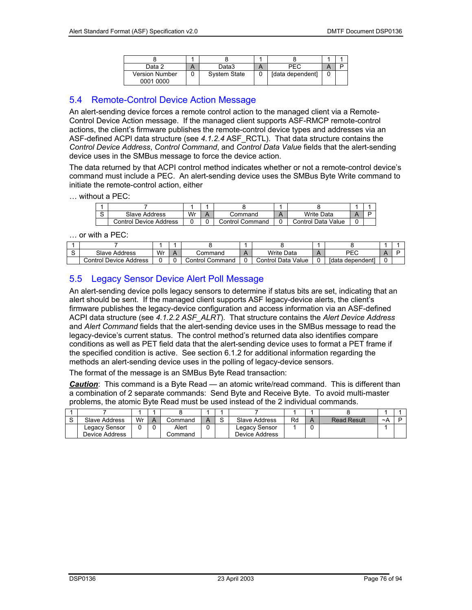| Data 2                             | Data3               | PEC              | D |
|------------------------------------|---------------------|------------------|---|
| <b>Version Number</b><br>0001 0000 | <b>System State</b> | [data dependent] |   |

### 5.4 Remote-Control Device Action Message

An alert-sending device forces a remote control action to the managed client via a Remote-Control Device Action message. If the managed client supports ASF-RMCP remote-control actions, the client's firmware publishes the remote-control device types and addresses via an ASF-defined ACPI data structure (see *4.1.2.4* ASF\_RCTL). That data structure contains the *Control Device Address*, *Control Command*, and *Control Data Value* fields that the alert-sending device uses in the SMBus message to force the device action.

The data returned by that ACPI control method indicates whether or not a remote-control device's command must include a PEC. An alert-sending device uses the SMBus Byte Write command to initiate the remote-control action, either

… without a PEC:

| ັ | Slave Address          | Wr | .command        | <b>Write Data</b>  |   |  |
|---|------------------------|----|-----------------|--------------------|---|--|
|   | Control Device Address |    | Control Command | Control Data Value | u |  |

… or with a PEC:

| <b>Slave Address</b>          | Wr | Command                | Write Data            | DEC                         | . . |  |
|-------------------------------|----|------------------------|-----------------------|-----------------------------|-----|--|
| <b>Control Device Address</b> |    | l Command<br>′ ontrolص | Value<br>Control Data | <b>Idata</b><br>⊧dependenti |     |  |

# 5.5 Legacy Sensor Device Alert Poll Message

An alert-sending device polls legacy sensors to determine if status bits are set, indicating that an alert should be sent. If the managed client supports ASF legacy-device alerts, the client's firmware publishes the legacy-device configuration and access information via an ASF-defined ACPI data structure (see *4.1.2.2 ASF\_ALRT*). That structure contains the *Alert Device Address* and *Alert Command* fields that the alert-sending device uses in the SMBus message to read the legacy-device's current status. The control method's returned data also identifies compare conditions as well as PET field data that the alert-sending device uses to format a PET frame if the specified condition is active. See section 6.1.2 for additional information regarding the methods an alert-sending device uses in the polling of legacy-device sensors.

The format of the message is an SMBus Byte Read transaction:

**Caution:** This command is a Byte Read — an atomic write/read command. This is different than a combination of 2 separate commands: Send Byte and Receive Byte. To avoid multi-master problems, the atomic Byte Read must be used instead of the 2 individual commands.

| Slave Address  | Wr | Command | $\sim$<br>u | Slave Address  | Rc | <b>Read Result</b> | $~\sim$ A |  |
|----------------|----|---------|-------------|----------------|----|--------------------|-----------|--|
| Legacy Sensor  |    | Alert   |             | Legacy Sensor  |    |                    |           |  |
| Device Address |    | Command |             | Device Address |    |                    |           |  |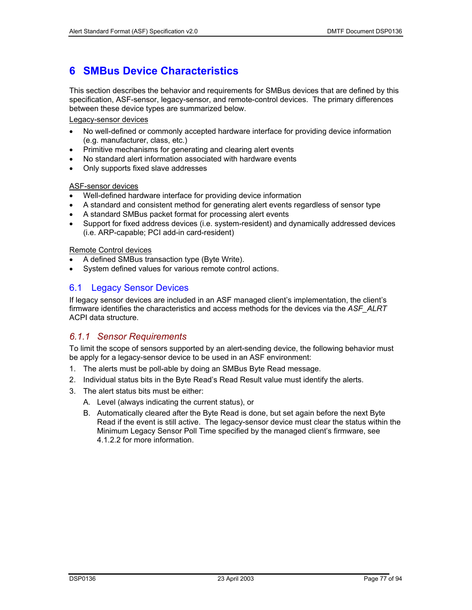# **6 SMBus Device Characteristics**

This section describes the behavior and requirements for SMBus devices that are defined by this specification, ASF-sensor, legacy-sensor, and remote-control devices. The primary differences between these device types are summarized below.

Legacy-sensor devices

- No well-defined or commonly accepted hardware interface for providing device information (e.g. manufacturer, class, etc.)
- Primitive mechanisms for generating and clearing alert events
- No standard alert information associated with hardware events
- Only supports fixed slave addresses

### ASF-sensor devices

- Well-defined hardware interface for providing device information
- A standard and consistent method for generating alert events regardless of sensor type
- A standard SMBus packet format for processing alert events
- Support for fixed address devices (i.e. system-resident) and dynamically addressed devices (i.e. ARP-capable; PCI add-in card-resident)

Remote Control devices

- A defined SMBus transaction type (Byte Write).
- System defined values for various remote control actions.

# 6.1 Legacy Sensor Devices

If legacy sensor devices are included in an ASF managed client's implementation, the client's firmware identifies the characteristics and access methods for the devices via the *ASF\_ALRT* ACPI data structure.

# *6.1.1 Sensor Requirements*

To limit the scope of sensors supported by an alert-sending device, the following behavior must be apply for a legacy-sensor device to be used in an ASF environment:

- 1. The alerts must be poll-able by doing an SMBus Byte Read message.
- 2. Individual status bits in the Byte Read's Read Result value must identify the alerts.
- 3. The alert status bits must be either:
	- A. Level (always indicating the current status), or
	- B. Automatically cleared after the Byte Read is done, but set again before the next Byte Read if the event is still active. The legacy-sensor device must clear the status within the Minimum Legacy Sensor Poll Time specified by the managed client's firmware, see 4.1.2.2 for more information.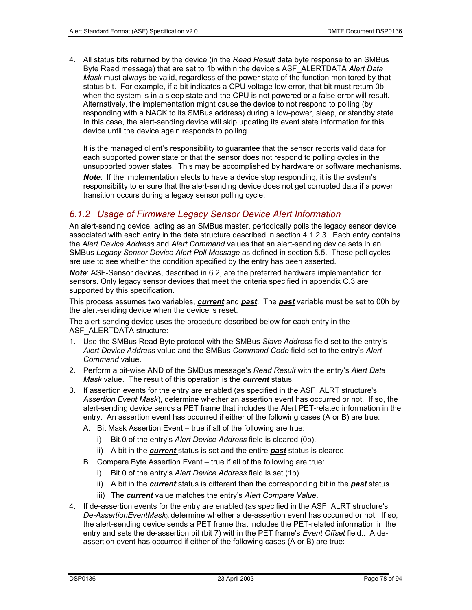4. All status bits returned by the device (in the *Read Result* data byte response to an SMBus Byte Read message) that are set to 1b within the device's ASF\_ALERTDATA *Alert Data Mask* must always be valid, regardless of the power state of the function monitored by that status bit. For example, if a bit indicates a CPU voltage low error, that bit must return 0b when the system is in a sleep state and the CPU is not powered or a false error will result. Alternatively, the implementation might cause the device to not respond to polling (by responding with a NACK to its SMBus address) during a low-power, sleep, or standby state. In this case, the alert-sending device will skip updating its event state information for this device until the device again responds to polling.

It is the managed client's responsibility to guarantee that the sensor reports valid data for each supported power state or that the sensor does not respond to polling cycles in the unsupported power states. This may be accomplished by hardware or software mechanisms.

*Note*: If the implementation elects to have a device stop responding, it is the system's responsibility to ensure that the alert-sending device does not get corrupted data if a power transition occurs during a legacy sensor polling cycle.

### *6.1.2 Usage of Firmware Legacy Sensor Device Alert Information*

An alert-sending device, acting as an SMBus master, periodically polls the legacy sensor device associated with each entry in the data structure described in section 4.1.2.3. Each entry contains the *Alert Device Address* and *Alert Command* values that an alert-sending device sets in an SMBus *Legacy Sensor Device Alert Poll Message* as defined in section 5.5. These poll cycles are use to see whether the condition specified by the entry has been asserted.

*Note*: ASF-Sensor devices, described in 6.2, are the preferred hardware implementation for sensors. Only legacy sensor devices that meet the criteria specified in appendix C.3 are supported by this specification.

This process assumes two variables, *current* and *past*. The *past* variable must be set to 00h by the alert-sending device when the device is reset.

The alert-sending device uses the procedure described below for each entry in the ASF\_ALERTDATA structure:

- 1. Use the SMBus Read Byte protocol with the SMBus *Slave Address* field set to the entry's *Alert Device Address* value and the SMBus *Command Code* field set to the entry's *Alert Command* value.
- 2. Perform a bit-wise AND of the SMBus message's *Read Result* with the entry's *Alert Data Mask* value. The result of this operation is the *current* status.
- 3. If assertion events for the entry are enabled (as specified in the ASF\_ALRT structure's *Assertion Event Mask*), determine whether an assertion event has occurred or not. If so, the alert-sending device sends a PET frame that includes the Alert PET-related information in the entry. An assertion event has occurred if either of the following cases (A or B) are true:
	- A. Bit Mask Assertion Event true if all of the following are true:
		- i) Bit 0 of the entry's *Alert Device Address* field is cleared (0b).
		- ii) A bit in the *current* status is set and the entire *past* status is cleared.
	- B. Compare Byte Assertion Event true if all of the following are true:
		- i) Bit 0 of the entry's *Alert Device Address* field is set (1b).
		- ii) A bit in the *current* status is different than the corresponding bit in the *past* status.
		- iii) The *current* value matches the entry's *Alert Compare Value*.
- 4. If de-assertion events for the entry are enabled (as specified in the ASF\_ALRT structure's *De-AssertionEventMask*), determine whether a de-assertion event has occurred or not. If so, the alert-sending device sends a PET frame that includes the PET-related information in the entry and sets the de-assertion bit (bit 7) within the PET frame's *Event Offset* field.. A deassertion event has occurred if either of the following cases (A or B) are true: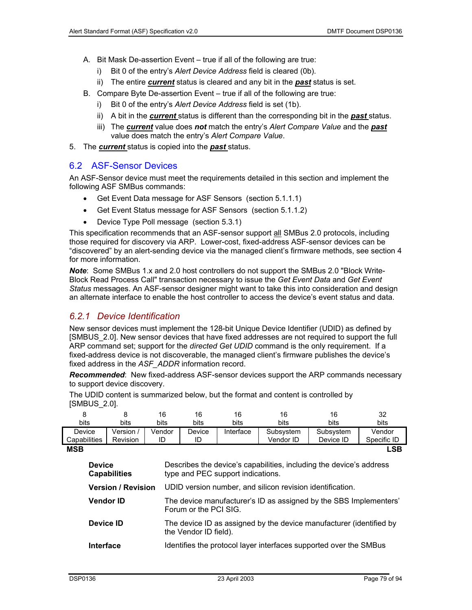- A. Bit Mask De-assertion Event true if all of the following are true:
	- i) Bit 0 of the entry's *Alert Device Address* field is cleared (0b).
	- ii) The entire *current* status is cleared and any bit in the *past* status is set.
- B. Compare Byte De-assertion Event true if all of the following are true:
	- i) Bit 0 of the entry's *Alert Device Address* field is set (1b).
	- ii) A bit in the *current* status is different than the corresponding bit in the *past* status.
	- iii) The *current* value does *not* match the entry's *Alert Compare Value* and the *past* value does match the entry's *Alert Compare Value*.
- 5. The *current* status is copied into the *past* status.

### 6.2 ASF-Sensor Devices

An ASF-Sensor device must meet the requirements detailed in this section and implement the following ASF SMBus commands:

- Get Event Data message for ASF Sensors (section 5.1.1.1)
- Get Event Status message for ASF Sensors (section 5.1.1.2)
- Device Type Poll message (section 5.3.1)

This specification recommends that an ASF-sensor support all SMBus 2.0 protocols, including those required for discovery via ARP. Lower-cost, fixed-address ASF-sensor devices can be "discovered" by an alert-sending device via the managed client's firmware methods, see section 4 for more information.

*Note*: Some SMBus 1.x and 2.0 host controllers do not support the SMBus 2.0 "Block Write-Block Read Process Call" transaction necessary to issue the *Get Event Data* and *Get Event Status* messages. An ASF-sensor designer might want to take this into consideration and design an alternate interface to enable the host controller to access the device's event status and data.

### *6.2.1 Device Identification*

New sensor devices must implement the 128-bit Unique Device Identifier (UDID) as defined by [SMBUS\_2.0]. New sensor devices that have fixed addresses are not required to support the full ARP command set; support for the *directed Get UDID* command is the only requirement. If a fixed-address device is not discoverable, the managed client's firmware publishes the device's fixed address in the *ASF\_ADDR* information record.

*Recommended*: New fixed-address ASF-sensor devices support the ARP commands necessary to support device discovery.

The UDID content is summarized below, but the format and content is controlled by [SMBUS\_2.0].

| 8                                    | 8           | 16                                                                                                       | 16                                                                                           | 16        | 16        | 16        | 32          |  |  |  |
|--------------------------------------|-------------|----------------------------------------------------------------------------------------------------------|----------------------------------------------------------------------------------------------|-----------|-----------|-----------|-------------|--|--|--|
| bits                                 | <b>bits</b> | bits                                                                                                     | bits                                                                                         | bits      | bits      | bits      | <b>bits</b> |  |  |  |
| Device                               | Version /   | Vendor                                                                                                   | Device                                                                                       | Interface | Subsystem | Subsystem | Vendor      |  |  |  |
| Capabilities                         | Revision    | ID                                                                                                       | ID                                                                                           |           | Vendor ID | Device ID | Specific ID |  |  |  |
| <b>MSB</b>                           |             |                                                                                                          |                                                                                              |           |           |           | <b>LSB</b>  |  |  |  |
| <b>Device</b><br><b>Capabilities</b> |             | Describes the device's capabilities, including the device's address<br>type and PEC support indications. |                                                                                              |           |           |           |             |  |  |  |
| <b>Version / Revision</b>            |             | UDID version number, and silicon revision identification.                                                |                                                                                              |           |           |           |             |  |  |  |
| <b>Vendor ID</b>                     |             | The device manufacturer's ID as assigned by the SBS Implementers'<br>Forum or the PCI SIG.               |                                                                                              |           |           |           |             |  |  |  |
| Device ID                            |             |                                                                                                          | The device ID as assigned by the device manufacturer (identified by<br>the Vendor ID field). |           |           |           |             |  |  |  |
| <b>Interface</b>                     |             |                                                                                                          | Identifies the protocol layer interfaces supported over the SMBus                            |           |           |           |             |  |  |  |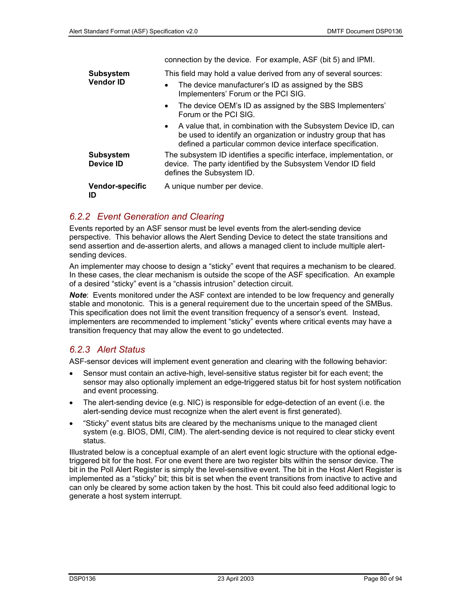|                                      | connection by the device. For example, ASF (bit 5) and IPMI.                                                                                                                                      |
|--------------------------------------|---------------------------------------------------------------------------------------------------------------------------------------------------------------------------------------------------|
| <b>Subsystem</b>                     | This field may hold a value derived from any of several sources:                                                                                                                                  |
| <b>Vendor ID</b>                     | The device manufacturer's ID as assigned by the SBS<br>$\bullet$<br>Implementers' Forum or the PCI SIG.                                                                                           |
|                                      | The device OEM's ID as assigned by the SBS Implementers'<br>$\bullet$<br>Forum or the PCI SIG.                                                                                                    |
|                                      | • A value that, in combination with the Subsystem Device ID, can<br>be used to identify an organization or industry group that has<br>defined a particular common device interface specification. |
| <b>Subsystem</b><br><b>Device ID</b> | The subsystem ID identifies a specific interface, implementation, or<br>device. The party identified by the Subsystem Vendor ID field<br>defines the Subsystem ID.                                |
| <b>Vendor-specific</b><br>ID         | A unique number per device.                                                                                                                                                                       |

connection by the device. For example, ASF (bit 5) and IPMI.

## *6.2.2 Event Generation and Clearing*

Events reported by an ASF sensor must be level events from the alert-sending device perspective. This behavior allows the Alert Sending Device to detect the state transitions and send assertion and de-assertion alerts, and allows a managed client to include multiple alertsending devices.

An implementer may choose to design a "sticky" event that requires a mechanism to be cleared. In these cases, the clear mechanism is outside the scope of the ASF specification. An example of a desired "sticky" event is a "chassis intrusion" detection circuit.

*Note*: Events monitored under the ASF context are intended to be low frequency and generally stable and monotonic. This is a general requirement due to the uncertain speed of the SMBus. This specification does not limit the event transition frequency of a sensor's event. Instead, implementers are recommended to implement "sticky" events where critical events may have a transition frequency that may allow the event to go undetected.

# *6.2.3 Alert Status*

ASF-sensor devices will implement event generation and clearing with the following behavior:

- Sensor must contain an active-high, level-sensitive status register bit for each event; the sensor may also optionally implement an edge-triggered status bit for host system notification and event processing.
- The alert-sending device (e.g. NIC) is responsible for edge-detection of an event (i.e. the alert-sending device must recognize when the alert event is first generated).
- "Sticky" event status bits are cleared by the mechanisms unique to the managed client system (e.g. BIOS, DMI, CIM). The alert-sending device is not required to clear sticky event status.

Illustrated below is a conceptual example of an alert event logic structure with the optional edgetriggered bit for the host. For one event there are two register bits within the sensor device. The bit in the Poll Alert Register is simply the level-sensitive event. The bit in the Host Alert Register is implemented as a "sticky" bit; this bit is set when the event transitions from inactive to active and can only be cleared by some action taken by the host. This bit could also feed additional logic to generate a host system interrupt.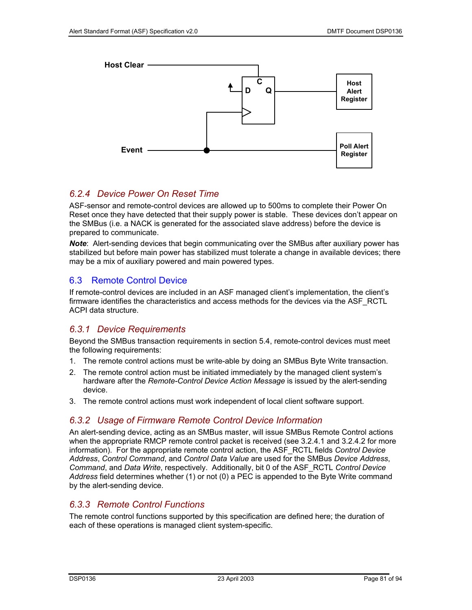

# *6.2.4 Device Power On Reset Time*

ASF-sensor and remote-control devices are allowed up to 500ms to complete their Power On Reset once they have detected that their supply power is stable. These devices don't appear on the SMBus (i.e. a NACK is generated for the associated slave address) before the device is prepared to communicate.

*Note*: Alert-sending devices that begin communicating over the SMBus after auxiliary power has stabilized but before main power has stabilized must tolerate a change in available devices; there may be a mix of auxiliary powered and main powered types.

# 6.3 Remote Control Device

If remote-control devices are included in an ASF managed client's implementation, the client's firmware identifies the characteristics and access methods for the devices via the ASF\_RCTL ACPI data structure.

# *6.3.1 Device Requirements*

Beyond the SMBus transaction requirements in section 5.4, remote-control devices must meet the following requirements:

- 1. The remote control actions must be write-able by doing an SMBus Byte Write transaction.
- 2. The remote control action must be initiated immediately by the managed client system's hardware after the *Remote-Control Device Action Message* is issued by the alert-sending device.
- 3. The remote control actions must work independent of local client software support.

### *6.3.2 Usage of Firmware Remote Control Device Information*

An alert-sending device, acting as an SMBus master, will issue SMBus Remote Control actions when the appropriate RMCP remote control packet is received (see 3.2.4.1 and 3.2.4.2 for more information). For the appropriate remote control action, the ASF\_RCTL fields *Control Device Address*, *Control Command*, and *Control Data Value* are used for the SMBus *Device Address*, *Command*, and *Data Write*, respectively. Additionally, bit 0 of the ASF\_RCTL *Control Device Address* field determines whether (1) or not (0) a PEC is appended to the Byte Write command by the alert-sending device.

# *6.3.3 Remote Control Functions*

The remote control functions supported by this specification are defined here; the duration of each of these operations is managed client system-specific.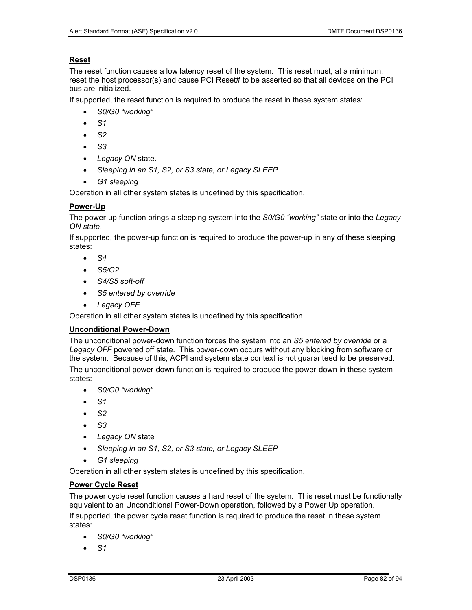### **Reset**

The reset function causes a low latency reset of the system. This reset must, at a minimum, reset the host processor(s) and cause PCI Reset# to be asserted so that all devices on the PCI bus are initialized.

If supported, the reset function is required to produce the reset in these system states:

- *S0/G0 "working"*
- *S1*
- *S2*
- *S3*
- *Legacy ON* state.
- *Sleeping in an S1, S2, or S3 state, or Legacy SLEEP*
- *G1 sleeping*

Operation in all other system states is undefined by this specification.

### **Power-Up**

The power-up function brings a sleeping system into the *S0/G0 "working"* state or into the *Legacy ON state*.

If supported, the power-up function is required to produce the power-up in any of these sleeping states:

- *S4*
- *S5/G2*
- *S4/S5 soft-off*
- *S5 entered by override*
- *Legacy OFF*

Operation in all other system states is undefined by this specification.

#### **Unconditional Power-Down**

The unconditional power-down function forces the system into an *S5 entered by override* or a *Legacy OFF* powered off state. This power-down occurs without any blocking from software or the system. Because of this, ACPI and system state context is not guaranteed to be preserved. The unconditional power-down function is required to produce the power-down in these system states:

- *S0/G0 "working"*
- *S1*
- *S2*
- *S3*
- *Legacy ON* state
- *Sleeping in an S1, S2, or S3 state, or Legacy SLEEP*
- *G1 sleeping*

Operation in all other system states is undefined by this specification.

### **Power Cycle Reset**

The power cycle reset function causes a hard reset of the system. This reset must be functionally equivalent to an Unconditional Power-Down operation, followed by a Power Up operation. If supported, the power cycle reset function is required to produce the reset in these system states:

- *S0/G0 "working"*
- *S1*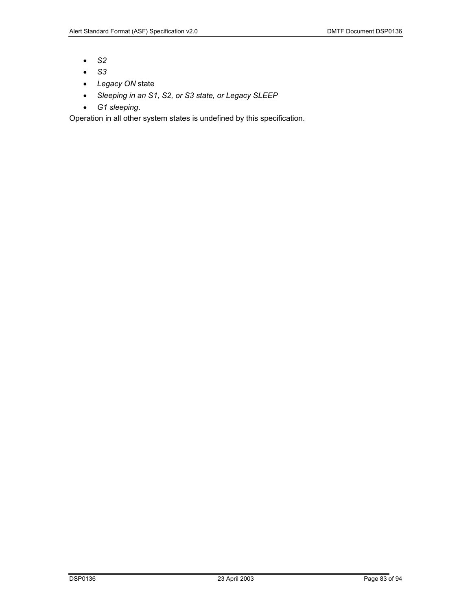- *S2*
- *S3*
- *Legacy ON* state
- *Sleeping in an S1, S2, or S3 state, or Legacy SLEEP*
- *G1 sleeping*.

Operation in all other system states is undefined by this specification.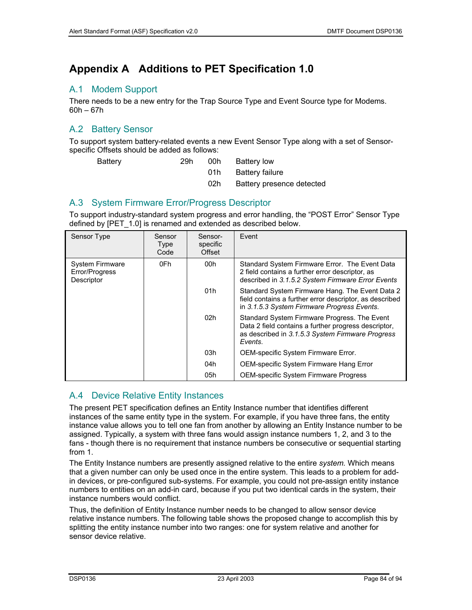# **Appendix A Additions to PET Specification 1.0**

## A.1 Modem Support

There needs to be a new entry for the Trap Source Type and Event Source type for Modems. 60h – 67h

# A.2 Battery Sensor

To support system battery-related events a new Event Sensor Type along with a set of Sensorspecific Offsets should be added as follows:

| Battery | 29h |     | 00h Battery low           |
|---------|-----|-----|---------------------------|
|         |     |     | 01h Battery failure       |
|         |     | 02h | Battery presence detected |

### A.3 System Firmware Error/Progress Descriptor

To support industry-standard system progress and error handling, the "POST Error" Sensor Type defined by [PET 1.0] is renamed and extended as described below.

| Sensor Type                                            | Sensor<br>Type<br>Code | Sensor-<br>specific<br>Offset | Event                                                                                                                                                               |
|--------------------------------------------------------|------------------------|-------------------------------|---------------------------------------------------------------------------------------------------------------------------------------------------------------------|
| <b>System Firmware</b><br>Error/Progress<br>Descriptor | 0Fh                    | 00h                           | Standard System Firmware Error. The Event Data<br>2 field contains a further error descriptor, as<br>described in 3.1.5.2 System Firmware Error Events              |
|                                                        |                        | 01h                           | Standard System Firmware Hang. The Event Data 2<br>field contains a further error descriptor, as described<br>in 3.1.5.3 System Firmware Progress Events.           |
|                                                        |                        | 02 <sub>h</sub>               | Standard System Firmware Progress. The Event<br>Data 2 field contains a further progress descriptor,<br>as described in 3.1.5.3 System Firmware Progress<br>Events. |
|                                                        |                        | 03h                           | OEM-specific System Firmware Error.                                                                                                                                 |
|                                                        |                        | 04h                           | OEM-specific System Firmware Hang Error                                                                                                                             |
|                                                        |                        | 05h                           | <b>OEM-specific System Firmware Progress</b>                                                                                                                        |

### A.4 Device Relative Entity Instances

The present PET specification defines an Entity Instance number that identifies different instances of the same entity type in the system. For example, if you have three fans, the entity instance value allows you to tell one fan from another by allowing an Entity Instance number to be assigned. Typically, a system with three fans would assign instance numbers 1, 2, and 3 to the fans - though there is no requirement that instance numbers be consecutive or sequential starting from 1.

The Entity Instance numbers are presently assigned relative to the entire *system.* Which means that a given number can only be used once in the entire system. This leads to a problem for addin devices, or pre-configured sub-systems. For example, you could not pre-assign entity instance numbers to entities on an add-in card, because if you put two identical cards in the system, their instance numbers would conflict.

Thus, the definition of Entity Instance number needs to be changed to allow sensor device relative instance numbers. The following table shows the proposed change to accomplish this by splitting the entity instance number into two ranges: one for system relative and another for sensor device relative.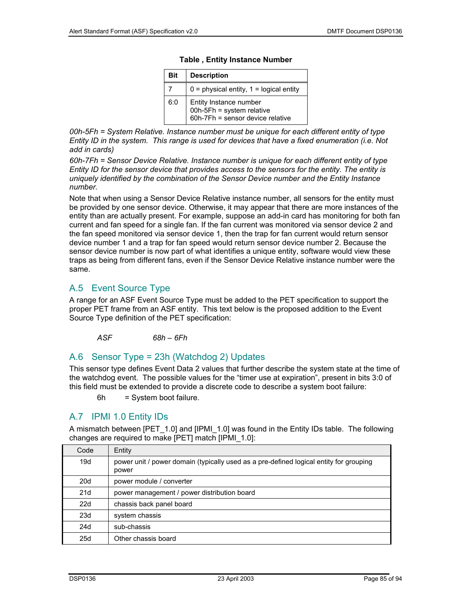| <b>Bit</b> | <b>Description</b>                                                                      |
|------------|-----------------------------------------------------------------------------------------|
|            | $0 =$ physical entity, $1 =$ logical entity                                             |
| 6:0        | Entity Instance number<br>00h-5Fh = system relative<br>60h-7Fh = sensor device relative |

#### **Table , Entity Instance Number**

*00h-5Fh = System Relative. Instance number must be unique for each different entity of type Entity ID in the system. This range is used for devices that have a fixed enumeration (i.e. Not add in cards)* 

*60h-7Fh = Sensor Device Relative. Instance number is unique for each different entity of type Entity ID for the sensor device that provides access to the sensors for the entity. The entity is uniquely identified by the combination of the Sensor Device number and the Entity Instance number.* 

Note that when using a Sensor Device Relative instance number, all sensors for the entity must be provided by one sensor device. Otherwise, it may appear that there are more instances of the entity than are actually present. For example, suppose an add-in card has monitoring for both fan current and fan speed for a single fan. If the fan current was monitored via sensor device 2 and the fan speed monitored via sensor device 1, then the trap for fan current would return sensor device number 1 and a trap for fan speed would return sensor device number 2. Because the sensor device number is now part of what identifies a unique entity, software would view these traps as being from different fans, even if the Sensor Device Relative instance number were the same.

# A.5 Event Source Type

A range for an ASF Event Source Type must be added to the PET specification to support the proper PET frame from an ASF entity. This text below is the proposed addition to the Event Source Type definition of the PET specification:

*ASF 68h – 6Fh* 

### A.6 Sensor Type = 23h (Watchdog 2) Updates

This sensor type defines Event Data 2 values that further describe the system state at the time of the watchdog event. The possible values for the "timer use at expiration", present in bits 3:0 of this field must be extended to provide a discrete code to describe a system boot failure:

6h = System boot failure.

# A.7 IPMI 1.0 Entity IDs

A mismatch between [PET 1.0] and [IPMI\_1.0] was found in the Entity IDs table. The following changes are required to make [PET] match [IPMI\_1.0]:

| Code | Entity                                                                                          |
|------|-------------------------------------------------------------------------------------------------|
| 19d  | power unit / power domain (typically used as a pre-defined logical entity for grouping<br>power |
| 20d  | power module / converter                                                                        |
| 21d  | power management / power distribution board                                                     |
| 22d  | chassis back panel board                                                                        |
| 23d  | system chassis                                                                                  |
| 24d  | sub-chassis                                                                                     |
| 25d  | Other chassis board                                                                             |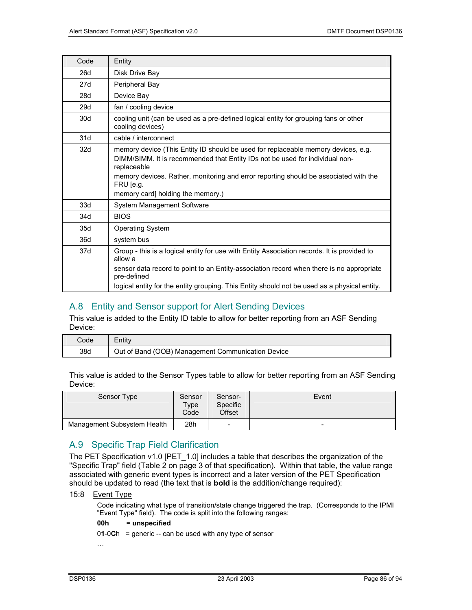| Code | Entity                                                                                                                                                                                                                                                                                                                     |
|------|----------------------------------------------------------------------------------------------------------------------------------------------------------------------------------------------------------------------------------------------------------------------------------------------------------------------------|
| 26d  | Disk Drive Bay                                                                                                                                                                                                                                                                                                             |
| 27d  | Peripheral Bay                                                                                                                                                                                                                                                                                                             |
| 28d  | Device Bay                                                                                                                                                                                                                                                                                                                 |
| 29d  | fan / cooling device                                                                                                                                                                                                                                                                                                       |
| 30d  | cooling unit (can be used as a pre-defined logical entity for grouping fans or other<br>cooling devices)                                                                                                                                                                                                                   |
| 31d  | cable / interconnect                                                                                                                                                                                                                                                                                                       |
| 32d  | memory device (This Entity ID should be used for replaceable memory devices, e.g.<br>DIMM/SIMM. It is recommended that Entity IDs not be used for individual non-<br>replaceable<br>memory devices. Rather, monitoring and error reporting should be associated with the<br>FRU [e.g.<br>memory card] holding the memory.) |
| 33d  | System Management Software                                                                                                                                                                                                                                                                                                 |
| 34d  | <b>BIOS</b>                                                                                                                                                                                                                                                                                                                |
| 35d  | <b>Operating System</b>                                                                                                                                                                                                                                                                                                    |
| 36d  | system bus                                                                                                                                                                                                                                                                                                                 |
| 37d  | Group - this is a logical entity for use with Entity Association records. It is provided to<br>allow a<br>sensor data record to point to an Entity-association record when there is no appropriate<br>pre-defined<br>logical entity for the entity grouping. This Entity should not be used as a physical entity.          |

## A.8 Entity and Sensor support for Alert Sending Devices

This value is added to the Entity ID table to allow for better reporting from an ASF Sending Device:

| ∠ode | Entitv                                            |
|------|---------------------------------------------------|
| 38d  | Out of Band (OOB) Management Communication Device |

This value is added to the Sensor Types table to allow for better reporting from an ASF Sending Device:

| Sensor Type                 | Sensor<br>Type <sub>1</sub><br>Code | Sensor-<br>Specific<br>Offset | Event |
|-----------------------------|-------------------------------------|-------------------------------|-------|
| Management Subsystem Health | 28h                                 | -                             | -     |

# A.9 Specific Trap Field Clarification

The PET Specification v1.0 [PET 1.0] includes a table that describes the organization of the "Specific Trap" field (Table 2 on page 3 of that specification). Within that table, the value range associated with generic event types is incorrect and a later version of the PET Specification should be updated to read (the text that is **bold** is the addition/change required):

#### 15:8 Event Type

…

Code indicating what type of transition/state change triggered the trap. (Corresponds to the IPMI "Event Type" field). The code is split into the following ranges:

### **00h = unspecified**

0**1**-0**C**h = generic -- can be used with any type of sensor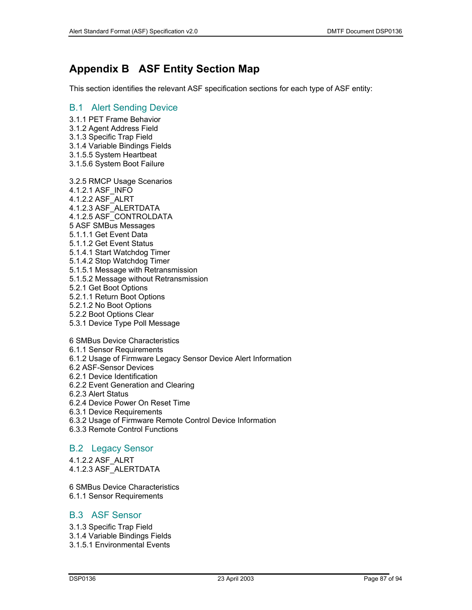# **Appendix B ASF Entity Section Map**

This section identifies the relevant ASF specification sections for each type of ASF entity:

### B.1 Alert Sending Device

- 3.1.1 PET Frame Behavior
- 3.1.2 Agent Address Field
- 3.1.3 Specific Trap Field
- 3.1.4 Variable Bindings Fields
- 3.1.5.5 System Heartbeat
- 3.1.5.6 System Boot Failure

3.2.5 RMCP Usage Scenarios

- 4.1.2.1 ASF\_INFO
- 4.1.2.2 ASF\_ALRT
- 4.1.2.3 ASF\_ALERTDATA
- 4.1.2.5 ASF\_CONTROLDATA
- 5 ASF SMBus Messages
- 5.1.1.1 Get Event Data
- 5.1.1.2 Get Event Status
- 5.1.4.1 Start Watchdog Timer
- 5.1.4.2 Stop Watchdog Timer
- 5.1.5.1 Message with Retransmission
- 5.1.5.2 Message without Retransmission
- 5.2.1 Get Boot Options
- 5.2.1.1 Return Boot Options
- 5.2.1.2 No Boot Options
- 5.2.2 Boot Options Clear
- 5.3.1 Device Type Poll Message

#### 6 SMBus Device Characteristics

- 6.1.1 Sensor Requirements
- 6.1.2 Usage of Firmware Legacy Sensor Device Alert Information
- 6.2 ASF-Sensor Devices
- 6.2.1 Device Identification
- 6.2.2 Event Generation and Clearing
- 6.2.3 Alert Status
- 6.2.4 Device Power On Reset Time
- 6.3.1 Device Requirements
- 6.3.2 Usage of Firmware Remote Control Device Information
- 6.3.3 Remote Control Functions

### B.2 Legacy Sensor

- 4.1.2.2 ASF\_ALRT
- 4.1.2.3 ASF\_ALERTDATA
- 6 SMBus Device Characteristics
- 6.1.1 Sensor Requirements

### B.3 ASF Sensor

- 3.1.3 Specific Trap Field
- 3.1.4 Variable Bindings Fields
- 3.1.5.1 Environmental Events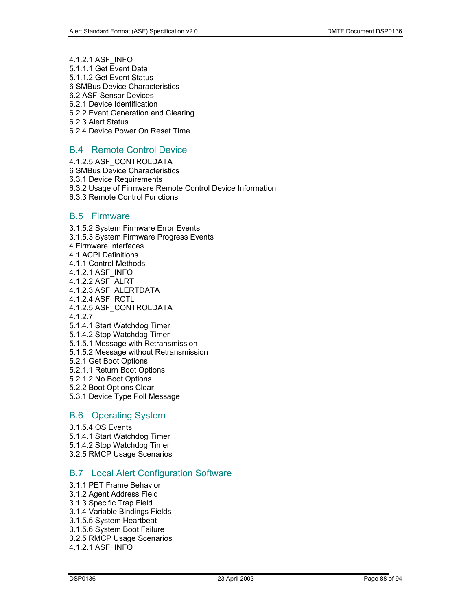4.1.2.1 ASF\_INFO

- 5.1.1.1 Get Event Data
- 5.1.1.2 Get Event Status
- 6 SMBus Device Characteristics
- 6.2 ASF-Sensor Devices
- 6.2.1 Device Identification
- 6.2.2 Event Generation and Clearing
- 6.2.3 Alert Status
- 6.2.4 Device Power On Reset Time

## B.4 Remote Control Device

- 4.1.2.5 ASF\_CONTROLDATA
- 6 SMBus Device Characteristics
- 6.3.1 Device Requirements
- 6.3.2 Usage of Firmware Remote Control Device Information
- 6.3.3 Remote Control Functions

### B.5 Firmware

- 3.1.5.2 System Firmware Error Events
- 3.1.5.3 System Firmware Progress Events
- 4 Firmware Interfaces
- 4.1 ACPI Definitions
- 4.1.1 Control Methods
- 4.1.2.1 ASF\_INFO
- 4.1.2.2 ASF\_ALRT
- 4.1.2.3 ASF\_ALERTDATA
- 4.1.2.4 ASF\_RCTL
- 4.1.2.5 ASF\_CONTROLDATA
- 4.1.2.7
- 5.1.4.1 Start Watchdog Timer
- 5.1.4.2 Stop Watchdog Timer
- 5.1.5.1 Message with Retransmission
- 5.1.5.2 Message without Retransmission
- 5.2.1 Get Boot Options
- 5.2.1.1 Return Boot Options
- 5.2.1.2 No Boot Options
- 5.2.2 Boot Options Clear
- 5.3.1 Device Type Poll Message

# B.6 Operating System

- 3.1.5.4 OS Events 5.1.4.1 Start Watchdog Timer
- 5.1.4.2 Stop Watchdog Timer
- 3.2.5 RMCP Usage Scenarios

### B.7 Local Alert Configuration Software

- 3.1.1 PET Frame Behavior
- 3.1.2 Agent Address Field
- 3.1.3 Specific Trap Field
- 3.1.4 Variable Bindings Fields
- 3.1.5.5 System Heartbeat
- 3.1.5.6 System Boot Failure
- 3.2.5 RMCP Usage Scenarios
- 4.1.2.1 ASF\_INFO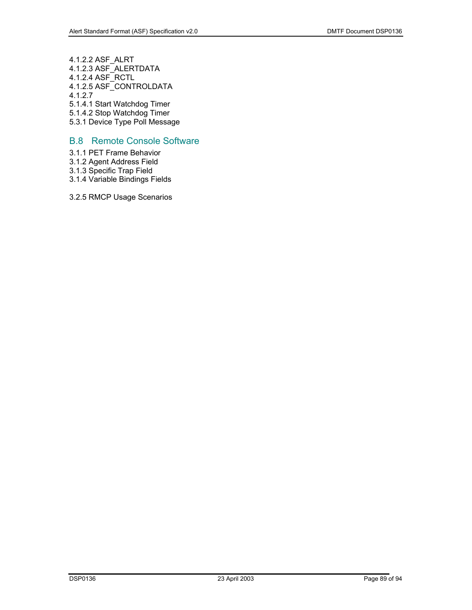4.1.2.2 ASF\_ALRT 4.1.2.3 ASF\_ALERTDATA 4.1.2.4 ASF\_RCTL 4.1.2.5 ASF\_CONTROLDATA 4.1.2.7 5.1.4.1 Start Watchdog Timer 5.1.4.2 Stop Watchdog Timer 5.3.1 Device Type Poll Message

## B.8 Remote Console Software

- 3.1.1 PET Frame Behavior
- 3.1.2 Agent Address Field
- 3.1.3 Specific Trap Field
- 3.1.4 Variable Bindings Fields

3.2.5 RMCP Usage Scenarios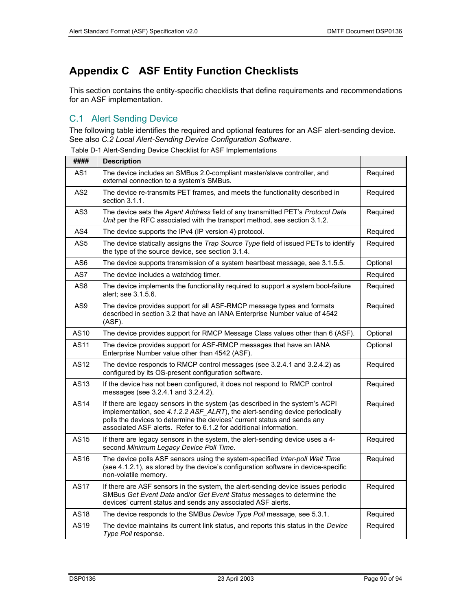# **Appendix C ASF Entity Function Checklists**

This section contains the entity-specific checklists that define requirements and recommendations for an ASF implementation.

# C.1 Alert Sending Device

The following table identifies the required and optional features for an ASF alert-sending device. See also *C.2 Local Alert-Sending Device Configuration Software*.

Table D-1 Alert-Sending Device Checklist for ASF Implementations

| ####             | <b>Description</b>                                                                                                                                                                                                                                                                                            |          |
|------------------|---------------------------------------------------------------------------------------------------------------------------------------------------------------------------------------------------------------------------------------------------------------------------------------------------------------|----------|
| AS <sub>1</sub>  | The device includes an SMBus 2.0-compliant master/slave controller, and<br>external connection to a system's SMBus.                                                                                                                                                                                           | Required |
| AS <sub>2</sub>  | The device re-transmits PET frames, and meets the functionality described in<br>section 3.1.1.                                                                                                                                                                                                                | Required |
| AS <sub>3</sub>  | The device sets the Agent Address field of any transmitted PET's Protocol Data<br>Unit per the RFC associated with the transport method, see section 3.1.2.                                                                                                                                                   | Required |
| AS4              | The device supports the IPv4 (IP version 4) protocol.                                                                                                                                                                                                                                                         | Required |
| AS <sub>5</sub>  | The device statically assigns the Trap Source Type field of issued PETs to identify<br>the type of the source device, see section 3.1.4.                                                                                                                                                                      | Required |
| AS <sub>6</sub>  | The device supports transmission of a system heartbeat message, see 3.1.5.5.                                                                                                                                                                                                                                  | Optional |
| AS7              | The device includes a watchdog timer.                                                                                                                                                                                                                                                                         | Required |
| AS <sub>8</sub>  | The device implements the functionality required to support a system boot-failure<br>alert; see 3.1.5.6.                                                                                                                                                                                                      | Required |
| AS9              | The device provides support for all ASF-RMCP message types and formats<br>described in section 3.2 that have an IANA Enterprise Number value of 4542<br>(ASF).                                                                                                                                                | Required |
| AS <sub>10</sub> | The device provides support for RMCP Message Class values other than 6 (ASF).                                                                                                                                                                                                                                 | Optional |
| <b>AS11</b>      | The device provides support for ASF-RMCP messages that have an IANA<br>Enterprise Number value other than 4542 (ASF).                                                                                                                                                                                         | Optional |
| <b>AS12</b>      | The device responds to RMCP control messages (see 3.2.4.1 and 3.2.4.2) as<br>configured by its OS-present configuration software.                                                                                                                                                                             | Required |
| AS <sub>13</sub> | If the device has not been configured, it does not respond to RMCP control<br>messages (see 3.2.4.1 and 3.2.4.2).                                                                                                                                                                                             | Required |
| AS <sub>14</sub> | If there are legacy sensors in the system (as described in the system's ACPI<br>implementation, see 4.1.2.2 ASF_ALRT), the alert-sending device periodically<br>polls the devices to determine the devices' current status and sends any<br>associated ASF alerts. Refer to 6.1.2 for additional information. | Required |
| <b>AS15</b>      | If there are legacy sensors in the system, the alert-sending device uses a 4-<br>second Minimum Legacy Device Poll Time.                                                                                                                                                                                      | Required |
| AS16             | The device polls ASF sensors using the system-specified Inter-poll Wait Time<br>(see 4.1.2.1), as stored by the device's configuration software in device-specific<br>non-volatile memory.                                                                                                                    | Required |
| <b>AS17</b>      | If there are ASF sensors in the system, the alert-sending device issues periodic<br>SMBus Get Event Data and/or Get Event Status messages to determine the<br>devices' current status and sends any associated ASF alerts.                                                                                    | Required |
| <b>AS18</b>      | The device responds to the SMBus Device Type Poll message, see 5.3.1.                                                                                                                                                                                                                                         | Required |
| <b>AS19</b>      | The device maintains its current link status, and reports this status in the Device<br>Type Poll response.                                                                                                                                                                                                    | Required |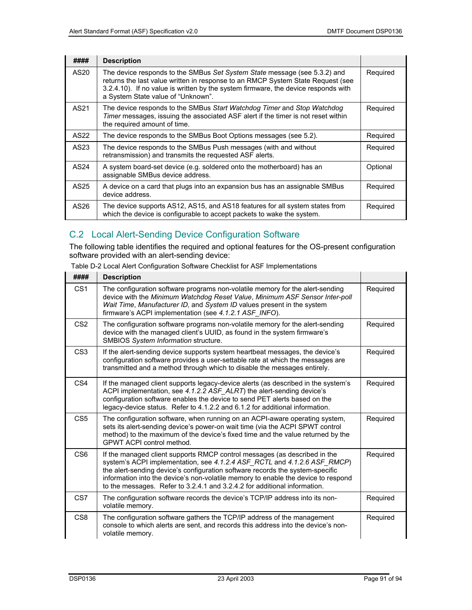| ####             | <b>Description</b>                                                                                                                                                                                                                                                                       |          |
|------------------|------------------------------------------------------------------------------------------------------------------------------------------------------------------------------------------------------------------------------------------------------------------------------------------|----------|
| AS <sub>20</sub> | The device responds to the SMBus Set System State message (see 5.3.2) and<br>returns the last value written in response to an RMCP System State Request (see<br>3.2.4.10). If no value is written by the system firmware, the device responds with<br>a System State value of "Unknown". | Required |
| AS21             | The device responds to the SMBus Start Watchdog Timer and Stop Watchdog<br>Timer messages, issuing the associated ASF alert if the timer is not reset within<br>the required amount of time.                                                                                             | Required |
| AS22             | The device responds to the SMBus Boot Options messages (see 5.2).                                                                                                                                                                                                                        | Required |
| AS23             | The device responds to the SMBus Push messages (with and without<br>retransmission) and transmits the requested ASF alerts.                                                                                                                                                              | Required |
| AS24             | A system board-set device (e.g. soldered onto the motherboard) has an<br>assignable SMBus device address.                                                                                                                                                                                | Optional |
| AS <sub>25</sub> | A device on a card that plugs into an expansion bus has an assignable SMBus<br>device address.                                                                                                                                                                                           | Required |
| AS26             | The device supports AS12, AS15, and AS18 features for all system states from<br>which the device is configurable to accept packets to wake the system.                                                                                                                                   | Required |

# C.2 Local Alert-Sending Device Configuration Software

The following table identifies the required and optional features for the OS-present configuration software provided with an alert-sending device:

| ####            | <b>Description</b>                                                                                                                                                                                                                                                                                                                                                                                       |          |
|-----------------|----------------------------------------------------------------------------------------------------------------------------------------------------------------------------------------------------------------------------------------------------------------------------------------------------------------------------------------------------------------------------------------------------------|----------|
| CS <sub>1</sub> | The configuration software programs non-volatile memory for the alert-sending<br>device with the Minimum Watchdog Reset Value, Minimum ASF Sensor Inter-poll<br>Wait Time, Manufacturer ID, and System ID values present in the system<br>firmware's ACPI implementation (see 4.1.2.1 ASF_INFO).                                                                                                         | Required |
| CS <sub>2</sub> | The configuration software programs non-volatile memory for the alert-sending<br>device with the managed client's UUID, as found in the system firmware's<br>SMBIOS System Information structure.                                                                                                                                                                                                        | Required |
| CS <sub>3</sub> | If the alert-sending device supports system heartbeat messages, the device's<br>configuration software provides a user-settable rate at which the messages are<br>transmitted and a method through which to disable the messages entirely.                                                                                                                                                               | Required |
| CS4             | If the managed client supports legacy-device alerts (as described in the system's<br>ACPI implementation, see 4.1.2.2 ASF_ALRT) the alert-sending device's<br>configuration software enables the device to send PET alerts based on the<br>legacy-device status. Refer to 4.1.2.2 and 6.1.2 for additional information.                                                                                  | Required |
| CS <sub>5</sub> | The configuration software, when running on an ACPI-aware operating system,<br>sets its alert-sending device's power-on wait time (via the ACPI SPWT control<br>method) to the maximum of the device's fixed time and the value returned by the<br>GPWT ACPI control method.                                                                                                                             | Required |
| CS <sub>6</sub> | If the managed client supports RMCP control messages (as described in the<br>system's ACPI implementation, see 4.1.2.4 ASF_RCTL and 4.1.2.6 ASF_RMCP)<br>the alert-sending device's configuration software records the system-specific<br>information into the device's non-volatile memory to enable the device to respond<br>to the messages. Refer to 3.2.4.1 and 3.2.4.2 for additional information. | Required |
| CS7             | The configuration software records the device's TCP/IP address into its non-<br>volatile memory.                                                                                                                                                                                                                                                                                                         | Required |
| CS <sub>8</sub> | The configuration software gathers the TCP/IP address of the management<br>console to which alerts are sent, and records this address into the device's non-<br>volatile memory.                                                                                                                                                                                                                         | Required |

Table D-2 Local Alert Configuration Software Checklist for ASF Implementations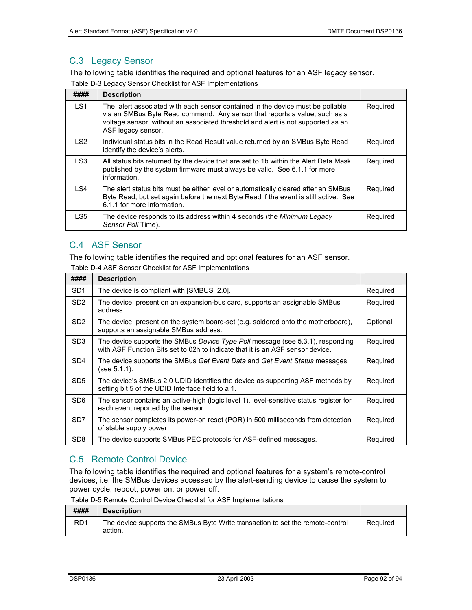# C.3 Legacy Sensor

The following table identifies the required and optional features for an ASF legacy sensor.

Table D-3 Legacy Sensor Checklist for ASF Implementations

| ####            | <b>Description</b>                                                                                                                                                                                                                                                     |          |
|-----------------|------------------------------------------------------------------------------------------------------------------------------------------------------------------------------------------------------------------------------------------------------------------------|----------|
| LS <sub>1</sub> | The alert associated with each sensor contained in the device must be pollable<br>via an SMBus Byte Read command. Any sensor that reports a value, such as a<br>voltage sensor, without an associated threshold and alert is not supported as an<br>ASF legacy sensor. | Required |
| LS <sub>2</sub> | Individual status bits in the Read Result value returned by an SMBus Byte Read<br>identify the device's alerts.                                                                                                                                                        | Required |
| LS <sub>3</sub> | All status bits returned by the device that are set to 1b within the Alert Data Mask<br>published by the system firmware must always be valid. See 6.1.1 for more<br>information.                                                                                      | Required |
| LS4             | The alert status bits must be either level or automatically cleared after an SMBus<br>Byte Read, but set again before the next Byte Read if the event is still active. See<br>6.1.1 for more information.                                                              | Required |
| LS5             | The device responds to its address within 4 seconds (the <i>Minimum Legacy</i><br>Sensor Poll Time).                                                                                                                                                                   | Required |

## C.4 ASF Sensor

The following table identifies the required and optional features for an ASF sensor.

Table D-4 ASF Sensor Checklist for ASF Implementations

| ####            | <b>Description</b>                                                                                                                                               |          |
|-----------------|------------------------------------------------------------------------------------------------------------------------------------------------------------------|----------|
| SD <sub>1</sub> | The device is compliant with [SMBUS 2.0].                                                                                                                        | Required |
| SD <sub>2</sub> | The device, present on an expansion-bus card, supports an assignable SMBus<br>address.                                                                           | Required |
| SD <sub>2</sub> | The device, present on the system board-set (e.g. soldered onto the motherboard),<br>supports an assignable SMBus address.                                       | Optional |
| SD <sub>3</sub> | The device supports the SMBus Device Type Poll message (see 5.3.1), responding<br>with ASF Function Bits set to 02h to indicate that it is an ASF sensor device. | Required |
| SD <sub>4</sub> | The device supports the SMBus <i>Get Event Data</i> and <i>Get Event Status</i> messages<br>(see 5.1.1).                                                         | Required |
| SD <sub>5</sub> | The device's SMBus 2.0 UDID identifies the device as supporting ASF methods by<br>setting bit 5 of the UDID Interface field to a 1.                              | Required |
| SD <sub>6</sub> | The sensor contains an active-high (logic level 1), level-sensitive status register for<br>each event reported by the sensor.                                    | Required |
| SD7             | The sensor completes its power-on reset (POR) in 500 milliseconds from detection<br>of stable supply power.                                                      | Required |
| SD <sub>8</sub> | The device supports SMBus PEC protocols for ASF-defined messages.                                                                                                | Required |

# C.5 Remote Control Device

The following table identifies the required and optional features for a system's remote-control devices, i.e. the SMBus devices accessed by the alert-sending device to cause the system to power cycle, reboot, power on, or power off.

Table D-5 Remote Control Device Checklist for ASF Implementations

| ####             | <b>Description</b>                                                                        |          |
|------------------|-------------------------------------------------------------------------------------------|----------|
| R <sub>D</sub> 1 | The device supports the SMBus Byte Write transaction to set the remote-control<br>action. | Required |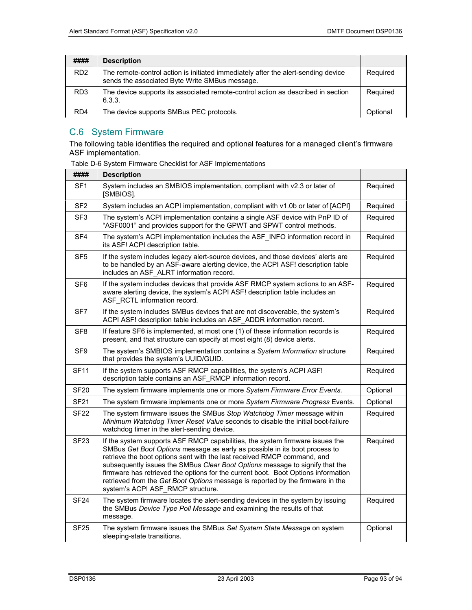| ####            | <b>Description</b>                                                                                                                  |          |
|-----------------|-------------------------------------------------------------------------------------------------------------------------------------|----------|
| RD <sub>2</sub> | The remote-control action is initiated immediately after the alert-sending device<br>sends the associated Byte Write SMBus message. | Required |
| RD <sub>3</sub> | The device supports its associated remote-control action as described in section<br>6.3.3.                                          | Required |
| RD4             | The device supports SMBus PEC protocols.                                                                                            | Optional |

# C.6 System Firmware

The following table identifies the required and optional features for a managed client's firmware ASF implementation.

Table D-6 System Firmware Checklist for ASF Implementations

| ####             | <b>Description</b>                                                                                                                                                                                                                                                                                                                                                                                                                                                                                                                |          |
|------------------|-----------------------------------------------------------------------------------------------------------------------------------------------------------------------------------------------------------------------------------------------------------------------------------------------------------------------------------------------------------------------------------------------------------------------------------------------------------------------------------------------------------------------------------|----------|
| SF <sub>1</sub>  | System includes an SMBIOS implementation, compliant with v2.3 or later of<br>[SMBIOS].                                                                                                                                                                                                                                                                                                                                                                                                                                            | Required |
| SF <sub>2</sub>  | System includes an ACPI implementation, compliant with v1.0b or later of [ACPI]                                                                                                                                                                                                                                                                                                                                                                                                                                                   | Required |
| SF <sub>3</sub>  | The system's ACPI implementation contains a single ASF device with PnP ID of<br>"ASF0001" and provides support for the GPWT and SPWT control methods.                                                                                                                                                                                                                                                                                                                                                                             | Required |
| SF <sub>4</sub>  | The system's ACPI implementation includes the ASF INFO information record in<br>its ASF! ACPI description table.                                                                                                                                                                                                                                                                                                                                                                                                                  | Required |
| SF <sub>5</sub>  | If the system includes legacy alert-source devices, and those devices' alerts are<br>to be handled by an ASF-aware alerting device, the ACPI ASF! description table<br>includes an ASF ALRT information record.                                                                                                                                                                                                                                                                                                                   | Required |
| SF <sub>6</sub>  | If the system includes devices that provide ASF RMCP system actions to an ASF-<br>aware alerting device, the system's ACPI ASF! description table includes an<br>ASF RCTL information record.                                                                                                                                                                                                                                                                                                                                     | Required |
| SF <sub>7</sub>  | If the system includes SMBus devices that are not discoverable, the system's<br>ACPI ASF! description table includes an ASF_ADDR information record.                                                                                                                                                                                                                                                                                                                                                                              | Required |
| SF <sub>8</sub>  | If feature SF6 is implemented, at most one (1) of these information records is<br>present, and that structure can specify at most eight (8) device alerts.                                                                                                                                                                                                                                                                                                                                                                        | Required |
| SF <sub>9</sub>  | The system's SMBIOS implementation contains a System Information structure<br>that provides the system's UUID/GUID.                                                                                                                                                                                                                                                                                                                                                                                                               | Required |
| <b>SF11</b>      | If the system supports ASF RMCP capabilities, the system's ACPI ASF!<br>description table contains an ASF RMCP information record.                                                                                                                                                                                                                                                                                                                                                                                                | Required |
| <b>SF20</b>      | The system firmware implements one or more System Firmware Error Events.                                                                                                                                                                                                                                                                                                                                                                                                                                                          | Optional |
| <b>SF21</b>      | The system firmware implements one or more System Firmware Progress Events.                                                                                                                                                                                                                                                                                                                                                                                                                                                       | Optional |
| SF <sub>22</sub> | The system firmware issues the SMBus Stop Watchdog Timer message within<br>Minimum Watchdog Timer Reset Value seconds to disable the initial boot-failure<br>watchdog timer in the alert-sending device.                                                                                                                                                                                                                                                                                                                          | Required |
| <b>SF23</b>      | If the system supports ASF RMCP capabilities, the system firmware issues the<br>SMBus Get Boot Options message as early as possible in its boot process to<br>retrieve the boot options sent with the last received RMCP command, and<br>subsequently issues the SMBus Clear Boot Options message to signify that the<br>firmware has retrieved the options for the current boot. Boot Options information<br>retrieved from the Get Boot Options message is reported by the firmware in the<br>system's ACPI ASF RMCP structure. | Required |
| SF <sub>24</sub> | The system firmware locates the alert-sending devices in the system by issuing<br>the SMBus Device Type Poll Message and examining the results of that<br>message.                                                                                                                                                                                                                                                                                                                                                                | Required |
| <b>SF25</b>      | The system firmware issues the SMBus Set System State Message on system<br>sleeping-state transitions.                                                                                                                                                                                                                                                                                                                                                                                                                            | Optional |